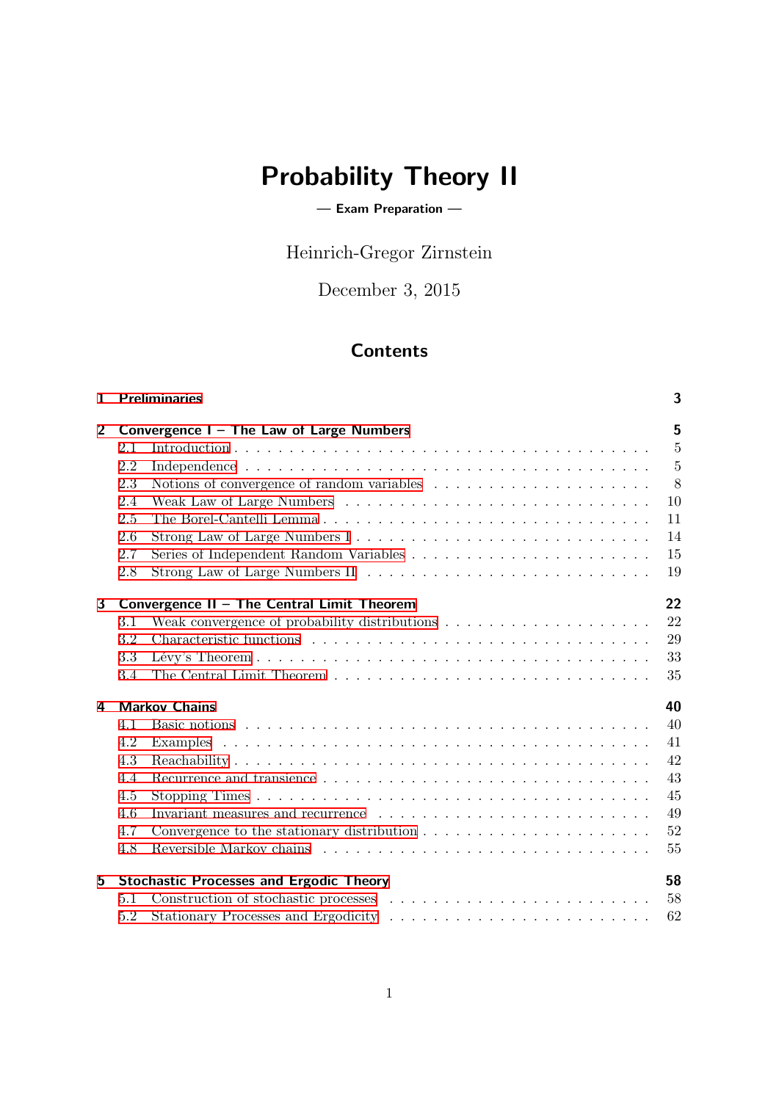# **Probability Theory II**

#### **— Exam Preparation —**

Heinrich-Gregor Zirnstein

December 3, 2015

# **Contents**

| 1            |     | <b>Preliminaries</b>                                                                      | 3              |
|--------------|-----|-------------------------------------------------------------------------------------------|----------------|
| $\mathbf{2}$ |     | Convergence I - The Law of Large Numbers                                                  | 5              |
|              | 2.1 |                                                                                           | $\overline{5}$ |
|              | 2.2 |                                                                                           | $\overline{5}$ |
|              | 2.3 |                                                                                           | 8              |
|              | 2.4 |                                                                                           | 10             |
|              | 2.5 |                                                                                           | 11             |
|              | 2.6 |                                                                                           | 14             |
|              | 2.7 |                                                                                           | 15             |
|              | 2.8 |                                                                                           | 19             |
| $\mathbf{3}$ |     | Convergence II - The Central Limit Theorem                                                | 22             |
|              | 3.1 | Weak convergence of probability distributions $\dots \dots \dots \dots \dots \dots \dots$ | 22             |
|              | 3.2 |                                                                                           | 29             |
|              | 3.3 |                                                                                           | 33             |
|              | 3.4 |                                                                                           | 35             |
| 4            |     | <b>Markov Chains</b>                                                                      | 40             |
|              | 4.1 |                                                                                           | 40             |
|              | 4.2 |                                                                                           | 41             |
|              | 4.3 |                                                                                           | 42             |
|              | 4.4 |                                                                                           | 43             |
|              | 4.5 |                                                                                           | 45             |
|              | 4.6 |                                                                                           | 49             |
|              | 4.7 |                                                                                           | 52             |
|              | 4.8 |                                                                                           | 55             |
| 5.           |     | <b>Stochastic Processes and Ergodic Theory</b>                                            | 58             |
|              | 5.1 |                                                                                           | 58             |
|              | 5.2 |                                                                                           | 62             |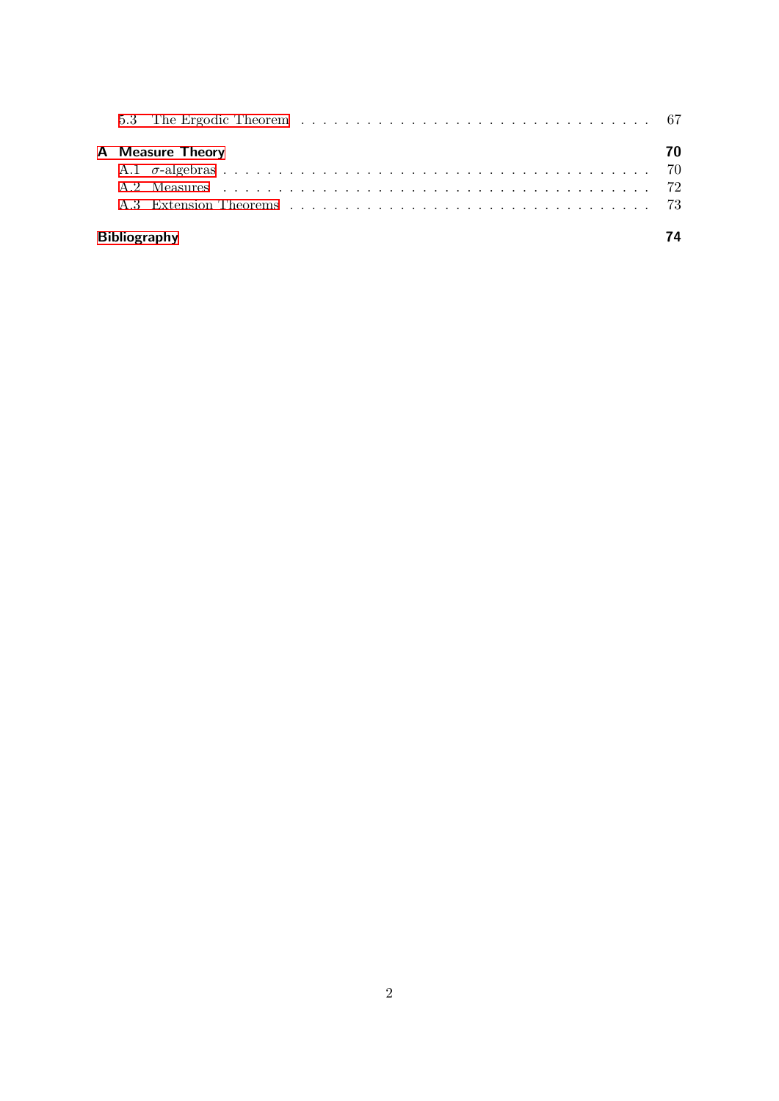|  | A Measure Theory |  |
|--|------------------|--|
|  |                  |  |
|  |                  |  |
|  |                  |  |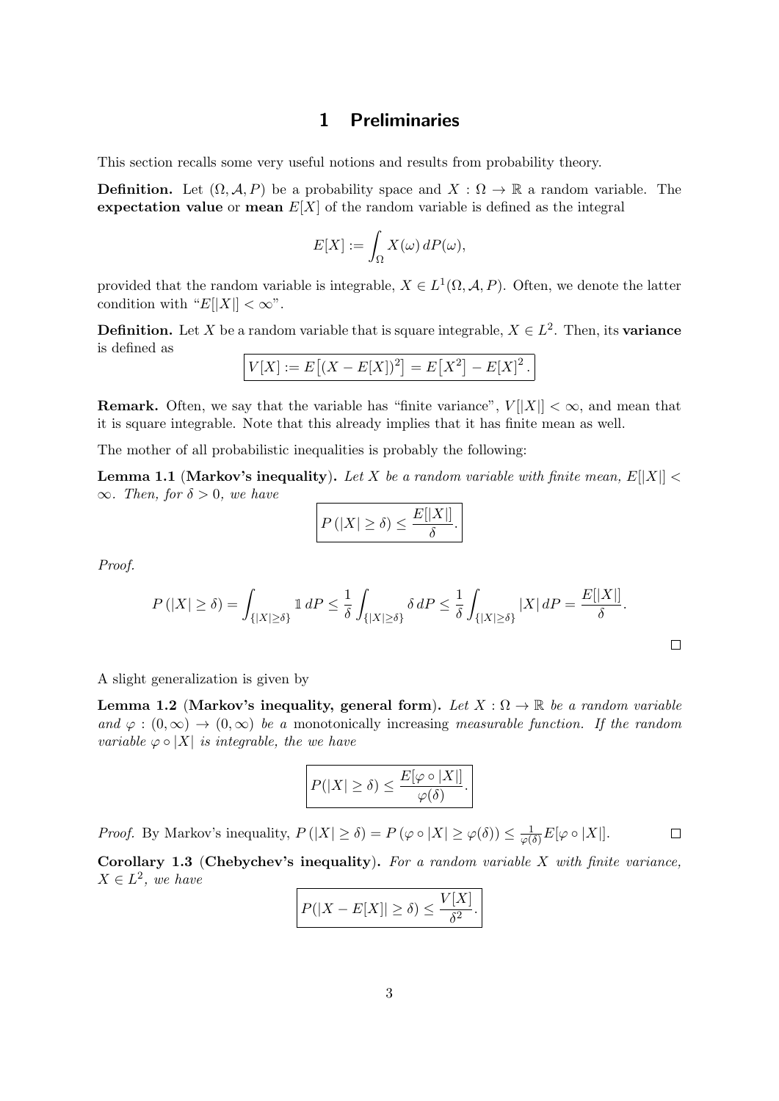### **1 Preliminaries**

<span id="page-2-0"></span>This section recalls some very useful notions and results from probability theory.

**Definition.** Let  $(\Omega, \mathcal{A}, P)$  be a probability space and  $X : \Omega \to \mathbb{R}$  a random variable. The **expectation value** or **mean**  $E[X]$  of the random variable is defined as the integral

$$
E[X] := \int_{\Omega} X(\omega) \, dP(\omega),
$$

provided that the random variable is integrable,  $X \in L^1(\Omega, \mathcal{A}, P)$ . Often, we denote the latter condition with " $E[|X|] < \infty$ ".

**Definition.** Let *X* be a random variable that is square integrable,  $X \in L^2$ . Then, its **variance** is defined as

$$
V[X] := E[(X - E[X])^{2}] = E[X^{2}] - E[X]^{2}.
$$

**Remark.** Often, we say that the variable has "finite variance",  $V[|X|] < \infty$ , and mean that it is square integrable. Note that this already implies that it has finite mean as well.

The mother of all probabilistic inequalities is probably the following:

**Lemma 1.1** (Markov's inequality). Let X be a random variable with finite mean,  $E[|X|]$  <  $∞$ *. Then, for*  $δ > 0$ *, we have* 

$$
P(|X| \ge \delta) \le \frac{E[|X|]}{\delta}.
$$

*Proof.*

$$
P(|X| \ge \delta) = \int_{\{|X| \ge \delta\}} 1 \, dP \le \frac{1}{\delta} \int_{\{|X| \ge \delta\}} \delta \, dP \le \frac{1}{\delta} \int_{\{|X| \ge \delta\}} |X| \, dP = \frac{E[|X|]}{\delta}.
$$

A slight generalization is given by

**Lemma 1.2** (Markov's inequality, general form). Let  $X : \Omega \to \mathbb{R}$  be a random variable *and*  $\varphi : (0, \infty) \to (0, \infty)$  *be a* monotonically increasing *measurable function. If the random variable*  $\varphi \circ |X|$  *is integrable, the we have* 

$$
P(|X| \ge \delta) \le \frac{E[\varphi \circ |X|]}{\varphi(\delta)}.
$$

*Proof.* By Markov's inequality,  $P(|X| \ge \delta) = P(\varphi \circ |X| \ge \varphi(\delta)) \le \frac{1}{\varphi(\delta)} E[\varphi \circ |X|].$  $\Box$ 

**Corollary 1.3** (**Chebychev's inequality**)**.** *For a random variable X with finite variance,*  $X \in L^2$ , we have

$$
P(|X - E[X]| \ge \delta) \le \frac{V[X]}{\delta^2}.
$$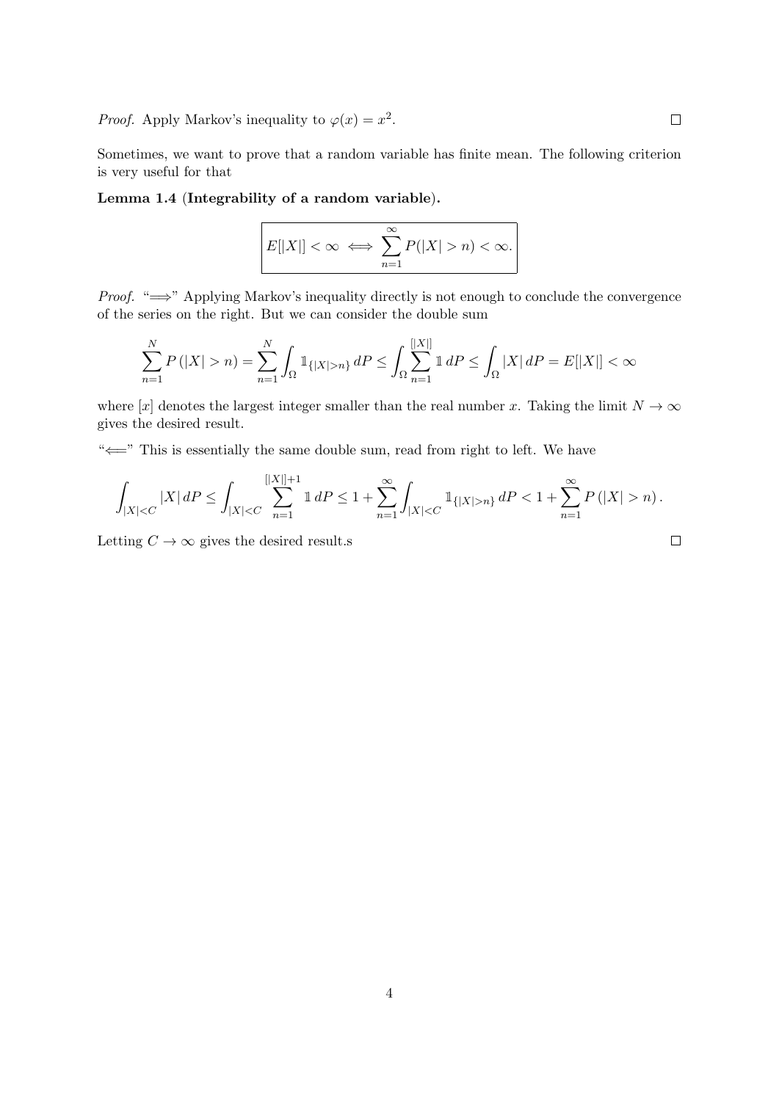*Proof.* Apply Markov's inequality to  $\varphi(x) = x^2$ .

Sometimes, we want to prove that a random variable has finite mean. The following criterion is very useful for that

<span id="page-3-0"></span>**Lemma 1.4** (**Integrability of a random variable**)**.**

$$
E[|X|] < \infty \iff \sum_{n=1}^{\infty} P(|X| > n) < \infty.
$$

*Proof.* "⇒" Applying Markov's inequality directly is not enough to conclude the convergence of the series on the right. But we can consider the double sum

$$
\sum_{n=1}^{N} P(|X| > n) = \sum_{n=1}^{N} \int_{\Omega} 1_{\{|X| > n\}} dP \le \int_{\Omega} \sum_{n=1}^{[|X|]} 1 \, dP \le \int_{\Omega} |X| \, dP = E[|X|] < \infty
$$

where [*x*] denotes the largest integer smaller than the real number *x*. Taking the limit  $N \to \infty$ gives the desired result.

"*⇐*=" This is essentially the same double sum, read from right to left. We have

$$
\int_{|X|n\}} \, dP < 1 + \sum_{n=1}^{\infty} P(|X|>n).
$$

Letting  $C \to \infty$  gives the desired result.s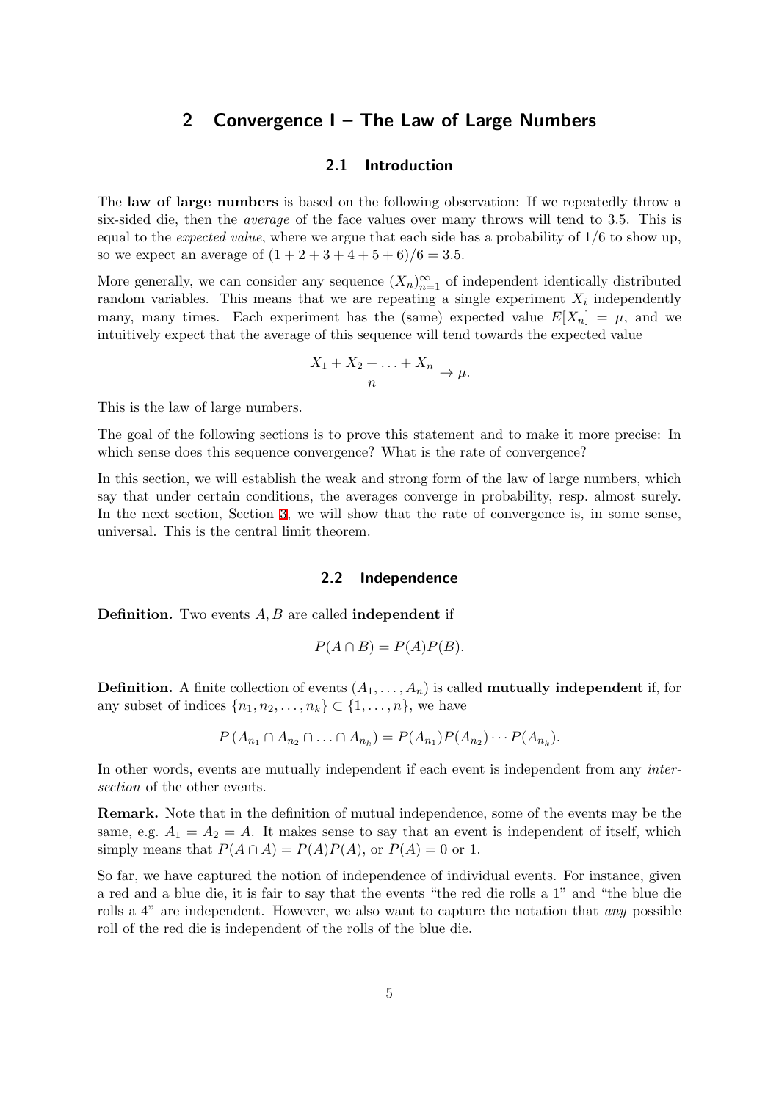# **2 Convergence I – The Law of Large Numbers**

#### **2.1 Introduction**

<span id="page-4-1"></span><span id="page-4-0"></span>The **law of large numbers** is based on the following observation: If we repeatedly throw a six-sided die, then the *average* of the face values over many throws will tend to 3*.*5. This is equal to the *expected value*, where we argue that each side has a probability of 1*/*6 to show up, so we expect an average of  $(1 + 2 + 3 + 4 + 5 + 6)/6 = 3.5$ .

More generally, we can consider any sequence  $(X_n)_{n=1}^{\infty}$  of independent identically distributed random variables. This means that we are repeating a single experiment  $X_i$  independently many, many times. Each experiment has the (same) expected value  $E[X_n] = \mu$ , and we intuitively expect that the average of this sequence will tend towards the expected value

$$
\frac{X_1 + X_2 + \ldots + X_n}{n} \to \mu.
$$

This is the law of large numbers.

The goal of the following sections is to prove this statement and to make it more precise: In which sense does this sequence convergence? What is the rate of convergence?

In this section, we will establish the weak and strong form of the law of large numbers, which say that under certain conditions, the averages converge in probability, resp. almost surely. In the next section, Section 3, we will show that the rate of convergence is, in some sense, universal. This is the central limit theorem.

#### **2.2 Independence**

<span id="page-4-2"></span>**Definition.** Two events *A, B* are called **independent** if

$$
P(A \cap B) = P(A)P(B).
$$

**Definition.** A finite collection of events  $(A_1, \ldots, A_n)$  is called **mutually independent** if, for any subset of indices  $\{n_1, n_2, \ldots, n_k\} \subset \{1, \ldots, n\}$ , we have

$$
P(A_{n_1} \cap A_{n_2} \cap \ldots \cap A_{n_k}) = P(A_{n_1})P(A_{n_2})\cdots P(A_{n_k}).
$$

In other words, events are mutually independent if each event is independent from any *intersection* of the other events.

**Remark.** Note that in the definition of mutual independence, some of the events may be the same, e.g.  $A_1 = A_2 = A$ . It makes sense to say that an event is independent of itself, which simply means that  $P(A \cap A) = P(A)P(A)$ , or  $P(A) = 0$  or 1.

So far, we have captured the notion of independence of individual events. For instance, given a red and a blue die, it is fair to say that the events "the red die rolls a 1" and "the blue die rolls a 4" are independent. However, we also want to capture the notation that *any* possible roll of the red die is independent of the rolls of the blue die.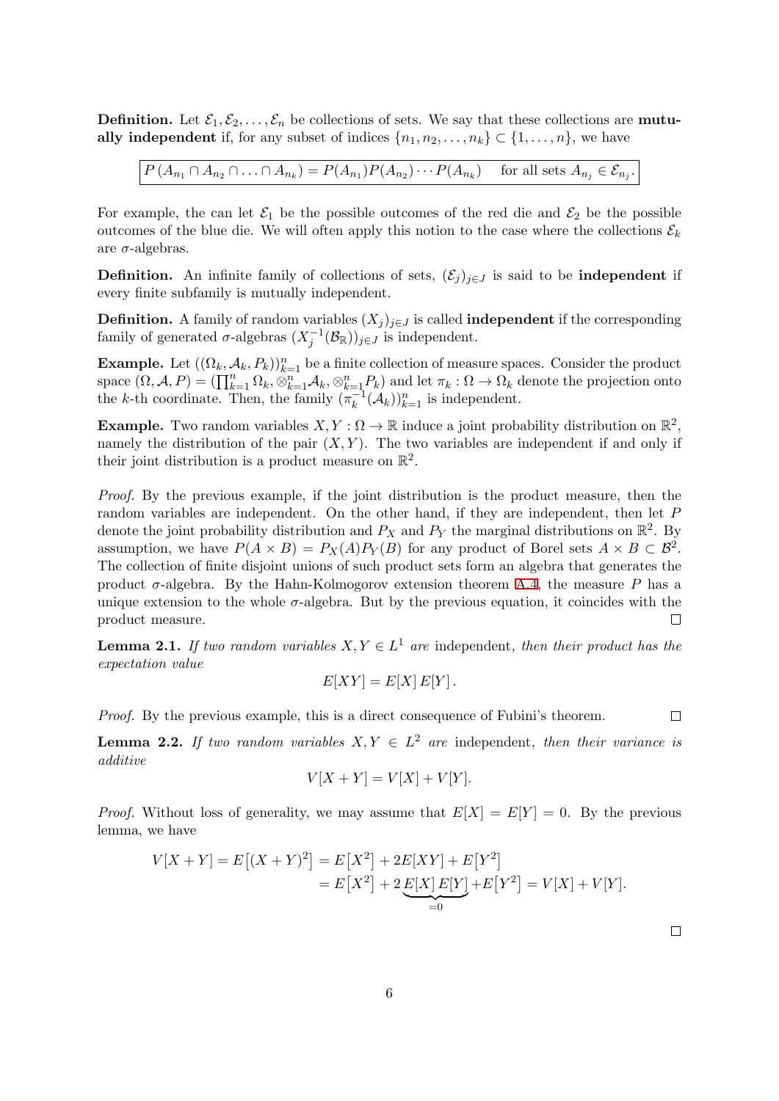**Definition.** Let  $\mathcal{E}_1, \mathcal{E}_2, \ldots, \mathcal{E}_n$  be collections of sets. We say that these collections are **mutually independent** if, for any subset of indices  $\{n_1, n_2, \ldots, n_k\} \subset \{1, \ldots, n\}$ , we have

 $P(A_{n_1} \cap A_{n_2} \cap ... \cap A_{n_k}) = P(A_{n_1})P(A_{n_2})\cdots P(A_{n_k})$  for all sets  $A_{n_j} \in \mathcal{E}_{n_j}$ .

For example, the can let  $\mathcal{E}_1$  be the possible outcomes of the red die and  $\mathcal{E}_2$  be the possible outcomes of the blue die. We will often apply this notion to the case where the collections  $\mathcal{E}_k$ are *σ*-algebras.

**Definition.** An infinite family of collections of sets,  $(\mathcal{E}_j)_{j \in J}$  is said to be **independent** if every finite subfamily is mutually independent.

**Definition.** A family of random variables  $(X_j)_{j \in J}$  is called **independent** if the corresponding family of generated  $\sigma$ -algebras  $(X_j^{-1}(\mathcal{B}_{\mathbb{R}}))_{j\in J}$  is independent.

**Example.** Let  $((\Omega_k, \mathcal{A}_k, P_k))_{k=1}^n$  be a finite collection of measure spaces. Consider the product space  $(\Omega, \mathcal{A}, P) = (\prod_{k=1}^n \Omega_k, \otimes_{k=1}^n \mathcal{A}_k, \otimes_{k=1}^n P_k)$  and let  $\pi_k : \Omega \to \Omega_k$  denote the projection onto the *k*-th coordinate. Then, the family  $(\pi_k^{-1}(\mathcal{A}_k))_{k=1}^n$  is independent.

**Example.** Two random variables  $X, Y : \Omega \to \mathbb{R}$  induce a joint probability distribution on  $\mathbb{R}^2$ , namely the distribution of the pair  $(X, Y)$ . The two variables are independent if and only if their joint distribution is a product measure on  $\mathbb{R}^2$ .

*Proof.* By the previous example, if the joint distribution is the product measure, then the random variables are independent. On the other hand, if they are independent, then let *P* denote the joint probability distribution and  $P_X$  and  $P_Y$  the marginal distributions on  $\mathbb{R}^2$ . By assumption, we have  $P(A \times B) = P_X(A)P_Y(B)$  for any product of Borel sets  $A \times B \subset \mathcal{B}^2$ . The collection of finite disjoint unions of such product sets form an algebra that generates the product  $\sigma$ -algebra. By the Hahn-Kolmogorov extension theorem A.4, the measure P has a unique extension to the whole  $\sigma$ -algebra. But by the previous equation, it coincides with the product measure.  $\Box$ 

**Lemma 2.1.** *If two random variables*  $X, Y \in L^1$  *are* independent, *then their product has the expectation value*

$$
E[XY] = E[X] E[Y].
$$

*Proof.* By the previous example, this is a direct consequence of Fubini's theorem.

**Lemma 2.2.** If two random variables  $X, Y \in L^2$  are independent, then their variance is *additive*

$$
V[X+Y] = V[X] + V[Y].
$$

*Proof.* Without loss of generality, we may assume that  $E[X] = E[Y] = 0$ . By the previous lemma, we have

$$
V[X+Y] = E[(X+Y)^{2}] = E[X^{2}] + 2E[XY] + E[Y^{2}]
$$
  
= 
$$
E[X^{2}] + 2E[X]E[Y] + E[Y^{2}] = V[X] + V[Y].
$$
  
=0

 $\Box$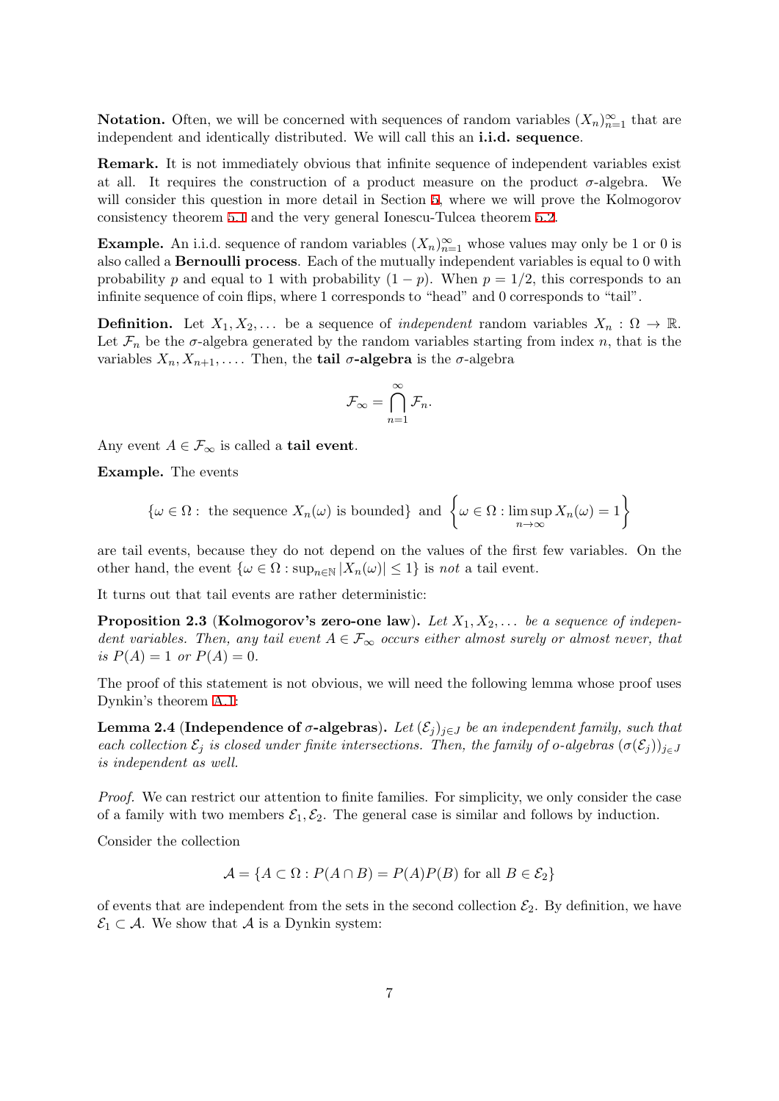**Notation.** Often, we will be concerned with sequences of random variables  $(X_n)_{n=1}^{\infty}$  that are independent and identically distributed. We will call this an **i.i.d. sequence**.

**Remark.** It is not immediately obvious that infinite sequence of independent variables exist at all. It requires the construction of a product measure on the product  $\sigma$ -algebra. We will consider this question in more detail in Section 5, where we will prove the Kolmogorov consistency theorem 5.1 and the very general Ionescu-Tulcea theorem 5.2.

**Example.** An i.i.d. sequence of random variables  $(X_n)_{n=1}^{\infty}$  whose values may only be 1 or 0 is also called a **Bernoulli process**. Each of the mutuall[y i](#page-57-0)ndependent variables is equal to 0 with probability *p* and eq[ual](#page-58-0) to 1 with probability  $(1 - p)$ . When  $p = 1/2$ , [th](#page-60-0)is corresponds to an infinite sequence of coin flips, where 1 corresponds to "head" and 0 corresponds to "tail".

**Definition.** Let  $X_1, X_2, \ldots$  be a sequence of *independent* random variables  $X_n : \Omega \to \mathbb{R}$ . Let  $\mathcal{F}_n$  be the  $\sigma$ -algebra generated by the random variables starting from index *n*, that is the variables  $X_n, X_{n+1}, \ldots$  Then, the **tail**  $\sigma$ **-algebra** is the  $\sigma$ -algebra

$$
\mathcal{F}_{\infty} = \bigcap_{n=1}^{\infty} \mathcal{F}_n.
$$

Any event  $A \in \mathcal{F}_{\infty}$  is called a **tail event**.

**Example.** The events

$$
\left\{\omega \in \Omega: \text{ the sequence } X_n(\omega) \text{ is bounded}\right\} \text{ and } \left\{\omega \in \Omega: \limsup_{n \to \infty} X_n(\omega) = 1\right\}
$$

are tail events, because they do not depend on the values of the first few variables. On the other hand, the event  $\{\omega \in \Omega : \sup_{n \in \mathbb{N}} |X_n(\omega)| \leq 1\}$  is *not* a tail event.

It turns out that tail events are rather deterministic:

**Proposition 2.3** (**Kolmogorov's zero-one law**)**.** *Let X*1*, X*2*, . . . be a sequence of independent variables. Then, any tail event*  $A \in \mathcal{F}_{\infty}$  *occurs either almost surely or almost never, that is*  $P(A) = 1$  *or*  $P(A) = 0$ *.* 

<span id="page-6-0"></span>The proof of this statement is not obvious, we will need the following lemma whose proof uses Dynkin's theorem A.1:

**Lemma 2.4** (**Independence of** *σ***-algebras**). *Let*  $(\mathcal{E}_i)_{i \in J}$  *be an independent family, such that each collection*  $\mathcal{E}_j$  *is closed under finite intersections. Then, the family of <i>o-algebras*  $(\sigma(\mathcal{E}_j))_{j \in J}$ *is independent as [well.](#page-70-0)*

*Proof.* We can restrict our attention to finite families. For simplicity, we only consider the case of a family with two members  $\mathcal{E}_1, \mathcal{E}_2$ . The general case is similar and follows by induction.

Consider the collection

$$
\mathcal{A} = \{ A \subset \Omega : P(A \cap B) = P(A)P(B) \text{ for all } B \in \mathcal{E}_2 \}
$$

of events that are independent from the sets in the second collection  $\mathcal{E}_2$ . By definition, we have  $\mathcal{E}_1 \subset \mathcal{A}$ . We show that  $\mathcal{A}$  is a Dynkin system: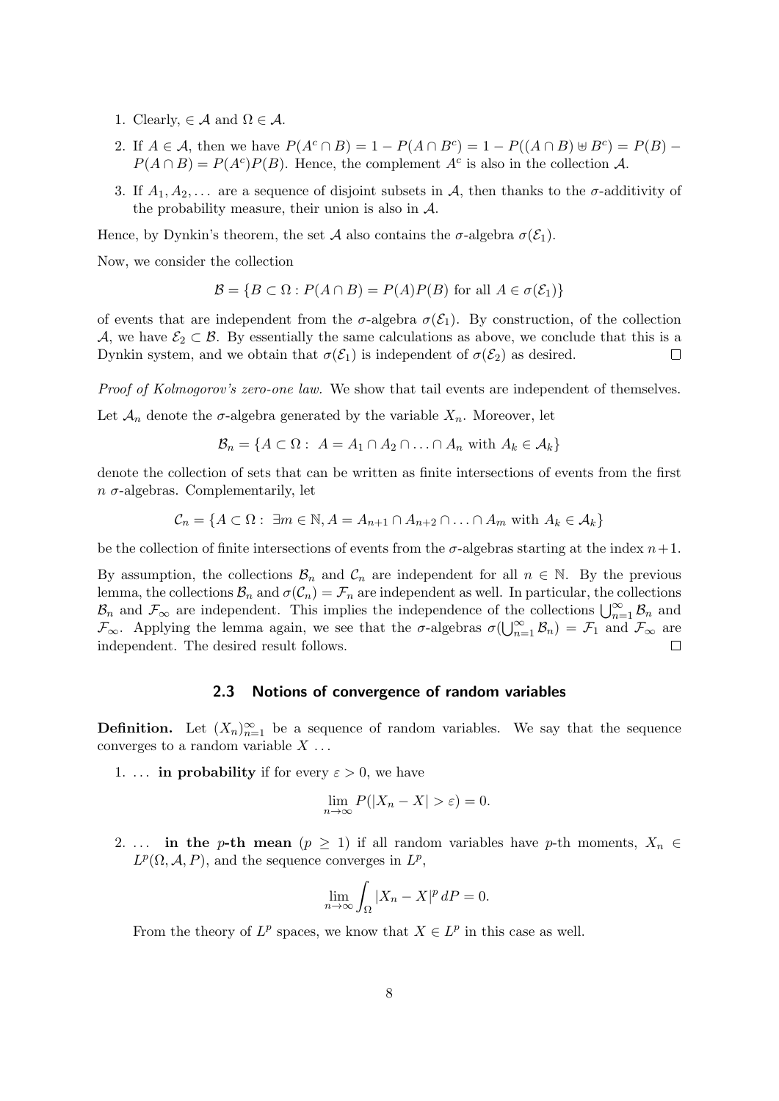- 1. Clearly,  $\in \mathcal{A}$  and  $\Omega \in \mathcal{A}$ .
- 2. If  $A \in \mathcal{A}$ , then we have  $P(A^c \cap B) = 1 P(A \cap B^c) = 1 P((A \cap B) \oplus B^c) = P(B) P(A \cap B) = P(A^c)P(B)$ . Hence, the complement *A<sup>c</sup>* is also in the collection *A*.
- 3. If  $A_1, A_2, \ldots$  are a sequence of disjoint subsets in A, then thanks to the  $\sigma$ -additivity of the probability measure, their union is also in *A*.

Hence, by Dynkin's theorem, the set *A* also contains the  $\sigma$ -algebra  $\sigma(\mathcal{E}_1)$ .

Now, we consider the collection

$$
\mathcal{B} = \{ B \subset \Omega : P(A \cap B) = P(A)P(B) \text{ for all } A \in \sigma(\mathcal{E}_1) \}
$$

of events that are independent from the  $\sigma$ -algebra  $\sigma(\mathcal{E}_1)$ . By construction, of the collection *A*, we have  $\mathcal{E}_2 \subset \mathcal{B}$ . By essentially the same calculations as above, we conclude that this is a Dynkin system, and we obtain that  $\sigma(\mathcal{E}_1)$  is independent of  $\sigma(\mathcal{E}_2)$  as desired.  $\Box$ 

*Proof of Kolmogorov's zero-one law.* We show that tail events are independent of themselves.

Let  $\mathcal{A}_n$  denote the  $\sigma$ -algebra generated by the variable  $X_n$ . Moreover, let

$$
\mathcal{B}_n = \{ A \subset \Omega : A = A_1 \cap A_2 \cap \ldots \cap A_n \text{ with } A_k \in \mathcal{A}_k \}
$$

denote the collection of sets that can be written as finite intersections of events from the first *n σ*-algebras. Complementarily, let

$$
\mathcal{C}_n = \{ A \subset \Omega : \exists m \in \mathbb{N}, A = A_{n+1} \cap A_{n+2} \cap \ldots \cap A_m \text{ with } A_k \in \mathcal{A}_k \}
$$

be the collection of finite intersections of events from the  $\sigma$ -algebras starting at the index  $n+1$ .

By assumption, the collections  $\mathcal{B}_n$  and  $\mathcal{C}_n$  are independent for all  $n \in \mathbb{N}$ . By the previous lemma, the collections  $\mathcal{B}_n$  and  $\sigma(\mathcal{C}_n) = \mathcal{F}_n$  are independent as well. In particular, the collections  $B_n$  and  $\mathcal{F}_{\infty}$  are independent. This implies the independence of the collections  $\bigcup_{n=1}^{\infty} \mathcal{B}_n$  and *F*<sub>∞</sub>. Applying the lemma again, we see that the *σ*-algebras  $\sigma(\bigcup_{n=1}^{\infty} \mathcal{B}_n) = \mathcal{F}_1$  and  $\mathcal{F}_{\infty}$  are independent. The desired result follows.

#### **2.3 Notions of convergence of random variables**

<span id="page-7-0"></span>**Definition.** Let  $(X_n)_{n=1}^{\infty}$  be a sequence of random variables. We say that the sequence converges to a random variable *X* . . .

1. ... **in probability** if for every  $\varepsilon > 0$ , we have

$$
\lim_{n \to \infty} P(|X_n - X| > \varepsilon) = 0.
$$

2. ... in the *p*-th mean ( $p \geq 1$ ) if all random variables have *p*-th moments,  $X_n \in$  $L^p(\Omega, \mathcal{A}, P)$ , and the sequence converges in  $L^p$ ,

$$
\lim_{n \to \infty} \int_{\Omega} |X_n - X|^p \, dP = 0.
$$

From the theory of  $L^p$  spaces, we know that  $X \in L^p$  in this case as well.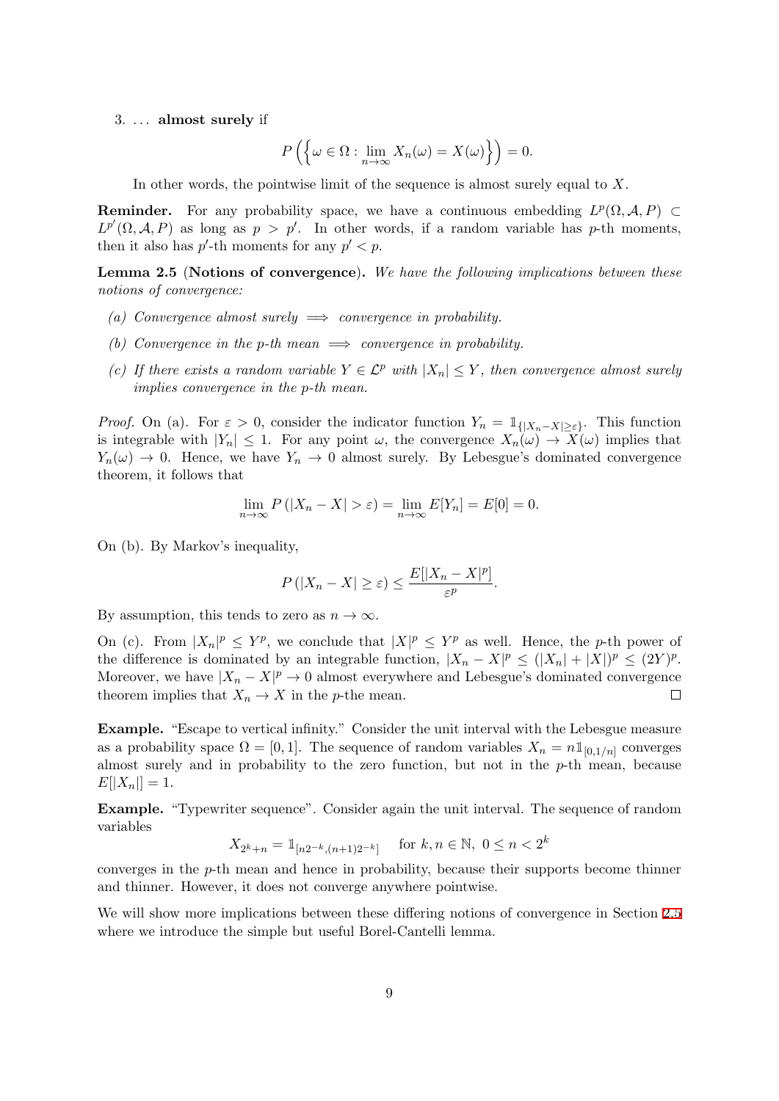3. . . . **almost surely** if

$$
P\left(\left\{\omega \in \Omega : \lim_{n \to \infty} X_n(\omega) = X(\omega)\right\}\right) = 0.
$$

In other words, the pointwise limit of the sequence is almost surely equal to *X*.

**Reminder.** For any probability space, we have a continuous embedding  $L^p(\Omega, \mathcal{A}, P) \subset$  $L^{p'}(\Omega, \mathcal{A}, P)$  as long as  $p > p'$ . In other words, if a random variable has *p*-th moments, then it also has  $p'$ -th moments for any  $p' < p$ .

**Lemma 2.5** (**Notions of convergence**)**.** *We have the following implications between these notions of convergence:*

- *(a) Convergence almost surely*  $\implies$  *convergence in probability.*
- *(b) Convergence in the p-th mean*  $\implies$  *convergence in probability.*
- *(c) If there exists a random variable*  $Y ∈ L^p$  *with*  $|X_n| ≤ Y$ *, then convergence almost surely implies convergence in the p-th mean.*

*Proof.* On (a). For  $\varepsilon > 0$ , consider the indicator function  $Y_n = \mathbb{1}_{\{|X_n - X| \ge \varepsilon\}}$ . This function is integrable with  $|Y_n| \leq 1$ . For any point  $\omega$ , the convergence  $X_n(\omega) \to X(\omega)$  implies that  $Y_n(\omega) \to 0$ . Hence, we have  $Y_n \to 0$  almost surely. By Lebesgue's dominated convergence theorem, it follows that

$$
\lim_{n \to \infty} P(|X_n - X| > \varepsilon) = \lim_{n \to \infty} E[Y_n] = E[0] = 0.
$$

On (b). By Markov's inequality,

$$
P(|X_n - X| \ge \varepsilon) \le \frac{E[|X_n - X|^p]}{\varepsilon^p}.
$$

By assumption, this tends to zero as  $n \to \infty$ .

On (c). From  $|X_n|^p \leq Y^p$ , we conclude that  $|X|^p \leq Y^p$  as well. Hence, the *p*-th power of the difference is dominated by an integrable function,  $|X_n - X|^p \leq (|X_n| + |X|)^p \leq (2Y)^p$ . Moreover, we have  $|X_n - X|^p \to 0$  almost everywhere and Lebesgue's dominated convergence theorem implies that  $X_n \to X$  in the *p*-the mean.  $\Box$ 

**Example.** "Escape to vertical infinity." Consider the unit interval with the Lebesgue measure as a probability space  $\Omega = [0, 1]$ . The sequence of random variables  $X_n = n \mathbb{1}_{[0,1/n]}$  converges almost surely and in probability to the zero function, but not in the *p*-th mean, because  $E[|X_n|] = 1.$ 

**Example.** "Typewriter sequence". Consider again the unit interval. The sequence of random variables

$$
X_{2^k+n} = \mathbb{1}_{[n2^{-k}, (n+1)2^{-k}]} \text{ for } k, n \in \mathbb{N}, 0 \le n < 2^k
$$

converges in the *p*-th mean and hence in probability, because their supports become thinner and thinner. However, it does not converge anywhere pointwise.

We will show more implications between these differing notions of convergence in Section 2.5 where we introduce the simple but useful Borel-Cantelli lemma.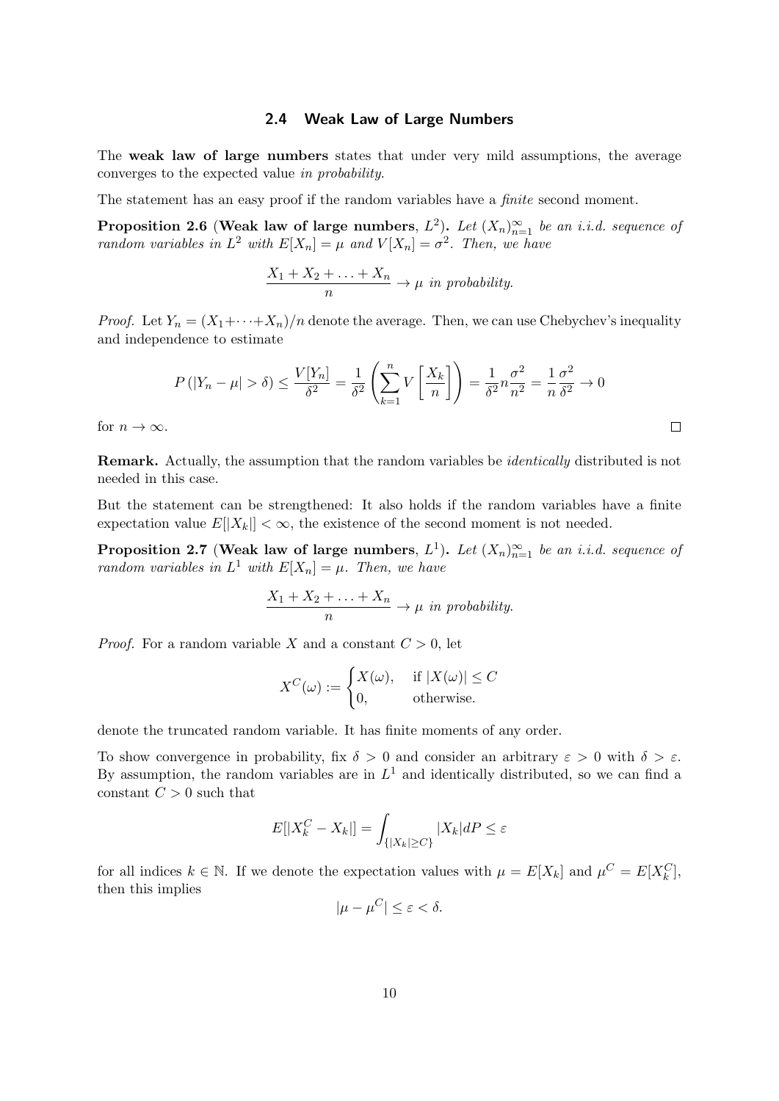#### **2.4 Weak Law of Large Numbers**

<span id="page-9-0"></span>The **weak law of large numbers** states that under very mild assumptions, the average converges to the expected value *in probability*.

The statement has an easy proof if the random variables have a *finite* second moment.

<span id="page-9-1"></span>**Proposition 2.6** (Weak law of large numbers,  $L^2$ ). Let  $(X_n)_{n=1}^{\infty}$  be an *i.i.d. sequence of random variables in*  $L^2$  *with*  $E[X_n] = \mu$  *and*  $V[X_n] = \sigma^2$ *. Then, we have* 

$$
\frac{X_1 + X_2 + \ldots + X_n}{n} \to \mu \text{ in probability.}
$$

*Proof.* Let  $Y_n = (X_1 + \cdots + X_n)/n$  denote the average. Then, we can use Chebychev's inequality and independence to estimate

$$
P(|Y_n - \mu| > \delta) \le \frac{V[Y_n]}{\delta^2} = \frac{1}{\delta^2} \left( \sum_{k=1}^n V\left[\frac{X_k}{n}\right] \right) = \frac{1}{\delta^2} n \frac{\sigma^2}{n^2} = \frac{1}{n} \frac{\sigma^2}{\delta^2} \to 0
$$

for  $n \to \infty$ .

**Remark.** Actually, the assumption that the random variables be *identically* distributed is not needed in this case.

But the statement can be strengthened: It also holds if the random variables have a finite expectation value  $E[|X_k|] < \infty$ , the existence of the second moment is not needed.

<span id="page-9-2"></span>**Proposition 2.7** (Weak law of large numbers,  $L^1$ ). Let  $(X_n)_{n=1}^{\infty}$  be an i.i.d. sequence of *random variables in*  $L^1$  *with*  $E[X_n] = \mu$ *. Then, we have* 

$$
\frac{X_1 + X_2 + \ldots + X_n}{n} \to \mu \text{ in probability.}
$$

*Proof.* For a random variable *X* and a constant  $C > 0$ , let

$$
X^{C}(\omega) := \begin{cases} X(\omega), & \text{if } |X(\omega)| \le C \\ 0, & \text{otherwise.} \end{cases}
$$

denote the truncated random variable. It has finite moments of any order.

To show convergence in probability, fix  $\delta > 0$  and consider an arbitrary  $\varepsilon > 0$  with  $\delta > \varepsilon$ . By assumption, the random variables are in  $L^1$  and identically distributed, so we can find a constant  $C > 0$  such that

$$
E[|X_k^C - X_k|] = \int_{\{|X_k| \ge C\}} |X_k| dP \le \varepsilon
$$

for all indices  $k \in \mathbb{N}$ . If we denote the expectation values with  $\mu = E[X_k]$  and  $\mu^C = E[X_k^C]$ , then this implies

$$
|\mu - \mu^C| \le \varepsilon < \delta.
$$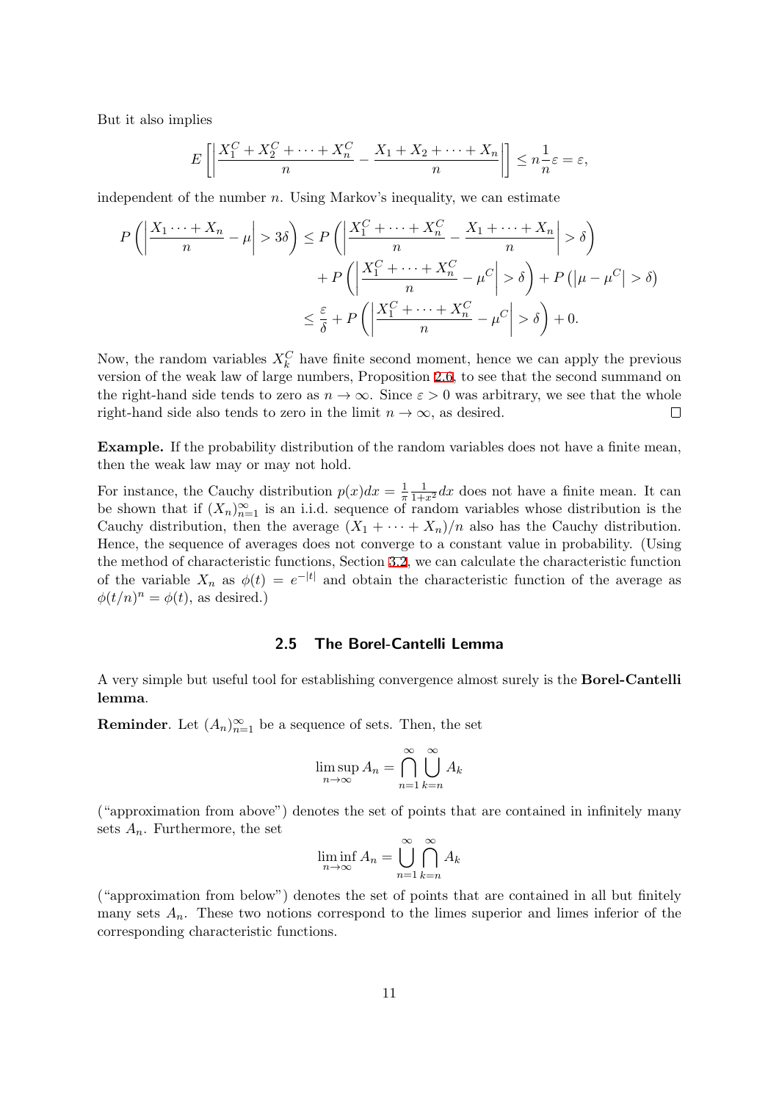But it also implies

$$
E\left[\left|\frac{X_1^C + X_2^C + \dots + X_n^C}{n} - \frac{X_1 + X_2 + \dots + X_n}{n}\right|\right] \le n \frac{1}{n} \varepsilon = \varepsilon,
$$

independent of the number *n*. Using Markov's inequality, we can estimate

$$
P\left(\left|\frac{X_1\cdots+X_n}{n}-\mu\right|>3\delta\right)\leq P\left(\left|\frac{X_1^C+\cdots+X_n^C}{n}-\frac{X_1+\cdots+X_n}{n}\right|>\delta\right)\\
+P\left(\left|\frac{X_1^C+\cdots+X_n^C}{n}-\mu^C\right|>\delta\right)+P\left(\left|\mu-\mu^C\right|>\delta\right)\\
\leq \frac{\varepsilon}{\delta}+P\left(\left|\frac{X_1^C+\cdots+X_n^C}{n}-\mu^C\right|>\delta\right)+0.
$$

Now, the random variables  $X_k^C$  have finite second moment, hence we can apply the previous version of the weak law of large numbers, Proposition 2.6, to see that the second summand on the right-hand side tends to zero as  $n \to \infty$ . Since  $\varepsilon > 0$  was arbitrary, we see that the whole right-hand side also tends to zero in the limit  $n \to \infty$ , as desired.  $\Box$ 

**Example.** If the probability distribution of the rando[m v](#page-9-1)ariables does not have a finite mean, then the weak law may or may not hold.

For instance, the Cauchy distribution  $p(x)dx = \frac{1}{\pi}$ *π*  $\frac{1}{1+x^2}dx$  does not have a finite mean. It can be shown that if  $(X_n)_{n=1}^{\infty}$  is an i.i.d. sequence of random variables whose distribution is the Cauchy distribution, then the average  $(X_1 + \cdots + X_n)/n$  also has the Cauchy distribution. Hence, the sequence of averages does not converge to a constant value in probability. (Using the method of characteristic functions, Section 3.2, we can calculate the characteristic function of the variable  $X_n$  as  $\phi(t) = e^{-|t|}$  and obtain the characteristic function of the average as  $\phi(t/n)^n = \phi(t)$ , as desired.)

#### **2.5 The Borel-Cantelli Lemma**

<span id="page-10-0"></span>A very simple but useful tool for establishing convergence almost surely is the **Borel-Cantelli lemma**.

**Reminder**. Let  $(A_n)_{n=1}^{\infty}$  be a sequence of sets. Then, the set

$$
\limsup_{n \to \infty} A_n = \bigcap_{n=1}^{\infty} \bigcup_{k=n}^{\infty} A_k
$$

("approximation from above") denotes the set of points that are contained in infinitely many sets  $A_n$ . Furthermore, the set

$$
\liminf_{n \to \infty} A_n = \bigcup_{n=1}^{\infty} \bigcap_{k=n}^{\infty} A_k
$$

("approximation from below") denotes the set of points that are contained in all but finitely many sets  $A_n$ . These two notions correspond to the limes superior and limes inferior of the corresponding characteristic functions.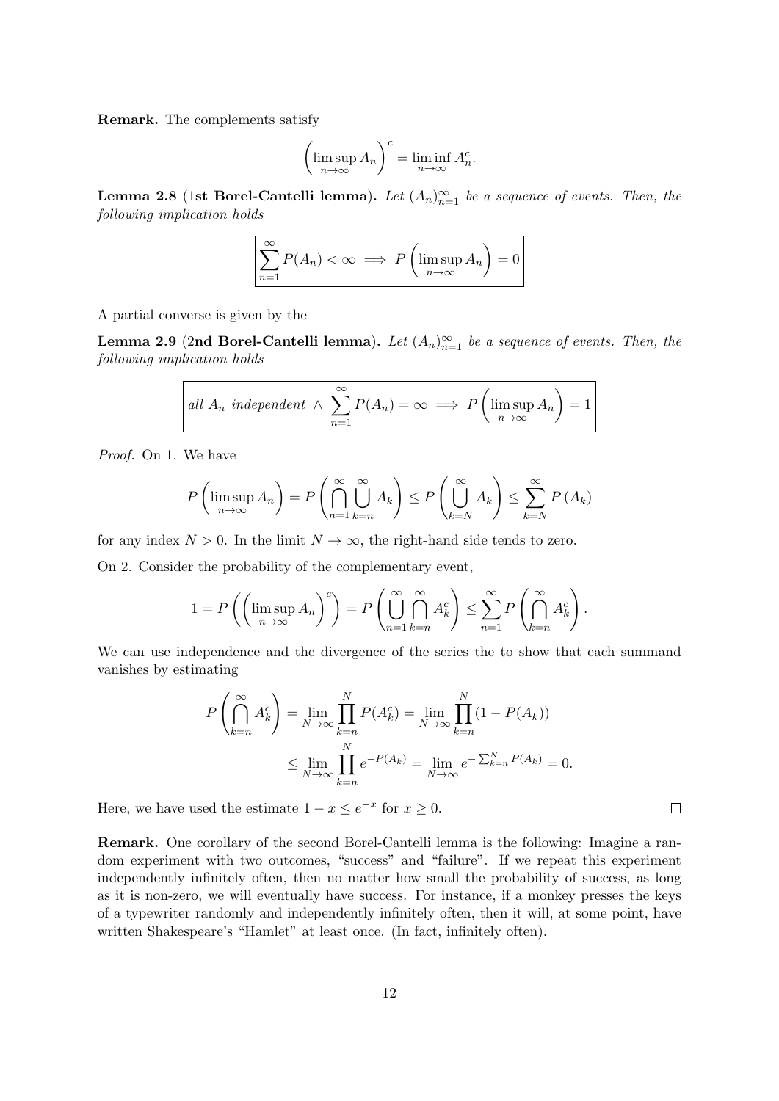**Remark.** The complements satisfy

$$
\left(\limsup_{n\to\infty} A_n\right)^c = \liminf_{n\to\infty} A_n^c.
$$

**Lemma 2.8** (1st Borel-Cantelli lemma). Let  $(A_n)_{n=1}^{\infty}$  be a sequence of events. Then, then *following implication holds*

$$
\sum_{n=1}^{\infty} P(A_n) < \infty \implies P\left(\limsup_{n \to \infty} A_n\right) = 0
$$

A partial converse is given by the

**Lemma 2.9** (2nd Borel-Cantelli lemma). Let  $(A_n)_{n=1}^{\infty}$  be a sequence of events. Then, then *following implication holds*

all 
$$
A_n
$$
 independent  $\wedge \sum_{n=1}^{\infty} P(A_n) = \infty \implies P\left(\limsup_{n \to \infty} A_n\right) = 1$ 

*Proof.* On 1. We have

$$
P\left(\limsup_{n\to\infty} A_n\right) = P\left(\bigcap_{n=1}^{\infty} \bigcup_{k=n}^{\infty} A_k\right) \le P\left(\bigcup_{k=N}^{\infty} A_k\right) \le \sum_{k=N}^{\infty} P\left(A_k\right)
$$

for any index  $N > 0$ . In the limit  $N \to \infty$ , the right-hand side tends to zero.

On 2. Consider the probability of the complementary event,

$$
1 = P\left(\left(\limsup_{n\to\infty} A_n\right)^c\right) = P\left(\bigcup_{n=1}^{\infty} \bigcap_{k=n}^{\infty} A_k^c\right) \le \sum_{n=1}^{\infty} P\left(\bigcap_{k=n}^{\infty} A_k^c\right).
$$

We can use independence and the divergence of the series the to show that each summand vanishes by estimating

$$
P\left(\bigcap_{k=n}^{\infty} A_k^c\right) = \lim_{N \to \infty} \prod_{k=n}^{N} P(A_k^c) = \lim_{N \to \infty} \prod_{k=n}^{N} (1 - P(A_k))
$$
  

$$
\leq \lim_{N \to \infty} \prod_{k=n}^{N} e^{-P(A_k)} = \lim_{N \to \infty} e^{-\sum_{k=n}^{N} P(A_k)} = 0.
$$

Here, we have used the estimate  $1 - x \le e^{-x}$  for  $x \ge 0$ .

**Remark.** One corollary of the second Borel-Cantelli lemma is the following: Imagine a random experiment with two outcomes, "success" and "failure". If we repeat this experiment independently infinitely often, then no matter how small the probability of success, as long as it is non-zero, we will eventually have success. For instance, if a monkey presses the keys of a typewriter randomly and independently infinitely often, then it will, at some point, have written Shakespeare's "Hamlet" at least once. (In fact, infinitely often).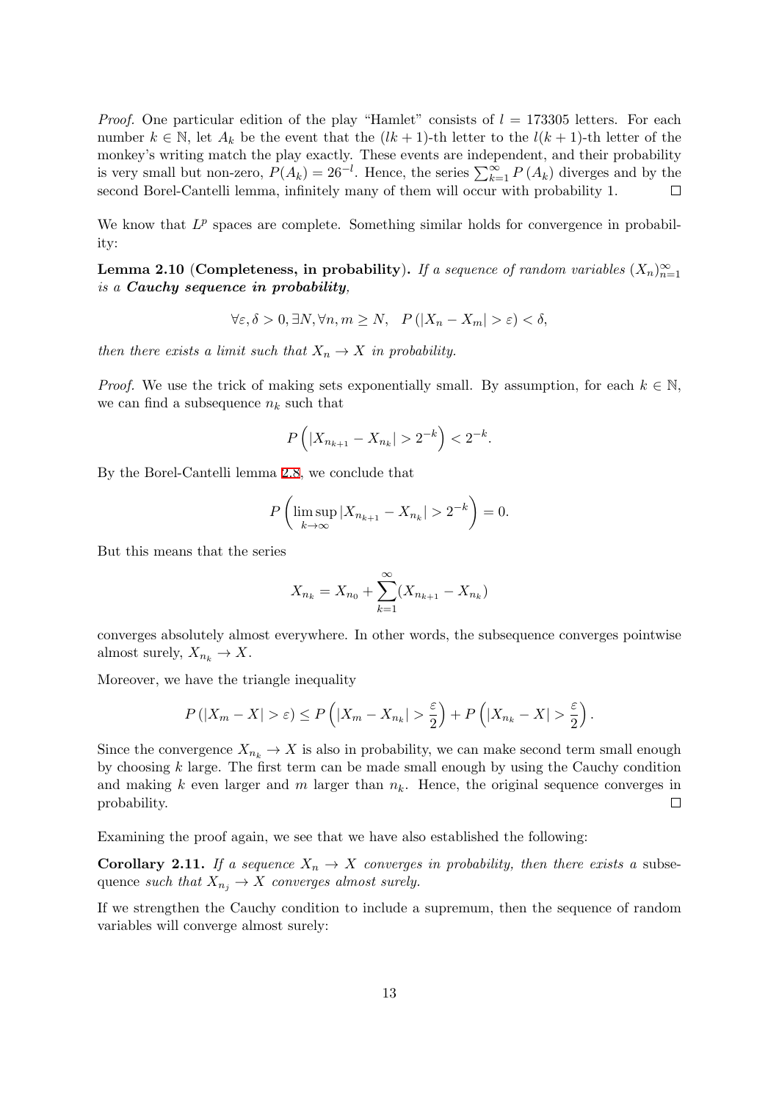*Proof.* One particular edition of the play "Hamlet" consists of  $l = 173305$  letters. For each number  $k \in \mathbb{N}$ , let  $A_k$  be the event that the  $(lk+1)$ -th letter to the  $l(k+1)$ -th letter of the monkey's writing match the play exactly. These events are independent, and their probability is very small but non-zero,  $P(A_k) = 26^{-l}$ . Hence, the series  $\sum_{k=1}^{\infty} P(A_k)$  diverges and by the second Borel-Cantelli lemma, infinitely many of them will occur with probability 1. □

We know that  $L^p$  spaces are complete. Something similar holds for convergence in probability:

**Lemma 2.10** (**Completeness, in probability**). If a sequence of random variables  $(X_n)_{n=1}^{\infty}$ *is a Cauchy sequence in probability,*

$$
\forall \varepsilon, \delta > 0, \exists N, \forall n, m \ge N, \quad P(|X_n - X_m| > \varepsilon) < \delta,
$$

*then there exists a limit such that*  $X_n \to X$  *in probability.* 

*Proof.* We use the trick of making sets exponentially small. By assumption, for each  $k \in \mathbb{N}$ , we can find a subsequence  $n_k$  such that

$$
P\left(|X_{n_{k+1}} - X_{n_k}| > 2^{-k}\right) < 2^{-k}.
$$

By the Borel-Cantelli lemma 2.8, we conclude that

$$
P\left(\limsup_{k \to \infty} |X_{n_{k+1}} - X_{n_k}| > 2^{-k}\right) = 0.
$$

But this means that the series

$$
X_{n_k} = X_{n_0} + \sum_{k=1}^{\infty} (X_{n_{k+1}} - X_{n_k})
$$

converges absolutely almost everywhere. In other words, the subsequence converges pointwise almost surely,  $X_{n_k} \to X$ .

Moreover, we have the triangle inequality

$$
P(|X_m - X| > \varepsilon) \le P\left(|X_m - X_{n_k}| > \frac{\varepsilon}{2}\right) + P\left(|X_{n_k} - X| > \frac{\varepsilon}{2}\right).
$$

Since the convergence  $X_{n_k} \to X$  is also in probability, we can make second term small enough by choosing *k* large. The first term can be made small enough by using the Cauchy condition and making *k* even larger and *m* larger than *nk*. Hence, the original sequence converges in probability.  $\Box$ 

Examining the proof again, we see that we have also established the following:

**Corollary 2.11.** *If a sequence*  $X_n \to X$  *converges in probability, then there exists a subse*quence *such that*  $X_{n_j} \to X$  *converges almost surely.* 

If we strengthen the Cauchy condition to include a supremum, then the sequence of random variables will converge almost surely: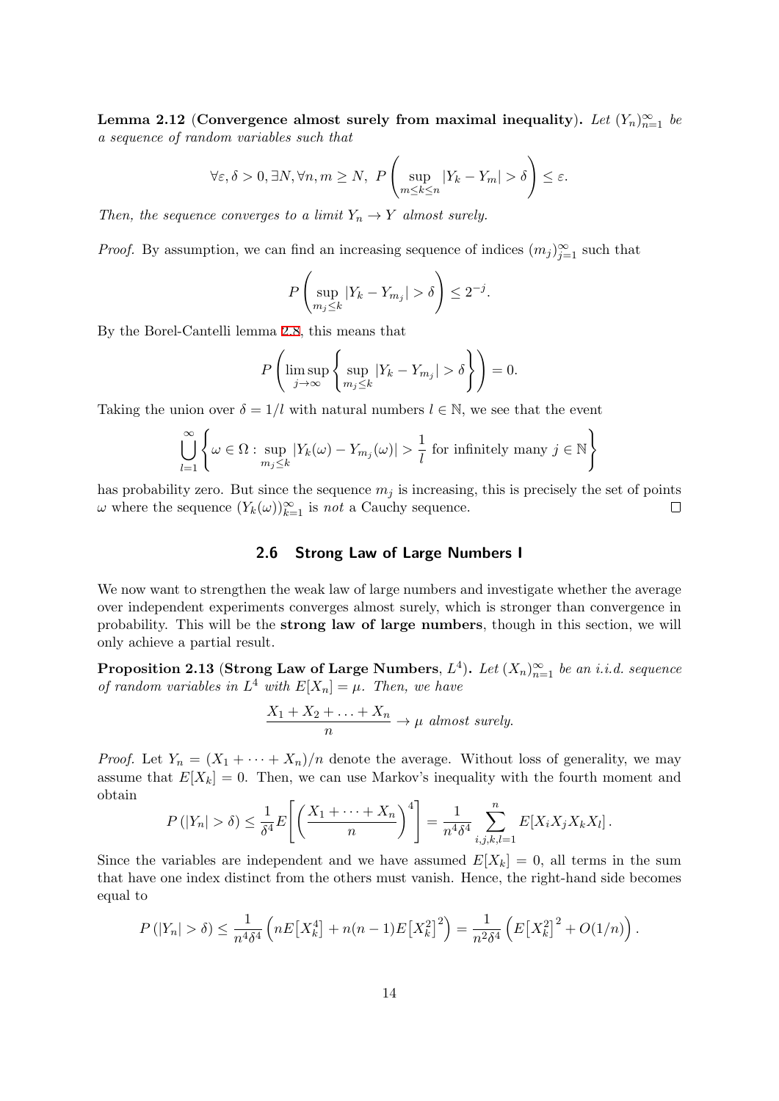**Lemma 2.12** (Convergence almost surely from maximal inequality). Let  $(Y_n)_{n=1}^{\infty}$  be *a sequence of random variables such that*

$$
\forall \varepsilon, \delta > 0, \exists N, \forall n, m \ge N, \ P\left(\sup_{m \le k \le n} |Y_k - Y_m| > \delta\right) \le \varepsilon.
$$

<span id="page-13-1"></span>*Then, the sequence converges to a limit*  $Y_n \to Y$  *almost surely.* 

*Proof.* By assumption, we can find an increasing sequence of indices  $(m_j)_{j=1}^{\infty}$  such that

$$
P\left(\sup_{m_j\leq k}|Y_k-Y_{m_j}|>\delta\right)\leq 2^{-j}.
$$

By the Borel-Cantelli lemma 2.8, this means that

$$
P\left(\limsup_{j\to\infty}\left\{\sup_{m_j\leq k}|Y_k-Y_{m_j}|>\delta\right\}\right)=0.
$$

Taking the union over  $\delta = 1/l$  with natural numbers  $l \in \mathbb{N}$ , we see that the event

$$
\bigcup_{l=1}^{\infty} \left\{ \omega \in \Omega : \sup_{m_j \leq k} |Y_k(\omega) - Y_{m_j}(\omega)| > \frac{1}{l} \text{ for infinitely many } j \in \mathbb{N} \right\}
$$

has probability zero. But since the sequence  $m_j$  is increasing, this is precisely the set of points  $\omega$  where the sequence  $(Y_k(\omega))_{k=1}^{\infty}$  is *not* a Cauchy sequence.  $\Box$ 

#### **2.6 Strong Law of Large Numbers I**

<span id="page-13-0"></span>We now want to strengthen the weak law of large numbers and investigate whether the average over independent experiments converges almost surely, which is stronger than convergence in probability. This will be the **strong law of large numbers**, though in this section, we will only achieve a partial result.

 $\bf{Proposition 2.13}$  ( $\bf{Strong Law of Large Numbers}, L^4$ ).  $Let(X_n)_{n=1}^{\infty}$  be an i.i.d. sequence *of random variables in*  $L^4$  *with*  $E[X_n] = \mu$ *. Then, we have* 

$$
\frac{X_1 + X_2 + \ldots + X_n}{n} \to \mu \text{ almost surely.}
$$

*Proof.* Let  $Y_n = (X_1 + \cdots + X_n)/n$  denote the average. Without loss of generality, we may assume that  $E[X_k] = 0$ . Then, we can use Markov's inequality with the fourth moment and obtain

$$
P(|Y_n| > \delta) \leq \frac{1}{\delta^4} E\left[ \left( \frac{X_1 + \dots + X_n}{n} \right)^4 \right] = \frac{1}{n^4 \delta^4} \sum_{i,j,k,l=1}^n E[X_i X_j X_k X_l].
$$

Since the variables are independent and we have assumed  $E[X_k] = 0$ , all terms in the sum that have one index distinct from the others must vanish. Hence, the right-hand side becomes equal to

$$
P(|Y_n| > \delta) \le \frac{1}{n^4 \delta^4} \left( n E\left[X_k^4\right] + n(n-1) E\left[X_k^2\right]^2 \right) = \frac{1}{n^2 \delta^4} \left( E\left[X_k^2\right]^2 + O(1/n) \right).
$$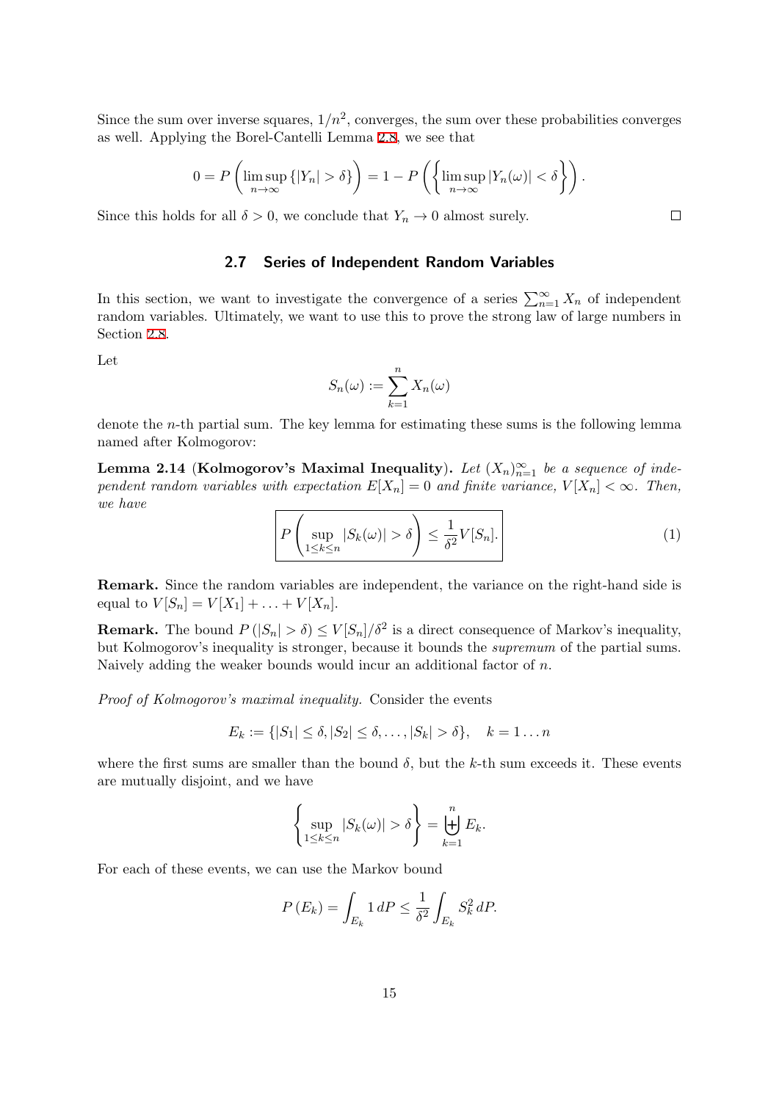Since the sum over inverse squares,  $1/n^2$ , converges, the sum over these probabilities converges as well. Applying the Borel-Cantelli Lemma 2.8, we see that

$$
0 = P\left(\limsup_{n\to\infty} \{|Y_n| > \delta\}\right) = 1 - P\left(\left{\limsup_{n\to\infty} |Y_n(\omega)| < \delta\right\}\right).
$$

Since this holds for all  $\delta > 0$ , we conclude that  $Y_n \to 0$  almost surely.

 $\Box$ 

#### **2.7 Series of Independent Random Variables**

<span id="page-14-0"></span>In this section, we want to investigate the convergence of a series  $\sum_{n=1}^{\infty} X_n$  of independent random variables. Ultimately, we want to use this to prove the strong law of large numbers in Section 2.8.

Let

$$
S_n(\omega) := \sum_{k=1}^n X_n(\omega)
$$

denote the *n*-th partial sum. The key lemma for estimating these sums is the following lemma named after Kolmogorov:

**Lemma 2.14** (**Kolmogorov's Maximal Inequality**). Let  $(X_n)_{n=1}^{\infty}$  be a sequence of inde*pendent random variables with expectation*  $E[X_n] = 0$  *and finite variance*,  $V[X_n] < \infty$ *. Then, we have*

$$
P\left(\sup_{1\leq k\leq n}|S_k(\omega)|>\delta\right)\leq \frac{1}{\delta^2}V[S_n].\tag{1}
$$

**Remark.** Since the random variables are independent, the variance on the right-hand side is equal to  $V[S_n] = V[X_1] + ... + V[X_n]$ .

**Remark.** The bound  $P(|S_n| > \delta) \le V[S_n]/\delta^2$  is a direct consequence of Markov's inequality, but Kolmogorov's inequality is stronger, because it bounds the *supremum* of the partial sums. Naively adding the weaker bounds would incur an additional factor of *n*.

*Proof of Kolmogorov's maximal inequality.* Consider the events

$$
E_k := \{ |S_1| \le \delta, |S_2| \le \delta, \dots, |S_k| > \delta \}, \quad k = 1 \dots n
$$

where the first sums are smaller than the bound  $\delta$ , but the  $k$ -th sum exceeds it. These events are mutually disjoint, and we have

$$
\left\{\sup_{1\leq k\leq n}|S_k(\omega)|>\delta\right\}=\biguplus_{k=1}^n E_k.
$$

For each of these events, we can use the Markov bound

$$
P(E_k) = \int_{E_k} 1 dP \le \frac{1}{\delta^2} \int_{E_k} S_k^2 dP.
$$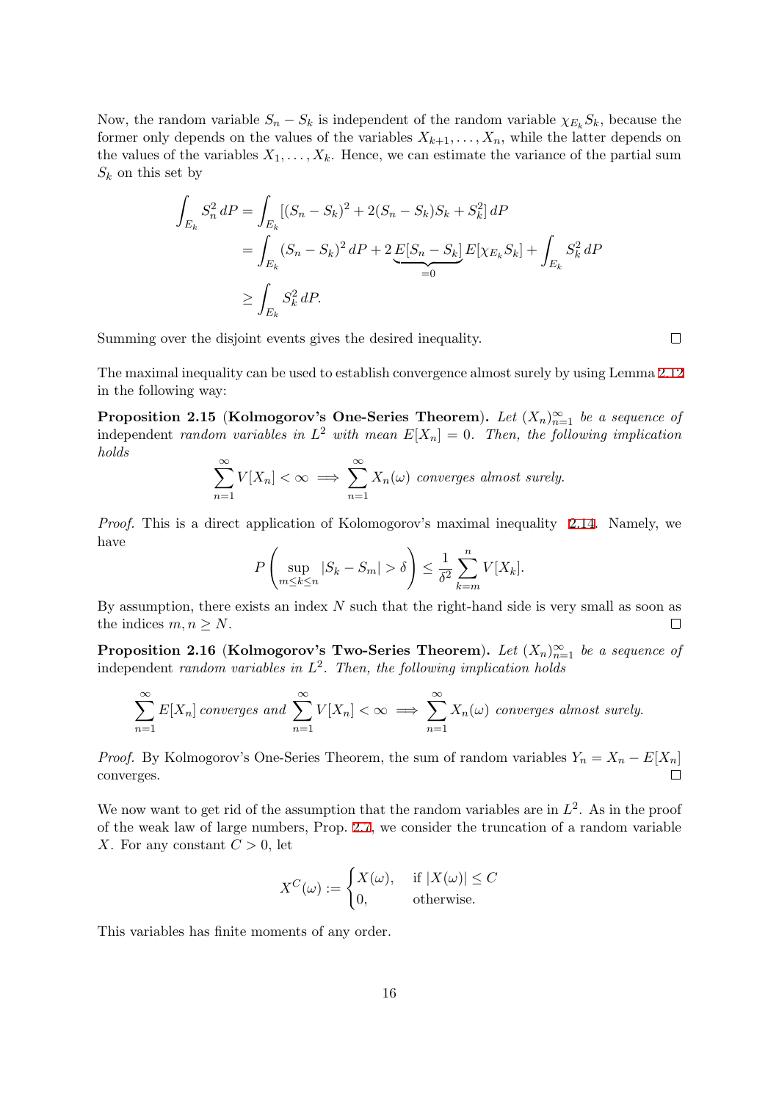Now, the random variable  $S_n - S_k$  is independent of the random variable  $\chi_{E_k} S_k$ , because the former only depends on the values of the variables  $X_{k+1}, \ldots, X_n$ , while the latter depends on the values of the variables  $X_1, \ldots, X_k$ . Hence, we can estimate the variance of the partial sum  $S_k$  on this set by

$$
\int_{E_k} S_n^2 dP = \int_{E_k} [(S_n - S_k)^2 + 2(S_n - S_k)S_k + S_k^2] dP
$$
  
= 
$$
\int_{E_k} (S_n - S_k)^2 dP + 2 \underbrace{E[S_n - S_k]}_{=0} E[\chi_{E_k} S_k] + \int_{E_k} S_k^2 dP
$$
  

$$
\ge \int_{E_k} S_k^2 dP.
$$

Summing over the disjoint events gives the desired inequality.

The maximal inequality can be used to establish convergence almost surely by using Lemma 2.12 in the following way:

**Proposition 2.15** (**Kolmogorov's One-Series Theorem**). Let  $(X_n)_{n=1}^{\infty}$  be a sequence of independent *random variables in*  $L^2$  *with mean*  $E[X_n] = 0$ . Then, the following implica[tion](#page-13-1) *holds*

$$
\sum_{n=1}^{\infty} V[X_n] < \infty \implies \sum_{n=1}^{\infty} X_n(\omega) \text{ converges almost surely.}
$$

<span id="page-15-0"></span>*Proof.* This is a direct application of Kolomogorov's maximal inequality 2.14. Namely, we have

$$
P\left(\sup_{m\leq k\leq n}|S_k-S_m|>\delta\right)\leq \frac{1}{\delta^2}\sum_{k=m}^n V[X_k].
$$

By assumption, there exists an index *N* such that the right-hand side is very small as soon as the indices  $m, n \geq N$ .  $\Box$ 

**Proposition 2.16** (**Kolmogorov's Two-Series Theorem**). Let  $(X_n)_{n=1}^{\infty}$  be a sequence of independent *random variables in L* 2 *. Then, the following implication holds*

$$
\sum_{n=1}^{\infty} E[X_n] \text{ converges and } \sum_{n=1}^{\infty} V[X_n] < \infty \implies \sum_{n=1}^{\infty} X_n(\omega) \text{ converges almost surely.}
$$

*Proof.* By Kolmogorov's One-Series Theorem, the sum of random variables  $Y_n = X_n - E[X_n]$ converges.  $\Box$ 

We now want to get rid of the assumption that the random variables are in  $L^2$ . As in the proof of the weak law of large numbers, Prop. 2.7, we consider the truncation of a random variable *X*. For any constant  $C > 0$ , let

$$
X^{C}(\omega) := \begin{cases} X(\omega), & \text{if } |X(\omega)| \le C \\ 0, & \text{otherwise.} \end{cases}
$$

This variables has finite moments of any order.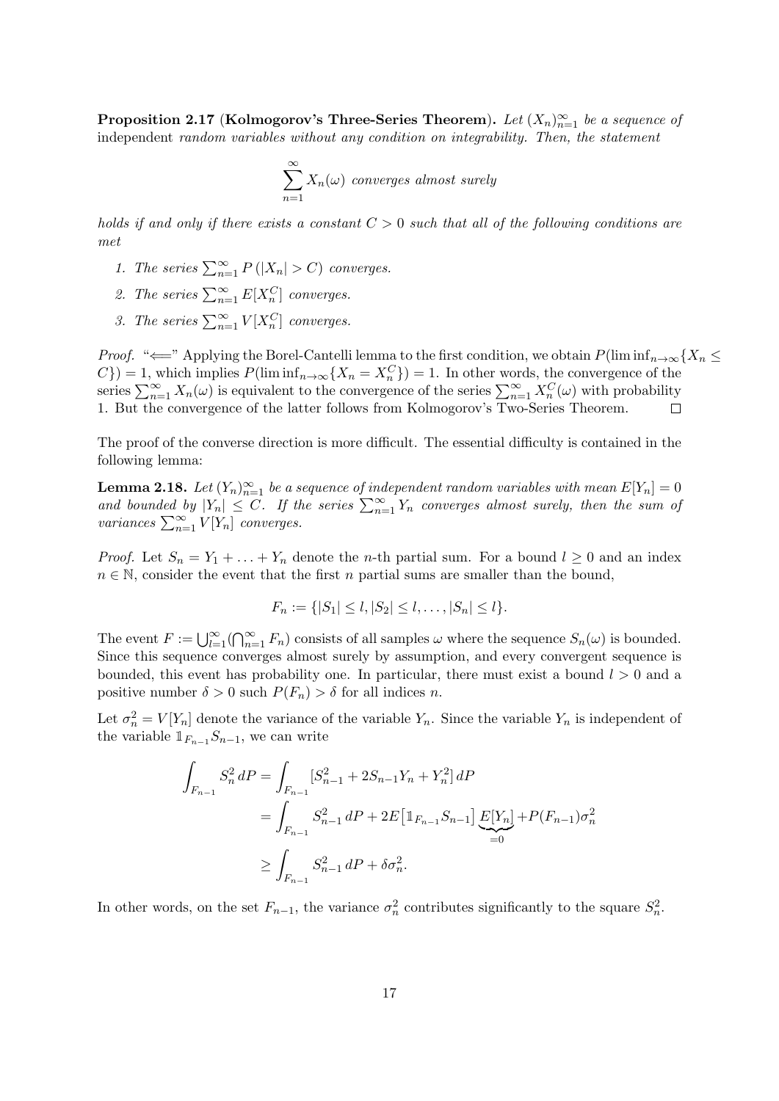**Proposition 2.17** (**Kolmogorov's Three-Series Theorem**). Let  $(X_n)_{n=1}^{\infty}$  be a sequence of independent *random variables without any condition on integrability. Then, the statement*

$$
\sum_{n=1}^{\infty} X_n(\omega) \text{ converges almost surely}
$$

*holds if and only if there exists a constant C >* 0 *such that all of the following conditions are met*

- *1. The series*  $\sum_{n=1}^{\infty} P(|X_n| > C)$  *converges.*
- 2. *The series*  $\sum_{n=1}^{\infty} E[X_n^C]$  *converges.*
- 3. *The series*  $\sum_{n=1}^{\infty} V[X_n^C]$  *converges.*

*Proof.* " $\Longleftarrow$ " Applying the Borel-Cantelli lemma to the first condition, we obtain  $P(\liminf_{n\to\infty}\{X_n\leq x\})$  $C$ <sup>}</sup>) = 1, which implies  $P(\liminf_{n\to\infty} \{X_n = X_n^C\}) = 1$ . In other words, the convergence of the series  $\sum_{n=1}^{\infty} X_n(\omega)$  is equivalent to the convergence of the series  $\sum_{n=1}^{\infty} X_n^C(\omega)$  with probability 1. But the convergence of the latter follows from Kolmogorov's Two-Series Theorem. П

The proof of the converse direction is more difficult. The essential difficulty is contained in the following lemma:

**Lemma 2.18.** *Let*  $(Y_n)_{n=1}^{\infty}$  *be a sequence of independent random variables with mean*  $E[Y_n] = 0$ *and bounded by*  $|Y_n| \leq C$ *. If the series*  $\sum_{n=1}^{\infty} Y_n$  *converges almost surely, then the sum of*  $variances \sum_{n=1}^{\infty} V[Y_n]$  *converges.* 

*Proof.* Let  $S_n = Y_1 + \ldots + Y_n$  denote the *n*-th partial sum. For a bound  $l \geq 0$  and an index  $n \in \mathbb{N}$ , consider the event that the first *n* partial sums are smaller than the bound,

$$
F_n := \{ |S_1| \le l, |S_2| \le l, \ldots, |S_n| \le l \}.
$$

The event  $F := \bigcup_{l=1}^{\infty} (\bigcap_{n=1}^{\infty} F_n)$  consists of all samples  $\omega$  where the sequence  $S_n(\omega)$  is bounded. Since this sequence converges almost surely by assumption, and every convergent sequence is bounded, this event has probability one. In particular, there must exist a bound *l >* 0 and a positive number  $\delta > 0$  such  $P(F_n) > \delta$  for all indices *n*.

Let  $\sigma_n^2 = V[Y_n]$  denote the variance of the variable  $Y_n$ . Since the variable  $Y_n$  is independent of the variable  $1_{F_{n-1}}S_{n-1}$ , we can write

$$
\int_{F_{n-1}} S_n^2 dP = \int_{F_{n-1}} [S_{n-1}^2 + 2S_{n-1}Y_n + Y_n^2] dP
$$
  
= 
$$
\int_{F_{n-1}} S_{n-1}^2 dP + 2E[\mathbb{1}_{F_{n-1}} S_{n-1}] \underbrace{E[Y_n]}_{=0} + P(F_{n-1})\sigma_n^2
$$
  

$$
\geq \int_{F_{n-1}} S_{n-1}^2 dP + \delta \sigma_n^2.
$$

In other words, on the set  $F_{n-1}$ , the variance  $\sigma_n^2$  contributes significantly to the square  $S_n^2$ .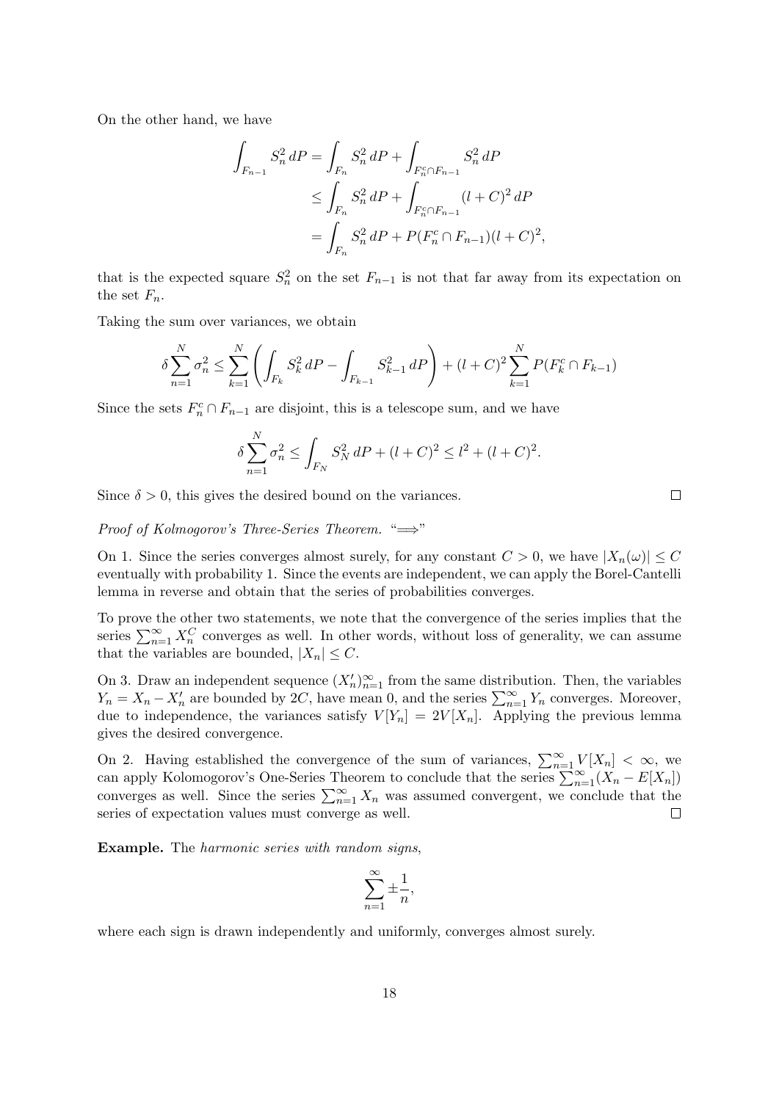On the other hand, we have

$$
\int_{F_{n-1}} S_n^2 dP = \int_{F_n} S_n^2 dP + \int_{F_n^c \cap F_{n-1}} S_n^2 dP
$$
  
\n
$$
\leq \int_{F_n} S_n^2 dP + \int_{F_n^c \cap F_{n-1}} (l + C)^2 dP
$$
  
\n
$$
= \int_{F_n} S_n^2 dP + P(F_n^c \cap F_{n-1})(l + C)^2,
$$

that is the expected square  $S_n^2$  on the set  $F_{n-1}$  is not that far away from its expectation on the set  $F_n$ .

Taking the sum over variances, we obtain

$$
\delta \sum_{n=1}^{N} \sigma_n^2 \le \sum_{k=1}^{N} \left( \int_{F_k} S_k^2 dP - \int_{F_{k-1}} S_{k-1}^2 dP \right) + (l+C)^2 \sum_{k=1}^{N} P(F_k^c \cap F_{k-1})
$$

Since the sets  $F_n^c \cap F_{n-1}$  are disjoint, this is a telescope sum, and we have

$$
\delta \sum_{n=1}^{N} \sigma_n^2 \le \int_{F_N} S_N^2 \, dP + (l+C)^2 \le l^2 + (l+C)^2.
$$

Since  $\delta > 0$ , this gives the desired bound on the variances.

*Proof of Kolmogorov's Three-Series Theorem.* "⇒"

On 1. Since the series converges almost surely, for any constant  $C > 0$ , we have  $|X_n(\omega)| \leq C$ eventually with probability 1. Since the events are independent, we can apply the Borel-Cantelli lemma in reverse and obtain that the series of probabilities converges.

To prove the other two statements, we note that the convergence of the series implies that the series  $\sum_{n=1}^{\infty} X_n^C$  converges as well. In other words, without loss of generality, we can assume that the variables are bounded,  $|X_n| \leq C$ .

On 3. Draw an independent sequence  $(X'_n)_{n=1}^{\infty}$  from the same distribution. Then, the variables  $Y_n = X_n - X'_n$  are bounded by 2*C*, have mean 0, and the series  $\sum_{n=1}^{\infty} Y_n$  converges. Moreover, due to independence, the variances satisfy  $V[Y_n] = 2V[X_n]$ . Applying the previous lemma gives the desired convergence.

On 2. Having established the convergence of the sum of variances,  $\sum_{n=1}^{\infty} V[X_n] < \infty$ , we can apply Kolomogorov's One-Series Theorem to conclude that the series  $\sum_{n=1}^{\infty} (X_n - E[X_n])$ converges as well. Since the series  $\sum_{n=1}^{\infty} X_n$  was assumed convergent, we conclude that the series of expectation values must converge as well.  $\Box$ 

**Example.** The *harmonic series with random signs*,

$$
\sum_{n=1}^{\infty} \pm \frac{1}{n},
$$

where each sign is drawn independently and uniformly, converges almost surely.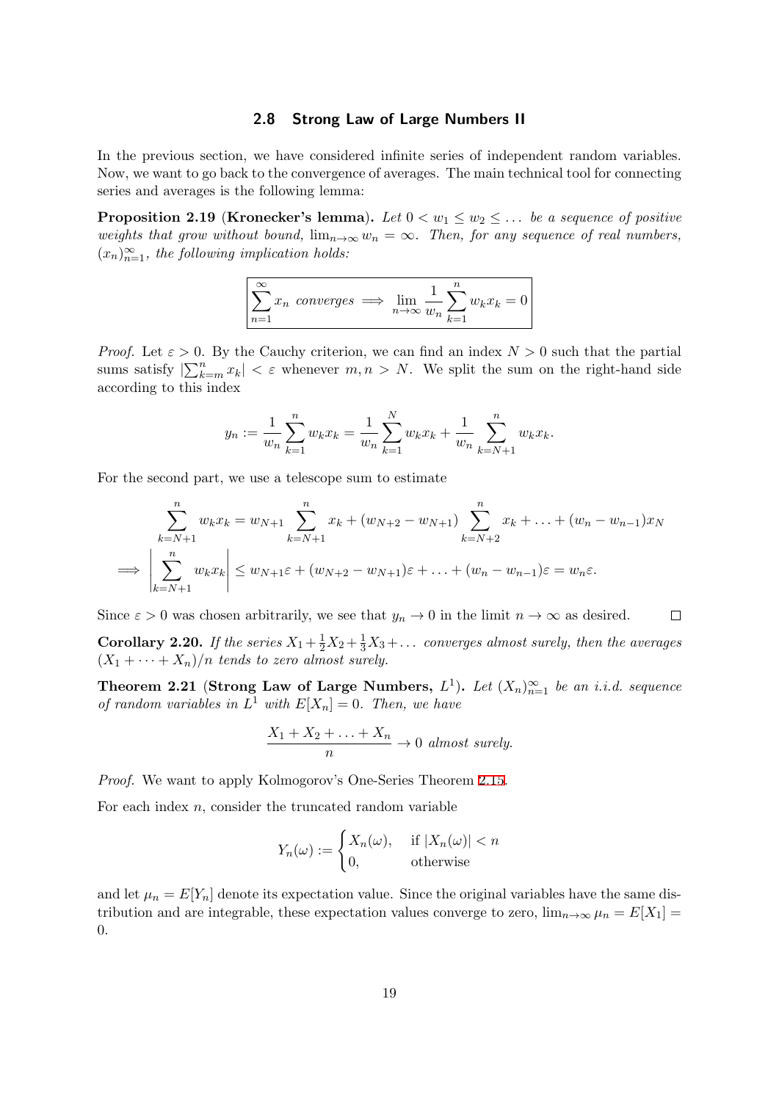#### **2.8 Strong Law of Large Numbers II**

<span id="page-18-0"></span>In the previous section, we have considered infinite series of independent random variables. Now, we want to go back to the convergence of averages. The main technical tool for connecting series and averages is the following lemma:

<span id="page-18-1"></span>**Proposition 2.19** (**Kronecker's lemma**). Let  $0 < w_1 \leq w_2 \leq \ldots$  be a sequence of positive *weights that grow without bound,*  $\lim_{n\to\infty} w_n = \infty$ . Then, for any sequence of real numbers,  $(x_n)_{n=1}^{\infty}$ , the following implication holds:

$$
\sum_{n=1}^{\infty} x_n \text{ converges} \implies \lim_{n \to \infty} \frac{1}{w_n} \sum_{k=1}^{n} w_k x_k = 0
$$

*Proof.* Let  $\varepsilon > 0$ . By the Cauchy criterion, we can find an index  $N > 0$  such that the partial sums satisfy  $|\sum_{k=m}^{n} x_k| < \varepsilon$  whenever  $m, n > N$ . We split the sum on the right-hand side according to this index

$$
y_n := \frac{1}{w_n} \sum_{k=1}^n w_k x_k = \frac{1}{w_n} \sum_{k=1}^N w_k x_k + \frac{1}{w_n} \sum_{k=N+1}^n w_k x_k.
$$

For the second part, we use a telescope sum to estimate

$$
\sum_{k=N+1}^{n} w_k x_k = w_{N+1} \sum_{k=N+1}^{n} x_k + (w_{N+2} - w_{N+1}) \sum_{k=N+2}^{n} x_k + \dots + (w_n - w_{n-1}) x_N
$$
  

$$
\implies \left| \sum_{k=N+1}^{n} w_k x_k \right| \le w_{N+1} \varepsilon + (w_{N+2} - w_{N+1}) \varepsilon + \dots + (w_n - w_{n-1}) \varepsilon = w_n \varepsilon.
$$

 $\Box$ Since  $\varepsilon > 0$  was chosen arbitrarily, we see that  $y_n \to 0$  in the limit  $n \to \infty$  as desired.

**Corollary 2.20.** If the series  $X_1 + \frac{1}{2}X_2 + \frac{1}{3}X_3 + \dots$  converges almost surely, then the averages  $(X_1 + \cdots + X_n)/n$  *tends to zero almost surely.* 

**Theorem 2.21** (Strong Law of Large Numbers,  $L^1$ ). Let  $(X_n)_{n=1}^{\infty}$  be an i.i.d. sequence *of random variables in*  $L^1$  *with*  $E[X_n] = 0$ *. Then, we have* 

$$
\frac{X_1 + X_2 + \ldots + X_n}{n} \to 0 \text{ almost surely.}
$$

*Proof.* We want to apply Kolmogorov's One-Series Theorem 2.15.

For each index *n*, consider the truncated random variable

$$
Y_n(\omega) := \begin{cases} X_n(\omega), & \text{if } |X_n(\omega)| < n \\ 0, & \text{otherwise} \end{cases}
$$

and let  $\mu_n = E[Y_n]$  denote its expectation value. Since the original variables have the same distribution and are integrable, these expectation values converge to zero,  $\lim_{n\to\infty} \mu_n = E[X_1] =$ 0.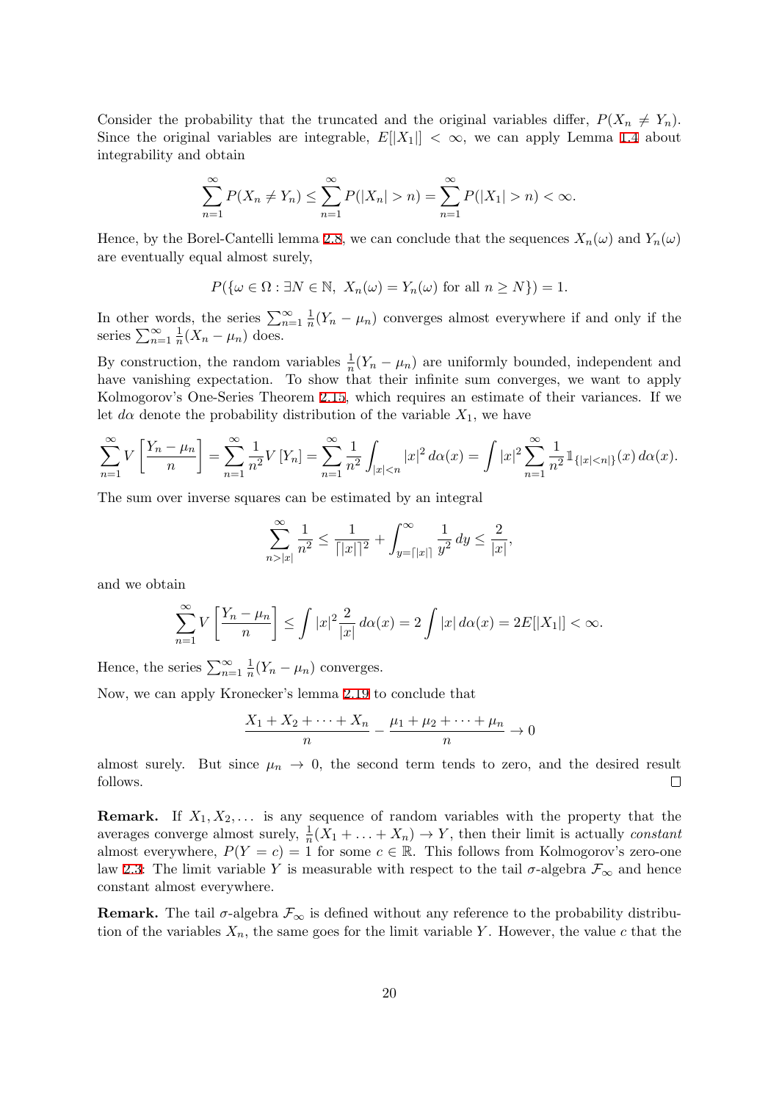Consider the probability that the truncated and the original variables differ,  $P(X_n \neq Y_n)$ . Since the original variables are integrable,  $E[|X_1|] < \infty$ , we can apply Lemma 1.4 about integrability and obtain

$$
\sum_{n=1}^{\infty} P(X_n \neq Y_n) \leq \sum_{n=1}^{\infty} P(|X_n| > n) = \sum_{n=1}^{\infty} P(|X_1| > n) < \infty.
$$

Hence, by the Borel-Cantelli lemma 2.8, we can conclude that the sequences  $X_n(\omega)$  and  $Y_n(\omega)$ are eventually equal almost surely,

$$
P(\{\omega \in \Omega : \exists N \in \mathbb{N}, \ X_n(\omega) = Y_n(\omega) \text{ for all } n \ge N\}) = 1.
$$

In other words, the series  $\sum_{n=1}^{\infty} \frac{1}{n}$  $\frac{1}{n}(Y_n - \mu_n)$  converges almost everywhere if and only if the series  $\sum_{n=1}^{\infty} \frac{1}{n}$  $\frac{1}{n}(X_n - \mu_n)$  does.

By construction, the random variables  $\frac{1}{n}(Y_n - \mu_n)$  are uniformly bounded, independent and have vanishing expectation. To show that their infinite sum converges, we want to apply Kolmogorov's One-Series Theorem 2.15, which requires an estimate of their variances. If we let  $d\alpha$  denote the probability distribution of the variable  $X_1$ , we have

$$
\sum_{n=1}^{\infty} V\left[\frac{Y_n - \mu_n}{n}\right] = \sum_{n=1}^{\infty} \frac{1}{n^2} V\left[Y_n\right] = \sum_{n=1}^{\infty} \frac{1}{n^2} \int_{|x| < n} |x|^2 \, d\alpha(x) = \int |x|^2 \sum_{n=1}^{\infty} \frac{1}{n^2} \mathbb{1}_{\{|x| < n\}}(x) \, d\alpha(x).
$$

The sum over inverse squares can be estimated by an integral

$$
\sum_{n>|x|}^{\infty} \frac{1}{n^2} \le \frac{1}{\lceil |x|\rceil^2} + \int_{y=\lceil |x|\rceil}^{\infty} \frac{1}{y^2} \, dy \le \frac{2}{|x|},
$$

and we obtain

$$
\sum_{n=1}^{\infty} V\left[\frac{Y_n - \mu_n}{n}\right] \le \int |x|^2 \frac{2}{|x|} \, d\alpha(x) = 2 \int |x| \, d\alpha(x) = 2E[|X_1|] < \infty.
$$

Hence, the series  $\sum_{n=1}^{\infty} \frac{1}{n}$  $\frac{1}{n}(Y_n - \mu_n)$  converges.

Now, we can apply Kronecker's lemma 2.19 to conclude that

$$
\frac{X_1 + X_2 + \dots + X_n}{n} - \frac{\mu_1 + \mu_2 + \dots + \mu_n}{n} \to 0
$$

almost surely. But since  $\mu_n \to 0$ , th[e se](#page-18-1)cond term tends to zero, and the desired result  $\Box$ follows.

**Remark.** If  $X_1, X_2, \ldots$  is any sequence of random variables with the property that the averages converge almost surely,  $\frac{1}{n}(X_1 + \ldots + X_n) \to Y$ , then their limit is actually *constant* almost everywhere,  $P(Y = c) = 1$  for some  $c \in \mathbb{R}$ . This follows from Kolmogorov's zero-one law 2.3: The limit variable *Y* is measurable with respect to the tail *σ*-algebra  $\mathcal{F}_{\infty}$  and hence constant almost everywhere.

**Remark.** The tail  $\sigma$ -algebra  $\mathcal{F}_{\infty}$  is defined without any reference to the probability distribution [of](#page-6-0) the variables  $X_n$ , the same goes for the limit variable Y. However, the value c that the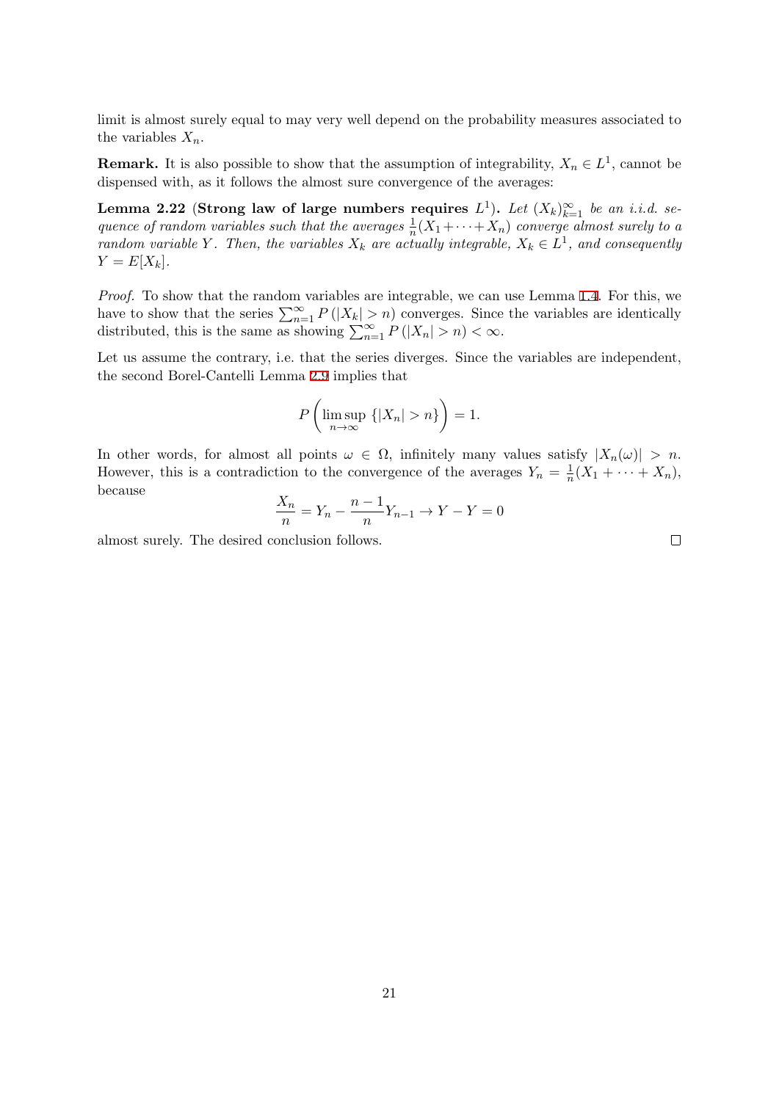limit is almost surely equal to may very well depend on the probability measures associated to the variables  $X_n$ .

**Remark.** It is also possible to show that the assumption of integrability,  $X_n \in L^1$ , cannot be dispensed with, as it follows the almost sure convergence of the averages:

**Lemma 2.22** (Strong law of large numbers requires  $L^1$ ). Let  $(X_k)_{k=1}^{\infty}$  be an i.i.d. se*quence of random variables such that the averages*  $\frac{1}{n}(X_1 + \cdots + X_n)$  *converge almost surely to a random variable Y*. Then, the variables  $X_k$  are actually integrable,  $X_k \in L^1$ , and consequently  $Y = E[X_k]$ .

*Proof.* To show that the random variables are integrable, we can use Lemma 1.4. For this, we have to show that the series  $\sum_{n=1}^{\infty} P(|X_k| > n)$  converges. Since the variables are identically distributed, this is the same as showing  $\sum_{n=1}^{\infty} P(|X_n| > n) < \infty$ .

Let us assume the contrary, i.e. that the series diverges. Since the variables [are](#page-3-0) independent, the second Borel-Cantelli Lemma 2.9 implies that

$$
P\left(\limsup_{n\to\infty} \{|X_n|>n\}\right)=1.
$$

In other words, for almost all points  $\omega \in \Omega$ , infinitely many values satisfy  $|X_n(\omega)| > n$ . However, this is a contradiction to the convergence of the averages  $Y_n = \frac{1}{n}$  $\frac{1}{n}(X_1 + \cdots + X_n),$ because

$$
\frac{X_n}{n} = Y_n - \frac{n-1}{n} Y_{n-1} \to Y - Y = 0
$$

almost surely. The desired conclusion follows.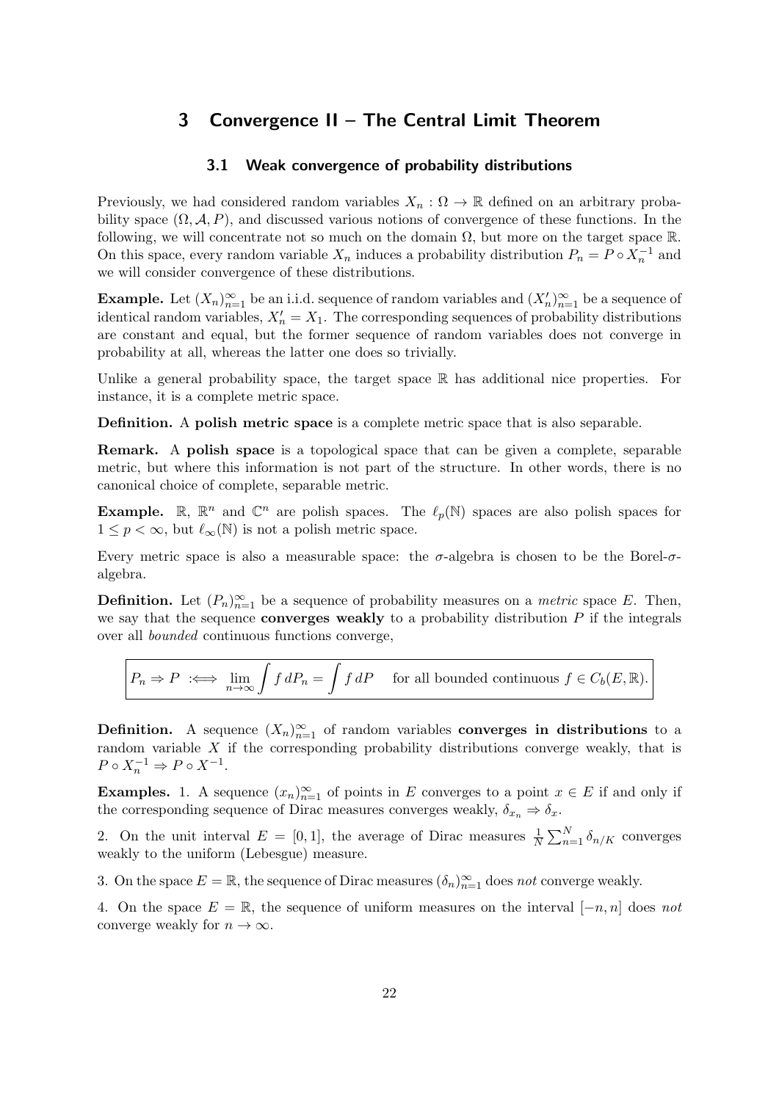## <span id="page-21-0"></span>**3 Convergence II – The Central Limit Theorem**

#### **3.1 Weak convergence of probability distributions**

<span id="page-21-1"></span>Previously, we had considered random variables  $X_n : \Omega \to \mathbb{R}$  defined on an arbitrary probability space  $(\Omega, \mathcal{A}, P)$ , and discussed various notions of convergence of these functions. In the following, we will concentrate not so much on the domain  $\Omega$ , but more on the target space R. On this space, every random variable  $X_n$  induces a probability distribution  $P_n = P \circ X_n^{-1}$  and we will consider convergence of these distributions.

**Example.** Let  $(X_n)_{n=1}^{\infty}$  be an i.i.d. sequence of random variables and  $(X'_n)_{n=1}^{\infty}$  be a sequence of identical random variables,  $X'_n = X_1$ . The corresponding sequences of probability distributions are constant and equal, but the former sequence of random variables does not converge in probability at all, whereas the latter one does so trivially.

Unlike a general probability space, the target space  $\mathbb R$  has additional nice properties. For instance, it is a complete metric space.

**Definition.** A **polish metric space** is a complete metric space that is also separable.

**Remark.** A **polish space** is a topological space that can be given a complete, separable metric, but where this information is not part of the structure. In other words, there is no canonical choice of complete, separable metric.

**Example.**  $\mathbb{R}$ ,  $\mathbb{R}^n$  and  $\mathbb{C}^n$  are polish spaces. The  $\ell_p(\mathbb{N})$  spaces are also polish spaces for  $1 \leq p < \infty$ , but  $\ell_{\infty}(\mathbb{N})$  is not a polish metric space.

Every metric space is also a measurable space: the *σ*-algebra is chosen to be the Borel-*σ*algebra.

**Definition.** Let  $(P_n)_{n=1}^{\infty}$  be a sequence of probability measures on a *metric* space *E*. Then, we say that the sequence **converges weakly** to a probability distribution *P* if the integrals over all *bounded* continuous functions converge,

$$
P_n \Rightarrow P \iff \lim_{n \to \infty} \int f \, dP_n = \int f \, dP \quad \text{ for all bounded continuous } f \in C_b(E, \mathbb{R}).
$$

**Definition.** A sequence  $(X_n)_{n=1}^{\infty}$  of random variables **converges in distributions** to a random variable *X* if the corresponding probability distributions converge weakly, that is  $P \circ X_n^{-1} \Rightarrow P \circ X^{-1}.$ 

**Examples.** 1. A sequence  $(x_n)_{n=1}^{\infty}$  of points in *E* converges to a point  $x \in E$  if and only if the corresponding sequence of Dirac measures converges weakly,  $\delta_{x_n} \Rightarrow \delta_x$ .

2. On the unit interval  $E = [0, 1]$ , the average of Dirac measures  $\frac{1}{N} \sum_{n=1}^{N} \delta_{n/K}$  converges weakly to the uniform (Lebesgue) measure.

3. On the space  $E = \mathbb{R}$ , the sequence of Dirac measures  $(\delta_n)_{n=1}^{\infty}$  does *not* converge weakly.

4. On the space *E* = R, the sequence of uniform measures on the interval [*−n, n*] does *not* converge weakly for  $n \to \infty$ .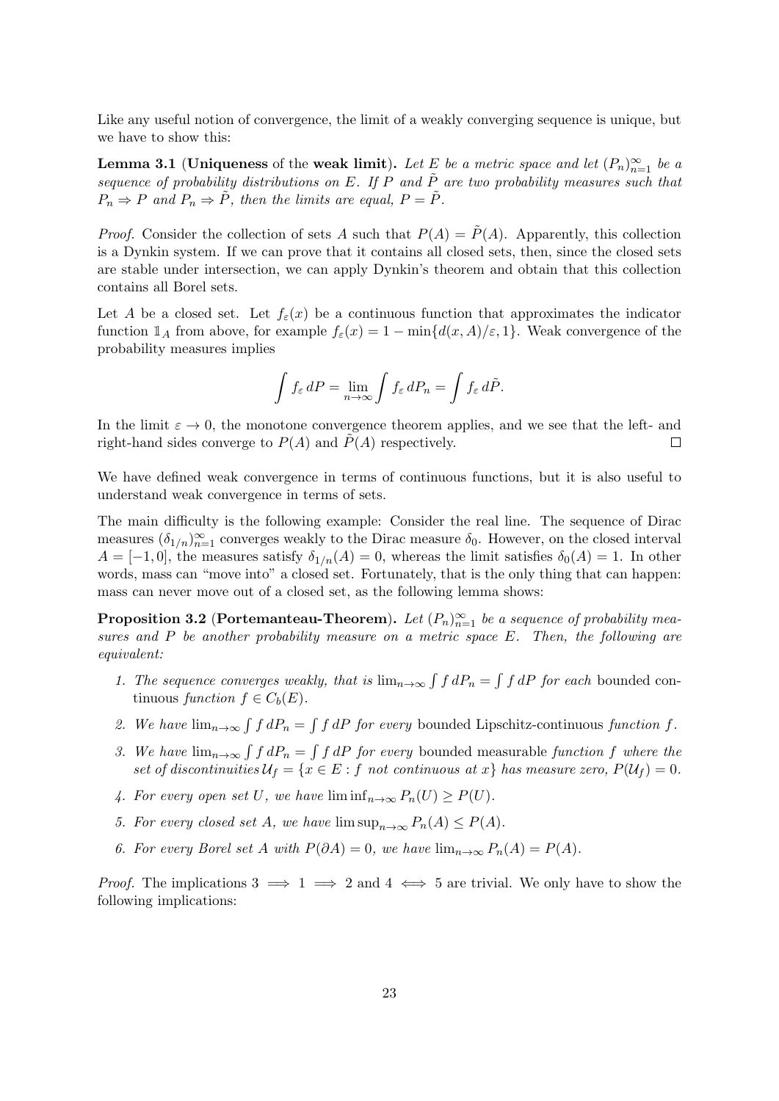Like any useful notion of convergence, the limit of a weakly converging sequence is unique, but we have to show this:

<span id="page-22-1"></span>**Lemma 3.1** (**Uniqueness** of the **weak limit**). Let  $E$  *be a metric space and let*  $(P_n)_{n=1}^{\infty}$  *be a sequence of probability distributions on*  $E$ *. If*  $P$  *and*  $\tilde{P}$  *are two probability measures such that*  $P_n \Rightarrow P$  *and*  $P_n \Rightarrow \tilde{P}$ *, then the limits are equal,*  $P = \tilde{P}$ *.* 

*Proof.* Consider the collection of sets *A* such that  $P(A) = P(A)$ . Apparently, this collection is a Dynkin system. If we can prove that it contains all closed sets, then, since the closed sets are stable under intersection, we can apply Dynkin's theorem and obtain that this collection contains all Borel sets.

Let *A* be a closed set. Let  $f_{\varepsilon}(x)$  be a continuous function that approximates the indicator function  $1_A$  from above, for example  $f_{\varepsilon}(x) = 1 - \min\{d(x, A)/\varepsilon, 1\}$ . Weak convergence of the probability measures implies

$$
\int f_{\varepsilon} dP = \lim_{n \to \infty} \int f_{\varepsilon} dP_n = \int f_{\varepsilon} d\tilde{P}.
$$

In the limit  $\varepsilon \to 0$ , the monotone convergence theorem applies, and we see that the left- and right-hand sides converge to  $P(A)$  and  $P(A)$  respectively.  $\Box$ 

We have defined weak convergence in terms of continuous functions, but it is also useful to understand weak convergence in terms of sets.

The main difficulty is the following example: Consider the real line. The sequence of Dirac measures  $(\delta_{1/n})_{n=1}^{\infty}$  converges weakly to the Dirac measure  $\delta_0$ . However, on the closed interval  $A = [-1, 0]$ , the measures satisfy  $\delta_{1/n}(A) = 0$ , whereas the limit satisfies  $\delta_0(A) = 1$ . In other words, mass can "move into" a closed set. Fortunately, that is the only thing that can happen: mass can never move out of a closed set, as the following lemma shows:

<span id="page-22-0"></span>**Proposition 3.2** (Portemanteau-Theorem). Let  $(P_n)_{n=1}^{\infty}$  be a sequence of probability mea*sures and P be another probability measure on a metric space E. Then, the following are equivalent:*

- *1. The sequence converges weakly, that is*  $\lim_{n\to\infty} \int f dP_n = \int f dP$  *for each* bounded continuous *function*  $f \in C_b(E)$ .
- 2. We have  $\lim_{n\to\infty} \int f dP_n = \int f dP$  *for every* bounded Lipschitz-continuous *function f.*
- *3. We have*  $\lim_{n\to\infty}$  ∫ *f*  $dP_n = \int f dP$  *for every* bounded measurable *function f* where the *set of discontinuities*  $\mathcal{U}_f = \{x \in E : f \text{ not continuous at } x\}$  has measure zero,  $P(\mathcal{U}_f) = 0$ .
- *4. For every open set U, we have*  $\liminf_{n\to\infty} P_n(U) \geq P(U)$ *.*
- *5. For every closed set A, we have*  $\limsup_{n\to\infty} P_n(A) \leq P(A)$ *.*
- *6. For every Borel set A with*  $P(\partial A) = 0$ *, we have*  $\lim_{n \to \infty} P_n(A) = P(A)$ *.*

*Proof.* The implications  $3 \implies 1 \implies 2$  and  $4 \iff 5$  are trivial. We only have to show the following implications: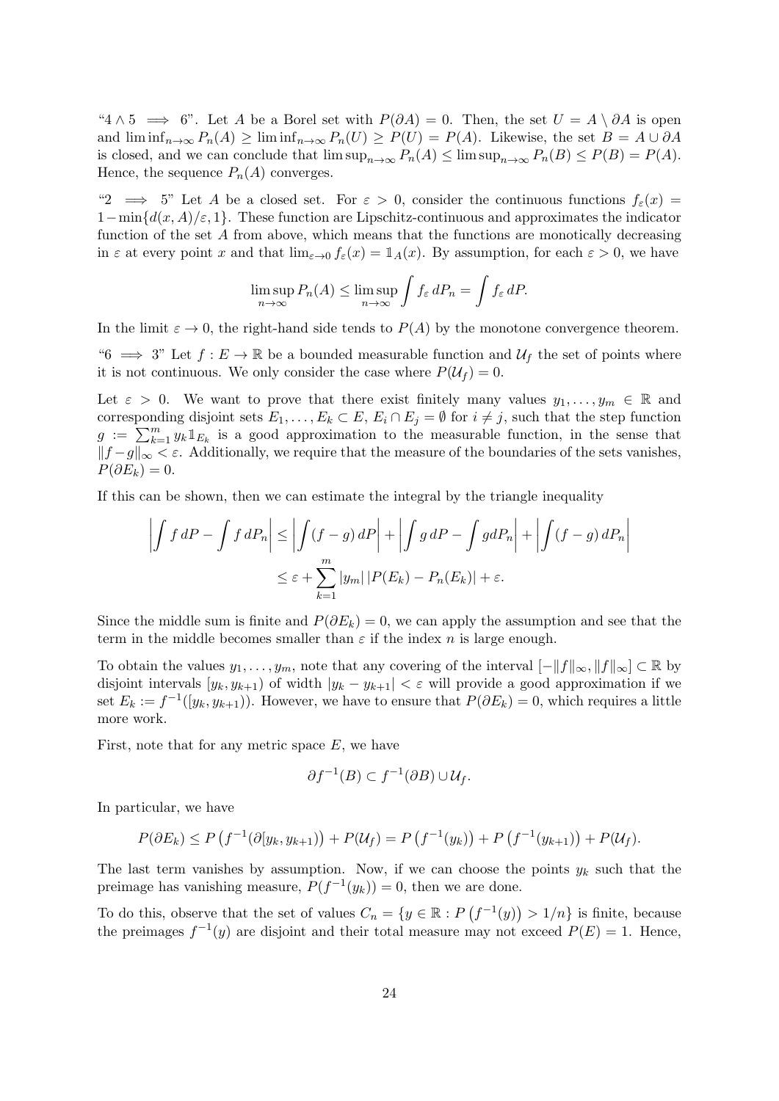" $4 \wedge 5$  ⇒ 6". Let *A* be a Borel set with  $P(\partial A) = 0$ . Then, the set  $U = A \setminus \partial A$  is open and  $\liminf_{n\to\infty} P_n(A) \geq \liminf_{n\to\infty} P_n(U) \geq P(U) = P(A)$ . Likewise, the set  $B = A \cup \partial A$ is closed, and we can conclude that  $\limsup_{n\to\infty} P_n(A) \leq \limsup_{n\to\infty} P_n(B) \leq P(B) = P(A)$ . Hence, the sequence  $P_n(A)$  converges.

"2  $\implies$  5" Let *A* be a closed set. For  $\varepsilon > 0$ , consider the continuous functions  $f_{\varepsilon}(x) =$ 1*−*min*{d*(*x, A*)*/ε,* 1*}*. These function are Lipschitz-continuous and approximates the indicator function of the set *A* from above, which means that the functions are monotically decreasing in  $\varepsilon$  at every point *x* and that  $\lim_{\varepsilon\to 0} f_{\varepsilon}(x) = \mathbb{1}_A(x)$ . By assumption, for each  $\varepsilon > 0$ , we have

$$
\limsup_{n \to \infty} P_n(A) \le \limsup_{n \to \infty} \int f_{\varepsilon} dP_n = \int f_{\varepsilon} dP.
$$

In the limit  $\varepsilon \to 0$ , the right-hand side tends to  $P(A)$  by the monotone convergence theorem.

"6  $\implies$  3" Let  $f: E \to \mathbb{R}$  be a bounded measurable function and  $\mathcal{U}_f$  the set of points where it is not continuous. We only consider the case where  $P(\mathcal{U}_f) = 0$ .

Let  $\varepsilon > 0$ . We want to prove that there exist finitely many values  $y_1, \ldots, y_m \in \mathbb{R}$  and corresponding disjoint sets  $E_1, \ldots, E_k \subset E$ ,  $E_i \cap E_j = \emptyset$  for  $i \neq j$ , such that the step function  $g := \sum_{k=1}^m y_k 1 \mathbb{I}_{E_k}$  is a good approximation to the measurable function, in the sense that *∥f −g∥<sup>∞</sup> < ε*. Additionally, we require that the measure of the boundaries of the sets vanishes,  $P(\partial E_k) = 0.$ 

If this can be shown, then we can estimate the integral by the triangle inequality

$$
\left| \int f \, dP - \int f \, dP_n \right| \le \left| \int (f - g) \, dP \right| + \left| \int g \, dP - \int g \, dP_n \right| + \left| \int (f - g) \, dP_n \right|
$$
  

$$
\le \varepsilon + \sum_{k=1}^m |y_m| \, |P(E_k) - P_n(E_k)| + \varepsilon.
$$

Since the middle sum is finite and  $P(\partial E_k) = 0$ , we can apply the assumption and see that the term in the middle becomes smaller than  $\varepsilon$  if the index *n* is large enough.

To obtain the values  $y_1, \ldots, y_m$ , note that any covering of the interval  $[-||f||_{\infty}, ||f||_{\infty}] \subset \mathbb{R}$  by disjoint intervals  $[y_k, y_{k+1}]$  of width  $|y_k - y_{k+1}| < \varepsilon$  will provide a good approximation if we set  $E_k := f^{-1}([y_k, y_{k+1})$ . However, we have to ensure that  $P(\partial E_k) = 0$ , which requires a little more work.

First, note that for any metric space *E*, we have

$$
\partial f^{-1}(B) \subset f^{-1}(\partial B) \cup \mathcal{U}_f.
$$

In particular, we have

$$
P(\partial E_k) \le P\left(f^{-1}(\partial [y_k, y_{k+1})\right) + P(\mathcal{U}_f) = P\left(f^{-1}(y_k)\right) + P\left(f^{-1}(y_{k+1})\right) + P(\mathcal{U}_f).
$$

The last term vanishes by assumption. Now, if we can choose the points  $y_k$  such that the preimage has vanishing measure,  $P(f^{-1}(y_k)) = 0$ , then we are done.

To do this, observe that the set of values  $C_n = \{y \in \mathbb{R} : P(f^{-1}(y)) > 1/n\}$  is finite, because the preimages  $f^{-1}(y)$  are disjoint and their total measure may not exceed  $P(E) = 1$ . Hence,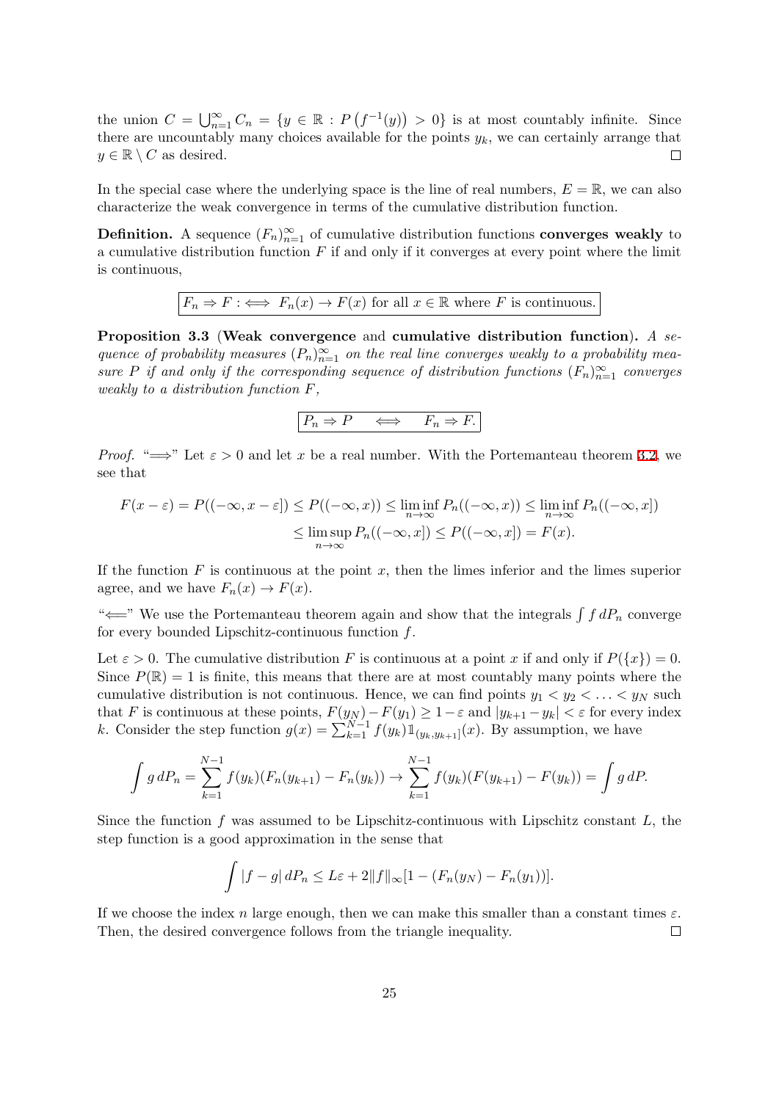the union  $C = \bigcup_{n=1}^{\infty} C_n = \{y \in \mathbb{R} : P(f^{-1}(y)) > 0\}$  is at most countably infinite. Since there are uncountably many choices available for the points  $y_k$ , we can certainly arrange that  $y \in \mathbb{R} \setminus C$  as desired.  $\Box$ 

In the special case where the underlying space is the line of real numbers,  $E = \mathbb{R}$ , we can also characterize the weak convergence in terms of the cumulative distribution function.

**Definition.** A sequence  $(F_n)_{n=1}^{\infty}$  of cumulative distribution functions **converges weakly** to a cumulative distribution function *F* if and only if it converges at every point where the limit is continuous,

$$
F_n \Rightarrow F : \iff F_n(x) \to F(x)
$$
 for all  $x \in \mathbb{R}$  where F is continuous.

**Proposition 3.3** (**Weak convergence** and **cumulative distribution function**)**.** *A sequence of probability measures*  $(P_n)_{n=1}^{\infty}$  *on the real line converges weakly to a probability measure P if and only if the corresponding sequence of distribution functions*  $(F_n)_{n=1}^{\infty}$  *converges weakly to a distribution function F,*

$$
P_n \Rightarrow P \iff F_n \Rightarrow F.
$$

*Proof.* " $\Longrightarrow$ " Let  $\varepsilon > 0$  and let *x* be a real number. With the Portemanteau theorem 3.2, we see that

$$
F(x - \varepsilon) = P((-\infty, x - \varepsilon]) \le P((-\infty, x)) \le \liminf_{n \to \infty} P_n((-\infty, x)) \le \liminf_{n \to \infty} P_n((-\infty, x])
$$
  

$$
\le \limsup_{n \to \infty} P_n((-\infty, x]) \le P((-\infty, x]) = F(x).
$$

If the function *F* is continuous at the point *x*, then the limes inferior and the limes superior agree, and we have  $F_n(x) \to F(x)$ .

"*⇐*=" We use the Portemanteau theorem again and show that the integrals ∫ *f dP<sup>n</sup>* converge for every bounded Lipschitz-continuous function *f*.

Let  $\varepsilon > 0$ . The cumulative distribution *F* is continuous at a point *x* if and only if  $P({x}) = 0$ . Since  $P(\mathbb{R}) = 1$  is finite, this means that there are at most countably many points where the cumulative distribution is not continuous. Hence, we can find points  $y_1 < y_2 < \ldots < y_N$  such that *F* is continuous at these points,  $F(y_N) - F(y_1) \geq 1 - \varepsilon$  and  $|y_{k+1} - y_k| < \varepsilon$  for every index *k*. Consider the step function  $g(x) = \sum_{k=1}^{N-1} f(y_k) 1\!\mathbb{1}_{(y_k, y_{k+1}]}(x)$ . By assumption, we have

$$
\int g dP_n = \sum_{k=1}^{N-1} f(y_k) (F_n(y_{k+1}) - F_n(y_k)) \to \sum_{k=1}^{N-1} f(y_k) (F(y_{k+1}) - F(y_k)) = \int g dP.
$$

Since the function *f* was assumed to be Lipschitz-continuous with Lipschitz constant *L*, the step function is a good approximation in the sense that

$$
\int |f-g| dP_n \leq L\varepsilon + 2||f||_{\infty} [1 - (F_n(y_N) - F_n(y_1))].
$$

If we choose the index *n* large enough, then we can make this smaller than a constant times  $\varepsilon$ . Then, the desired convergence follows from the triangle inequality.  $\Box$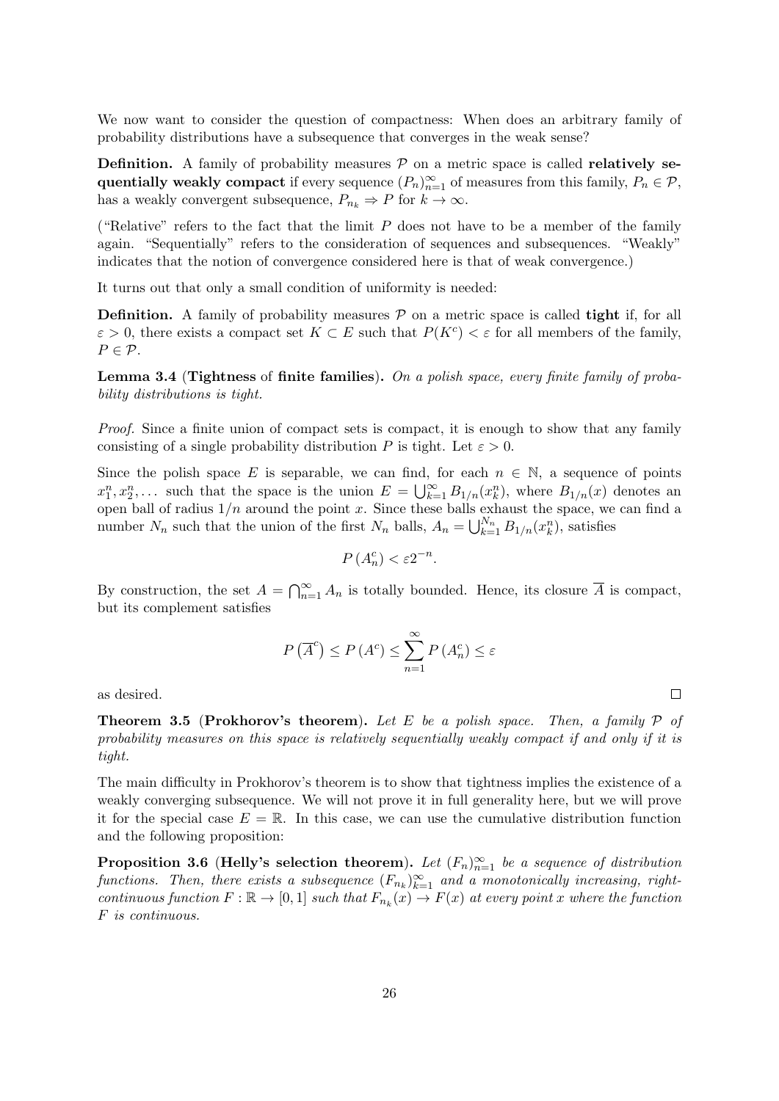We now want to consider the question of compactness: When does an arbitrary family of probability distributions have a subsequence that converges in the weak sense?

**Definition.** A family of probability measures  $P$  on a metric space is called **relatively se**quentially weakly compact if every sequence  $(P_n)_{n=1}^{\infty}$  of measures from this family,  $P_n \in \mathcal{P}$ , has a weakly convergent subsequence,  $P_{n_k} \Rightarrow P$  for  $k \to \infty$ .

("Relative" refers to the fact that the limit *P* does not have to be a member of the family again. "Sequentially" refers to the consideration of sequences and subsequences. "Weakly" indicates that the notion of convergence considered here is that of weak convergence.)

It turns out that only a small condition of uniformity is needed:

**Definition.** A family of probability measures  $P$  on a metric space is called **tight** if, for all  $\varepsilon > 0$ , there exists a compact set  $K \subset E$  such that  $P(K^c) < \varepsilon$  for all members of the family, *P ∈ P*.

<span id="page-25-0"></span>**Lemma 3.4** (**Tightness** of **finite families**)**.** *On a polish space, every finite family of probability distributions is tight.*

*Proof.* Since a finite union of compact sets is compact, it is enough to show that any family consisting of a single probability distribution *P* is tight. Let  $\varepsilon > 0$ .

Since the polish space *E* is separable, we can find, for each  $n \in \mathbb{N}$ , a sequence of points  $x_1^n, x_2^n, \ldots$  such that the space is the union  $E = \bigcup_{k=1}^{\infty} B_{1/n}(x_k^n)$ , where  $B_{1/n}(x)$  denotes an open ball of radius  $1/n$  around the point *x*. Since these balls exhaust the space, we can find a number *N<sub>n</sub>* such that the union of the first *N<sub>n</sub>* balls,  $A_n = \bigcup_{k=1}^{N_n} B_{1/n}(x_k^n)$ , satisfies

$$
P\left(A_n^c\right) < \varepsilon 2^{-n}.
$$

By construction, the set  $A = \bigcap_{n=1}^{\infty} A_n$  is totally bounded. Hence, its closure  $\overline{A}$  is compact, but its complement satisfies

$$
P\left(\overline{A}^c\right) \le P\left(A^c\right) \le \sum_{n=1}^{\infty} P\left(A_n^c\right) \le \varepsilon
$$

as desired.

**Theorem 3.5** (**Prokhorov's theorem**)**.** *Let E be a polish space. Then, a family P of probability measures on this space is relatively sequentially weakly compact if and only if it is tight.*

The main difficulty in Prokhorov's theorem is to show that tightness implies the existence of a weakly converging subsequence. We will not prove it in full generality here, but we will prove it for the special case  $E = \mathbb{R}$ . In this case, we can use the cumulative distribution function and the following proposition:

**Proposition 3.6** (**Helly's selection theorem**). Let  $(F_n)_{n=1}^{\infty}$  be a sequence of distribution *functions. Then, there exists a subsequence*  $(F_{n_k})_{k=1}^{\infty}$  *and a monotonically increasing, rightcontinuous function*  $F : \mathbb{R} \to [0,1]$  *such that*  $F_{n_k}(x) \to F(x)$  *at every point x where the function F is continuous.*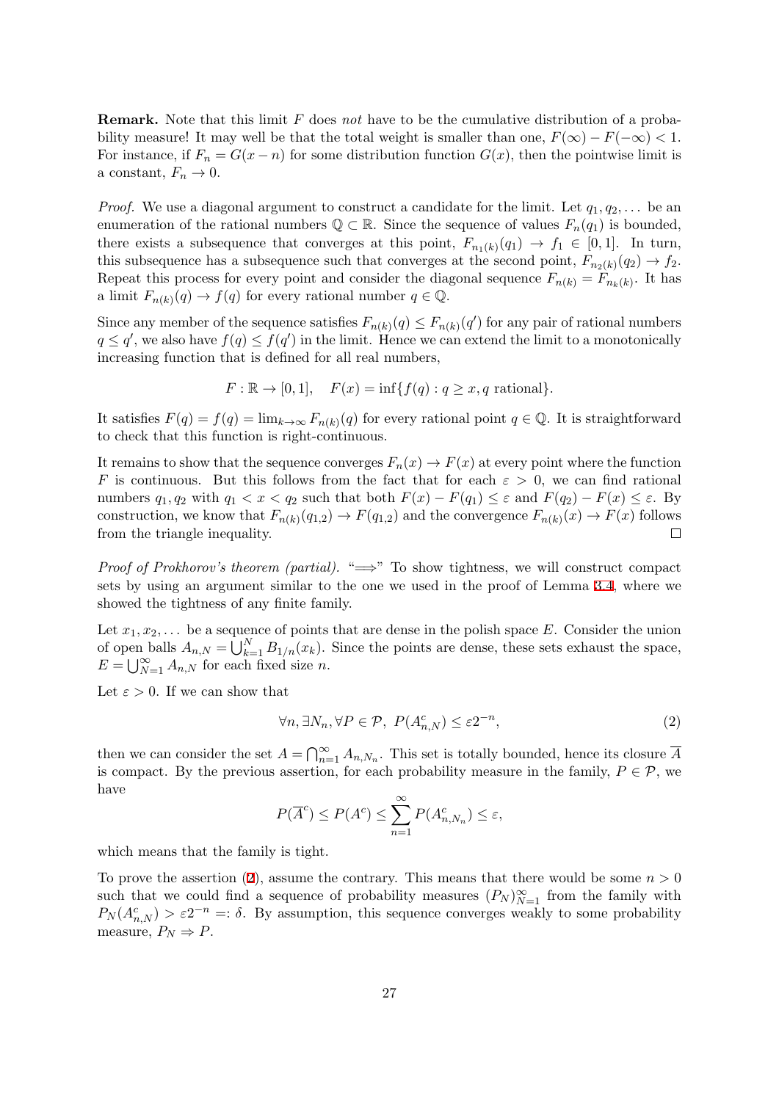**Remark.** Note that this limit *F* does *not* have to be the cumulative distribution of a probability measure! It may well be that the total weight is smaller than one,  $F(\infty) - F(-\infty) < 1$ . For instance, if  $F_n = G(x - n)$  for some distribution function  $G(x)$ , then the pointwise limit is a constant,  $F_n \to 0$ .

*Proof.* We use a diagonal argument to construct a candidate for the limit. Let *q*1*, q*2*, . . .* be an enumeration of the rational numbers  $\mathbb{Q} \subset \mathbb{R}$ . Since the sequence of values  $F_n(q_1)$  is bounded, there exists a subsequence that converges at this point,  $F_{n_1(k)}(q_1) \to f_1 \in [0,1]$ . In turn, this subsequence has a subsequence such that converges at the second point,  $F_{n_2(k)}(q_2) \to f_2$ . Repeat this process for every point and consider the diagonal sequence  $F_{n(k)} = F_{n(k)}$ . It has a limit  $F_{n(k)}(q) \to f(q)$  for every rational number  $q \in \mathbb{Q}$ .

Since any member of the sequence satisfies  $F_{n(k)}(q) \leq F_{n(k)}(q')$  for any pair of rational numbers  $q \leq q'$ , we also have  $f(q) \leq f(q')$  in the limit. Hence we can extend the limit to a monotonically increasing function that is defined for all real numbers,

$$
F: \mathbb{R} \to [0,1], \quad F(x) = \inf\{f(q) : q \ge x, q \text{ rational}\}.
$$

It satisfies  $F(q) = f(q) = \lim_{k \to \infty} F_{n(k)}(q)$  for every rational point  $q \in \mathbb{Q}$ . It is straightforward to check that this function is right-continuous.

It remains to show that the sequence converges  $F_n(x) \to F(x)$  at every point where the function *F* is continuous. But this follows from the fact that for each  $\varepsilon > 0$ , we can find rational numbers  $q_1, q_2$  with  $q_1 < x < q_2$  such that both  $F(x) - F(q_1) \leq \varepsilon$  and  $F(q_2) - F(x) \leq \varepsilon$ . By construction, we know that  $F_{n(k)}(q_{1,2}) \to F(q_{1,2})$  and the convergence  $F_{n(k)}(x) \to F(x)$  follows from the triangle inequality.  $\Box$ 

*Proof of Prokhorov's theorem (partial).* "⇒" To show tightness, we will construct compact sets by using an argument similar to the one we used in the proof of Lemma 3.4, where we showed the tightness of any finite family.

Let  $x_1, x_2, \ldots$  be a sequence of points that are dense in the polish space E. Consider the union of open balls  $A_{n,N} = \bigcup_{k=1}^{N} B_{1/n}(x_k)$ . Since the points are dense, these sets exh[aust](#page-25-0) the space,  $E = \bigcup_{N=1}^{\infty} A_{n,N}$  for each fixed size *n*.

Let  $\varepsilon > 0$ . If we can show that

$$
\forall n, \exists N_n, \forall P \in \mathcal{P}, \ P(A_{n,N}^c) \le \varepsilon 2^{-n}, \tag{2}
$$

then we can consider the set  $A = \bigcap_{n=1}^{\infty} A_{n,N_n}$ . This set is totally bounded, hence its closure  $\overline{A}$ is compact. By the previous assertion, for each probability measure in the family,  $P \in \mathcal{P}$ , we have

$$
P(\overline{A}^c) \le P(A^c) \le \sum_{n=1}^{\infty} P(A_{n,N_n}^c) \le \varepsilon,
$$

which means that the family is tight.

To prove the assertion (2), assume the contrary. This means that there would be some  $n > 0$ such that we could find a sequence of probability measures  $(P_N)_{N=1}^{\infty}$  from the family with  $P_N(A_{n,N}^c) > \varepsilon 2^{-n} =: \delta$ . By assumption, this sequence converges weakly to some probability measure,  $P_N \Rightarrow P$ .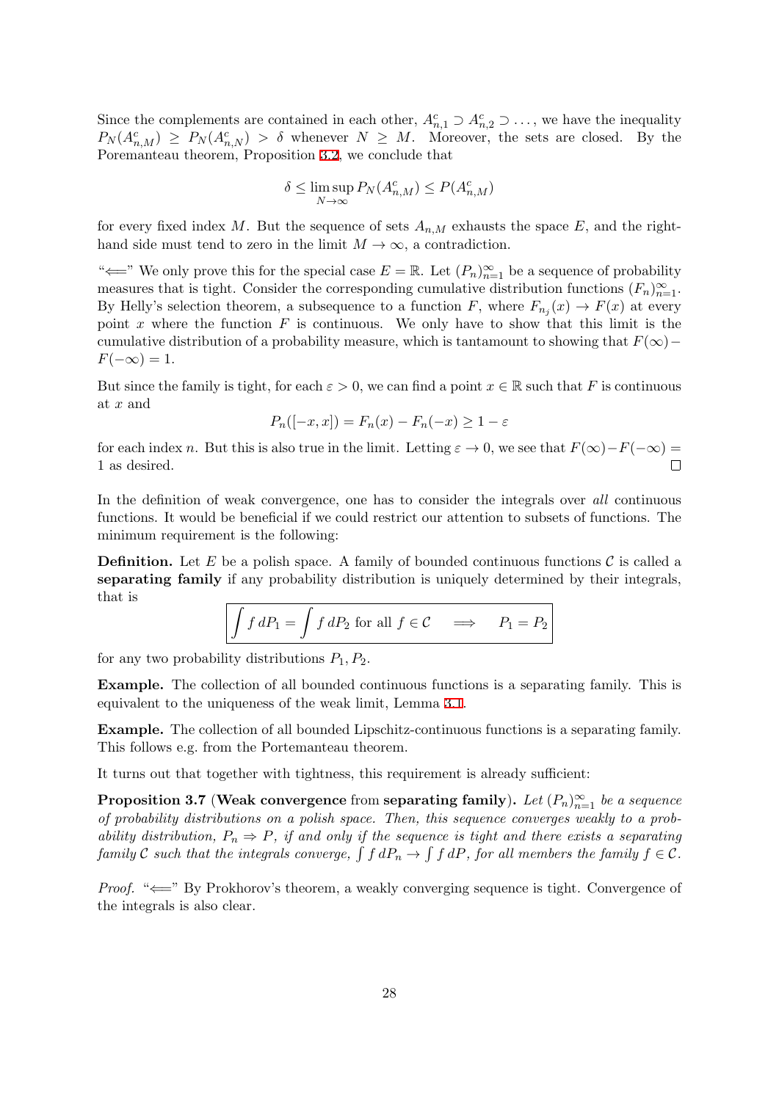Since the complements are contained in each other,  $A_{n,1}^c \supset A_{n,2}^c \supset \ldots$ , we have the inequality  $P_N(A_{n,M}^c) \geq P_N(A_{n,N}^c) > \delta$  whenever  $N \geq M$ . Moreover, the sets are closed. By the Poremanteau theorem, Proposition 3.2, we conclude that

$$
\delta \le \limsup_{N \to \infty} P_N(A_{n,M}^c) \le P(A_{n,M}^c)
$$

for every fixed index M. But the s[eque](#page-22-0)nce of sets  $A_{n,M}$  exhausts the space E, and the righthand side must tend to zero in the limit  $M \to \infty$ , a contradiction.

" $\iff$ " We only prove this for the special case  $E = \mathbb{R}$ . Let  $(P_n)_{n=1}^{\infty}$  be a sequence of probability measures that is tight. Consider the corresponding cumulative distribution functions  $(F_n)_{n=1}^{\infty}$ . By Helly's selection theorem, a subsequence to a function *F*, where  $F_{n_j}(x) \to F(x)$  at every point *x* where the function *F* is continuous. We only have to show that this limit is the cumulative distribution of a probability measure, which is tantamount to showing that *F*(*∞*)*−*  $F(-\infty) = 1$ .

But since the family is tight, for each  $\varepsilon > 0$ , we can find a point  $x \in \mathbb{R}$  such that F is continuous at *x* and

$$
P_n([-x,x]) = F_n(x) - F_n(-x) \ge 1 - \varepsilon
$$

for each index *n*. But this is also true in the limit. Letting  $\varepsilon \to 0$ , we see that  $F(\infty) - F(-\infty) =$ 1 as desired. П

In the definition of weak convergence, one has to consider the integrals over *all* continuous functions. It would be beneficial if we could restrict our attention to subsets of functions. The minimum requirement is the following:

**Definition.** Let E be a polish space. A family of bounded continuous functions  $\mathcal{C}$  is called a **separating family** if any probability distribution is uniquely determined by their integrals, that is

$$
\int f dP_1 = \int f dP_2 \text{ for all } f \in C \implies P_1 = P_2
$$

for any two probability distributions *P*1*, P*2.

**Example.** The collection of all bounded continuous functions is a separating family. This is equivalent to the uniqueness of the weak limit, Lemma 3.1.

**Example.** The collection of all bounded Lipschitz-continuous functions is a separating family. This follows e.g. from the Portemanteau theorem.

It turns out that together with tightness, this requirem[ent](#page-22-1) is already sufficient:

**Proposition 3.7** (Weak convergence from separating family). Let  $(P_n)_{n=1}^{\infty}$  be a sequence *of probability distributions on a polish space. Then, this sequence converges weakly to a probability distribution,*  $P_n \Rightarrow P$ *, if and only if the sequence is tight and there exists a separating family*  $C$  *such that the integrals converge,*  $\int f dP_n \to \int f dP$ , for all members the family  $f \in C$ *.* 

*Proof.* " $\leftarrow$ " By Prokhorov's theorem, a weakly converging sequence is tight. Convergence of the integrals is also clear.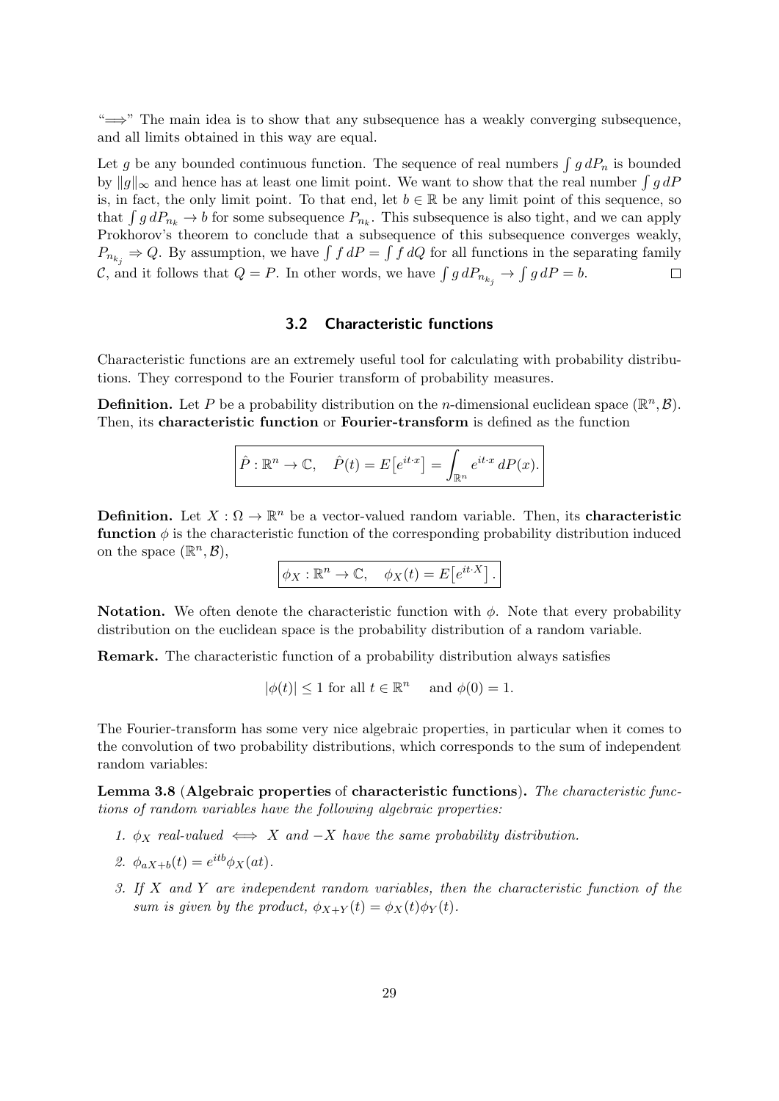"=*⇒*" The main idea is to show that any subsequence has a weakly converging subsequence, and all limits obtained in this way are equal.

Let *g* be any bounded continuous function. The sequence of real numbers  $\int g dP_n$  is bounded by *∥g∥<sup>∞</sup>* and hence has at least one limit point. We want to show that the real number ∫ *g dP* is, in fact, the only limit point. To that end, let  $b \in \mathbb{R}$  be any limit point of this sequence, so that  $\int g dP_{n_k} \to b$  for some subsequence  $P_{n_k}$ . This subsequence is also tight, and we can apply Prokhorov's theorem to conclude that a subsequence of this subsequence converges weakly,  $P_{n_{k_j}} \Rightarrow Q$ . By assumption, we have  $\int f dP = \int f dQ$  for all functions in the separating family *C*, and it follows that  $Q = P$ . In other words, we have  $\int g dP_{n_{k_j}} \to \int g dP = b$ .  $\Box$ 

#### **3.2 Characteristic functions**

<span id="page-28-0"></span>Characteristic functions are an extremely useful tool for calculating with probability distributions. They correspond to the Fourier transform of probability measures.

**Definition.** Let P be a probability distribution on the *n*-dimensional euclidean space  $(\mathbb{R}^n, \mathcal{B})$ . Then, its **characteristic function** or **Fourier-transform** is defined as the function

$$
\hat{P}: \mathbb{R}^n \to \mathbb{C}, \quad \hat{P}(t) = E\left[e^{it \cdot x}\right] = \int_{\mathbb{R}^n} e^{it \cdot x} dP(x).
$$

**Definition.** Let  $X : \Omega \to \mathbb{R}^n$  be a vector-valued random variable. Then, its **characteristic function**  $\phi$  is the characteristic function of the corresponding probability distribution induced on the space  $(\mathbb{R}^n, \mathcal{B})$ ,

$$
\phi_X : \mathbb{R}^n \to \mathbb{C}, \quad \phi_X(t) = E\big[e^{it \cdot X}\big].
$$

**Notation.** We often denote the characteristic function with *ϕ*. Note that every probability distribution on the euclidean space is the probability distribution of a random variable.

**Remark.** The characteristic function of a probability distribution always satisfies

$$
|\phi(t)| \le 1
$$
 for all  $t \in \mathbb{R}^n$  and  $\phi(0) = 1$ .

The Fourier-transform has some very nice algebraic properties, in particular when it comes to the convolution of two probability distributions, which corresponds to the sum of independent random variables:

**Lemma 3.8** (**Algebraic properties** of **characteristic functions**)**.** *The characteristic functions of random variables have the following algebraic properties:*

- *1.*  $\phi$ <sup>*x*</sup> *real-valued*  $\iff$  *X and* −*X have the same probability distribution.*
- 2.  $\phi_{aX+b}(t) = e^{itb}\phi_X(at)$ .
- *3. If X and Y are independent random variables, then the characteristic function of the sum is given by the product,*  $\phi_{X+Y}(t) = \phi_X(t)\phi_Y(t)$ .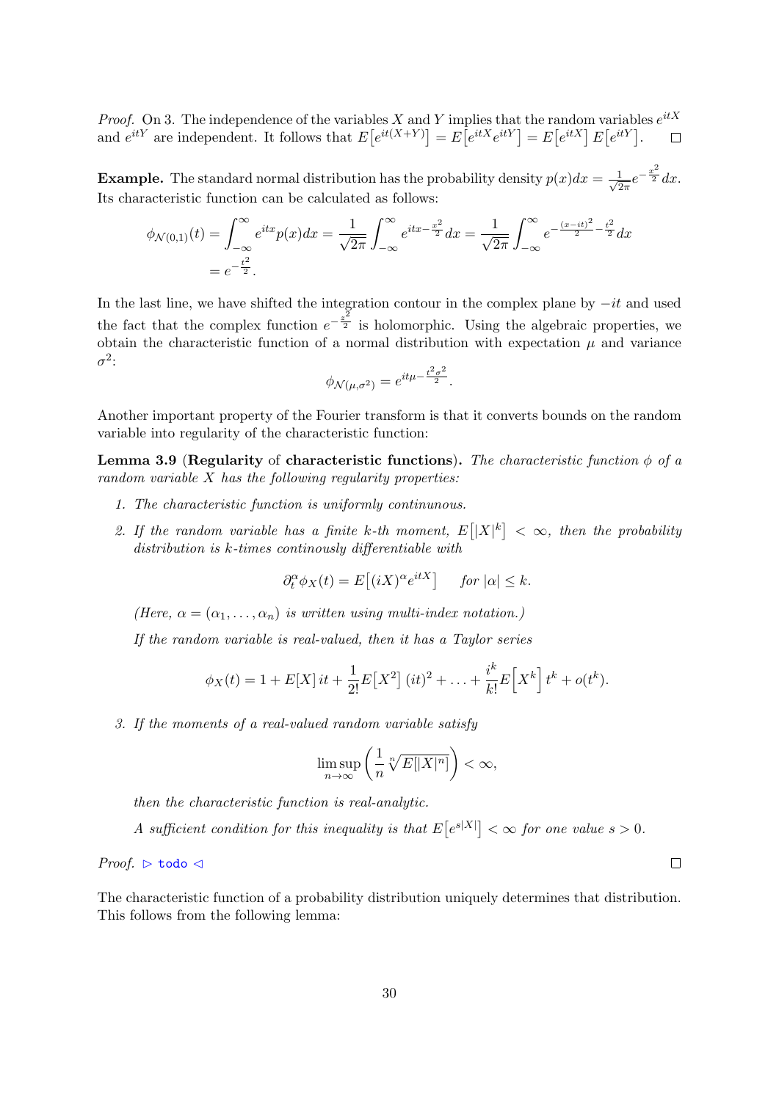*Proof.* On 3. The independence of the variables *X* and *Y* implies that the random variables *e itX* and  $e^{itY}$  are independent. It follows that  $E[e^{it(X+Y)}] = E[e^{itX}e^{itY}] = E[e^{itX}]E[e^{itY}]$ . П

**Example.** The standard normal distribution has the probability density  $p(x)dx = \frac{1}{\sqrt{6}}$  $rac{1}{2\pi}e^{-\frac{x^2}{2}}dx$ . Its characteristic function can be calculated as follows:

$$
\phi_{\mathcal{N}(0,1)}(t) = \int_{-\infty}^{\infty} e^{itx} p(x) dx = \frac{1}{\sqrt{2\pi}} \int_{-\infty}^{\infty} e^{itx - \frac{x^2}{2}} dx = \frac{1}{\sqrt{2\pi}} \int_{-\infty}^{\infty} e^{-\frac{(x - it)^2}{2} - \frac{t^2}{2}} dx
$$

$$
= e^{-\frac{t^2}{2}}.
$$

In the last line, we have shifted the integration contour in the complex plane by *−it* and used 2 the fact that the complex function  $e^{-\frac{z^2}{2}}$  is holomorphic. Using the algebraic properties, we obtain the characteristic function of a normal distribution with expectation  $\mu$  and variance  $\sigma^2$ :

$$
\phi_{\mathcal{N}(\mu,\sigma^2)} = e^{it\mu - \frac{t^2 \sigma^2}{2}}.
$$

Another important property of the Fourier transform is that it converts bounds on the random variable into regularity of the characteristic function:

**Lemma 3.9** (**Regularity** of **characteristic functions**). The characteristic function  $\phi$  of a *random variable X has the following regularity properties:*

- *1. The characteristic function is uniformly continunous.*
- 2. If the random variable has a finite k-th moment,  $E\left[|X|^k\right] < \infty$ , then the probability *distribution is k-times continously differentiable with*

$$
\partial_t^{\alpha} \phi_X(t) = E\big[(iX)^{\alpha} e^{itX}\big] \quad \text{ for } |\alpha| \le k.
$$

*(Here,*  $\alpha = (\alpha_1, \ldots, \alpha_n)$  *is written using multi-index notation.)* 

*If the random variable is real-valued, then it has a Taylor series*

$$
\phi_X(t) = 1 + E[X] \, it + \frac{1}{2!} E[X^2] \, (it)^2 + \ldots + \frac{i^k}{k!} E[X^k] \, t^k + o(t^k).
$$

*3. If the moments of a real-valued random variable satisfy*

$$
\limsup_{n\to\infty}\left(\frac{1}{n}\sqrt[n]{E[|X|^n]}\right)<\infty,
$$

*then the characteristic function is real-analytic.*

*A* sufficient condition for this inequality is that  $E[e^{s|X|}] < \infty$  for one value  $s > 0$ .

*Proof.*  $\triangleright$  todo  $\triangleleft$ 

The characteristic function of a probability distribution uniquely determines that distribution. This follows from the following lemma: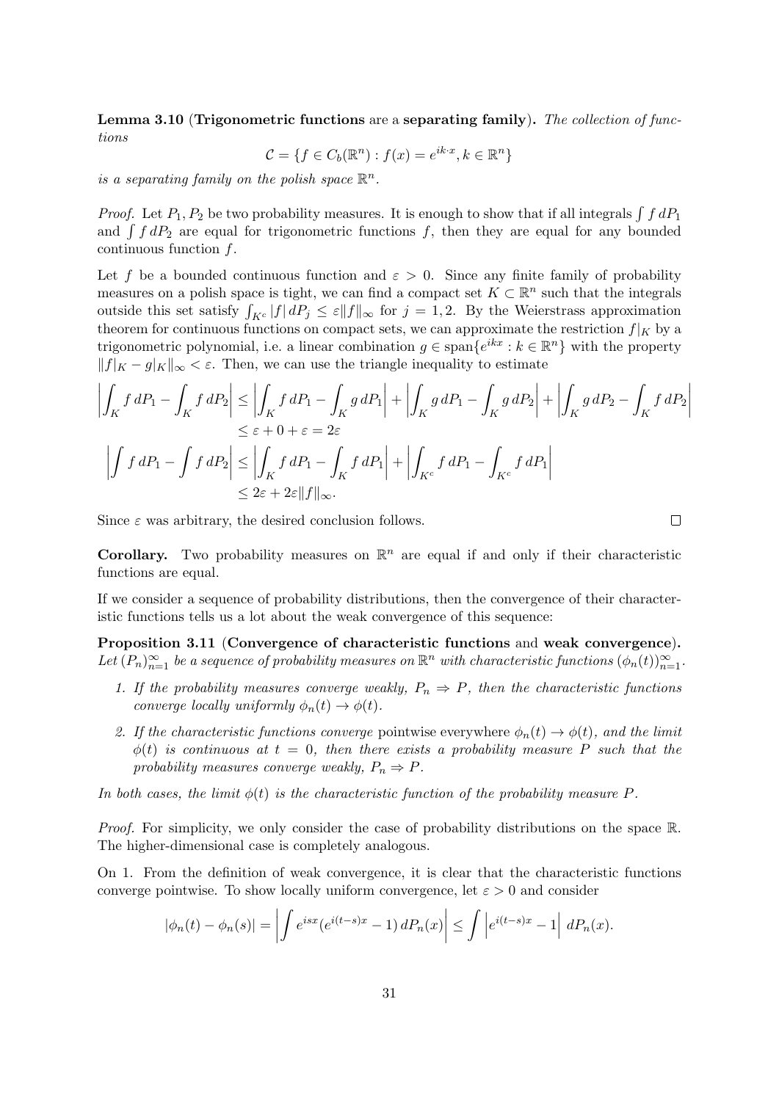**Lemma 3.10** (**Trigonometric functions** are a **separating family**)**.** *The collection of functions*

$$
\mathcal{C} = \{ f \in C_b(\mathbb{R}^n) : f(x) = e^{ik \cdot x}, k \in \mathbb{R}^n \}
$$

*is a separating family on the polish space*  $\mathbb{R}^n$ .

*Proof.* Let  $P_1$ ,  $P_2$  be two probability measures. It is enough to show that if all integrals  $\int f dP_1$ and ∫ *f dP*<sup>2</sup> are equal for trigonometric functions *f*, then they are equal for any bounded continuous function *f*.

Let f be a bounded continuous function and  $\varepsilon > 0$ . Since any finite family of probability measures on a polish space is tight, we can find a compact set  $K \subset \mathbb{R}^n$  such that the integrals outside this set satisfy  $\int_{K^c} |f| dP_j \leq \varepsilon ||f||_{\infty}$  for  $j = 1, 2$ . By the Weierstrass approximation theorem for continuous functions on compact sets, we can approximate the restriction  $f|_K$  by a trigonometric polynomial, i.e. a linear combination  $g \in \text{span}\{e^{ikx} : k \in \mathbb{R}^n\}$  with the property  $||f||_K - g||_K$   $|∞ < ε$ . Then, we can use the triangle inequality to estimate

$$
\left| \int_{K} f dP_{1} - \int_{K} f dP_{2} \right| \leq \left| \int_{K} f dP_{1} - \int_{K} g dP_{1} \right| + \left| \int_{K} g dP_{1} - \int_{K} g dP_{2} \right| + \left| \int_{K} g dP_{2} - \int_{K} f dP_{2} \right|
$$
  
\n
$$
\leq \varepsilon + 0 + \varepsilon = 2\varepsilon
$$
  
\n
$$
\left| \int f dP_{1} - \int f dP_{2} \right| \leq \left| \int_{K} f dP_{1} - \int_{K} f dP_{1} \right| + \left| \int_{K^{c}} f dP_{1} - \int_{K^{c}} f dP_{1} \right|
$$
  
\n
$$
\leq 2\varepsilon + 2\varepsilon \|f\|_{\infty}.
$$

Since  $\varepsilon$  was arbitrary, the desired conclusion follows.

**Corollary.** Two probability measures on  $\mathbb{R}^n$  are equal if and only if their characteristic functions are equal.

 $\Box$ 

If we consider a sequence of probability distributions, then the convergence of their characteristic functions tells us a lot about the weak convergence of this sequence:

<span id="page-30-0"></span>**Proposition 3.11** (**Convergence of characteristic functions** and **weak convergence**)**.** *Let*  $(P_n)_{n=1}^{\infty}$  *be a sequence of probability measures on*  $\mathbb{R}^n$  *with characteristic functions*  $(\phi_n(t))_{n=1}^{\infty}$ .

- *1. If the probability measures converge weakly,*  $P_n \Rightarrow P$ *, then the characteristic functions converge locally uniformly*  $\phi_n(t) \to \phi(t)$ .
- 2. If the characteristic functions converge pointwise everywhere  $\phi_n(t) \to \phi(t)$ , and the limit  $\phi(t)$  *is continuous at*  $t = 0$ *, then there exists a probability measure P such that the probability measures converge weakly,*  $P_n \Rightarrow P$ .

*In both cases, the limit*  $\phi(t)$  *is the characteristic function of the probability measure*  $P$ *.* 

*Proof.* For simplicity, we only consider the case of probability distributions on the space R. The higher-dimensional case is completely analogous.

On 1. From the definition of weak convergence, it is clear that the characteristic functions converge pointwise. To show locally uniform convergence, let *ε >* 0 and consider

$$
|\phi_n(t) - \phi_n(s)| = \left| \int e^{isx} (e^{i(t-s)x} - 1) dP_n(x) \right| \le \int \left| e^{i(t-s)x} - 1 \right| dP_n(x).
$$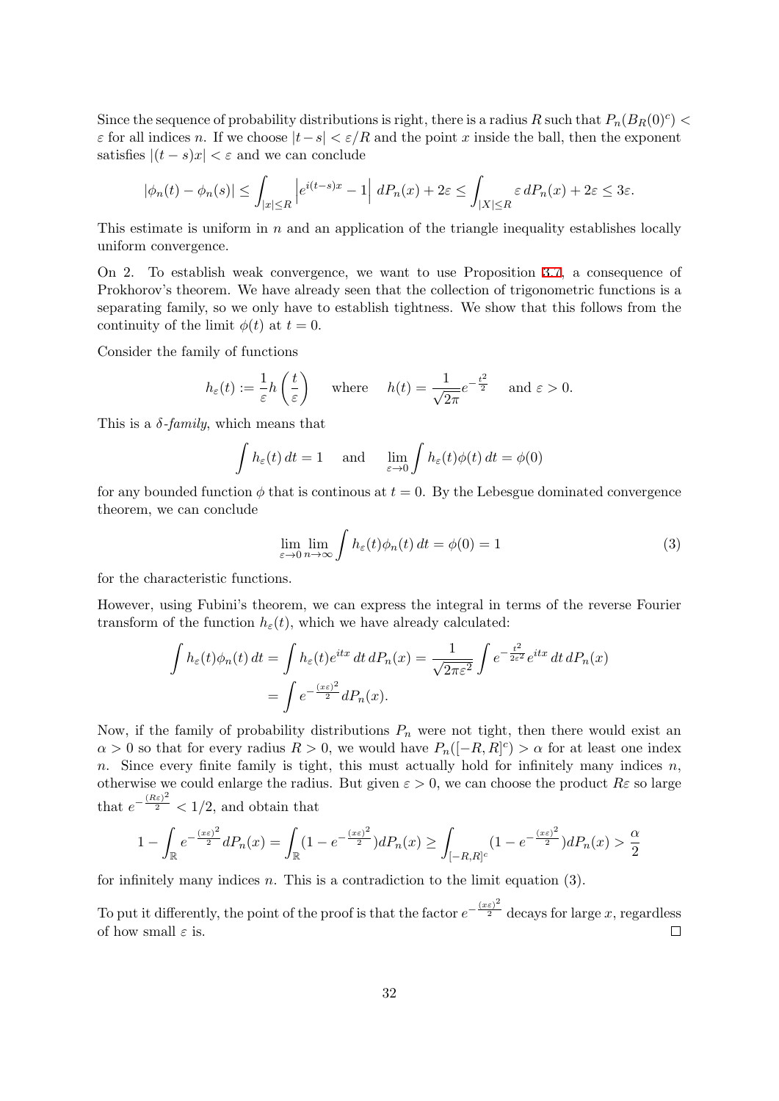Since the sequence of probability distributions is right, there is a radius  $R$  such that  $P_n(B_R(0)^c)$  <  $\varepsilon$  for all indices *n*. If we choose  $|t-s| < \varepsilon/R$  and the point *x* inside the ball, then the exponent satisfies  $|(t - s)x| < \varepsilon$  and we can conclude

$$
|\phi_n(t) - \phi_n(s)| \le \int_{|x| \le R} \left| e^{i(t-s)x} - 1 \right| dP_n(x) + 2\varepsilon \le \int_{|X| \le R} \varepsilon dP_n(x) + 2\varepsilon \le 3\varepsilon.
$$

This estimate is uniform in *n* and an application of the triangle inequality establishes locally uniform convergence.

On 2. To establish weak convergence, we want to use Proposition 3.7, a consequence of Prokhorov's theorem. We have already seen that the collection of trigonometric functions is a separating family, so we only have to establish tightness. We show that this follows from the continuity of the limit  $\phi(t)$  at  $t = 0$ .

Consider the family of functions

$$
h_{\varepsilon}(t) := \frac{1}{\varepsilon} h\left(\frac{t}{\varepsilon}\right) \quad \text{where} \quad h(t) = \frac{1}{\sqrt{2\pi}} e^{-\frac{t^2}{2}} \quad \text{and } \varepsilon > 0.
$$

This is a *δ-family*, which means that

$$
\int h_{\varepsilon}(t) dt = 1 \quad \text{and} \quad \lim_{\varepsilon \to 0} \int h_{\varepsilon}(t) \phi(t) dt = \phi(0)
$$

for any bounded function  $\phi$  that is continous at  $t = 0$ . By the Lebesgue dominated convergence theorem, we can conclude

$$
\lim_{\varepsilon \to 0} \lim_{n \to \infty} \int h_{\varepsilon}(t) \phi_n(t) dt = \phi(0) = 1
$$
\n(3)

for the characteristic functions.

However, using Fubini's theorem, we can express the integral in terms of the reverse Fourier transform of the function  $h_{\varepsilon}(t)$ , which we have already calculated:

$$
\int h_{\varepsilon}(t)\phi_n(t) dt = \int h_{\varepsilon}(t)e^{itx} dt dP_n(x) = \frac{1}{\sqrt{2\pi\varepsilon^2}} \int e^{-\frac{t^2}{2\varepsilon^2}} e^{itx} dt dP_n(x)
$$

$$
= \int e^{-\frac{(xe)^2}{2}} dP_n(x).
$$

Now, if the family of probability distributions *P<sup>n</sup>* were not tight, then there would exist an  $\alpha > 0$  so that for every radius  $R > 0$ , we would have  $P_n([-R, R]^c) > \alpha$  for at least one index *n*. Since every finite family is tight, this must actually hold for infinitely many indices *n*, otherwise we could enlarge the radius. But given  $\varepsilon > 0$ , we can choose the product  $R\varepsilon$  so large that  $e^{-\frac{(R\varepsilon)^2}{2}} < 1/2$ , and obtain that

$$
1 - \int_{\mathbb{R}} e^{-\frac{(x\varepsilon)^2}{2}} dP_n(x) = \int_{\mathbb{R}} (1 - e^{-\frac{(x\varepsilon)^2}{2}}) dP_n(x) \ge \int_{[-R,R]^c} (1 - e^{-\frac{(x\varepsilon)^2}{2}}) dP_n(x) > \frac{\alpha}{2}
$$

for infinitely many indices *n*. This is a contradiction to the limit equation (3).

To put it differently, the point of the proof is that the factor  $e^{-\frac{(x\varepsilon)^2}{2}}$  decays for large *x*, regardless of how small  $\varepsilon$  is.  $\Box$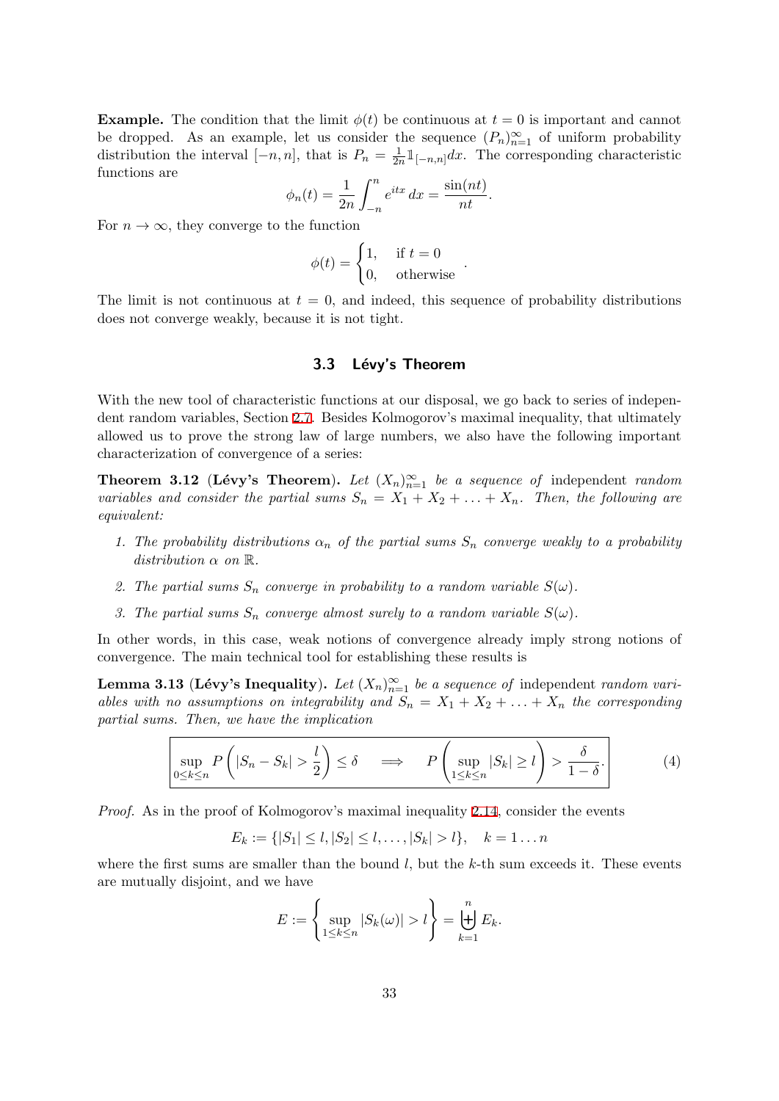**Example.** The condition that the limit  $\phi(t)$  be continuous at  $t = 0$  is important and cannot be dropped. As an example, let us consider the sequence  $(P_n)_{n=1}^{\infty}$  of uniform probability distribution the interval  $[-n, n]$ , that is  $P_n = \frac{1}{2n}$  $\frac{1}{2n}$ <sup>1</sup><sub>[−*n,n*]</sub>*dx*. The corresponding characteristic functions are

$$
\phi_n(t) = \frac{1}{2n} \int_{-n}^n e^{itx} dx = \frac{\sin(nt)}{nt}.
$$

For  $n \to \infty$ , they converge to the function

$$
\phi(t) = \begin{cases} 1, & \text{if } t = 0\\ 0, & \text{otherwise} \end{cases}
$$

*.*

The limit is not continuous at  $t = 0$ , and indeed, this sequence of probability distributions does not converge weakly, because it is not tight.

#### **3.3 L´evy's Theorem**

<span id="page-32-0"></span>With the new tool of characteristic functions at our disposal, we go back to series of independent random variables, Section 2.7. Besides Kolmogorov's maximal inequality, that ultimately allowed us to prove the strong law of large numbers, we also have the following important characterization of convergence of a series:

**Th[eore](#page-14-0)m 3.12** (Lévy's Theorem). Let  $(X_n)_{n=1}^{\infty}$  be a sequence of independent *random variables and consider the partial sums*  $S_n = X_1 + X_2 + \ldots + X_n$ *. Then, the following are equivalent:*

- *1.* The probability distributions  $\alpha_n$  of the partial sums  $S_n$  converge weakly to a probability  $distriolution \alpha$  *on*  $\mathbb{R}$ *.*
- 2. The partial sums  $S_n$  converge in probability to a random variable  $S(\omega)$ .
- *3. The partial sums*  $S_n$  *converge almost surely to a random variable*  $S(\omega)$ *.*

In other words, in this case, weak notions of convergence already imply strong notions of convergence. The main technical tool for establishing these results is

**Lemma 3.13** (Lévy's Inequality). Let  $(X_n)_{n=1}^{\infty}$  be a sequence of independent *random variables with no assumptions on integrability and*  $S_n = X_1 + X_2 + \ldots + X_n$  *the corresponding partial sums. Then, we have the implication*

$$
\sup_{0 \le k \le n} P\left(|S_n - S_k| > \frac{l}{2}\right) \le \delta \quad \implies \quad P\left(\sup_{1 \le k \le n} |S_k| \ge l\right) > \frac{\delta}{1 - \delta}.\tag{4}
$$

*Proof.* As in the proof of Kolmogorov's maximal inequality 2.14, consider the events

$$
E_k := \{ |S_1| \le l, |S_2| \le l, \ldots, |S_k| > l \}, \quad k = 1 \ldots n
$$

where the first sums are smaller than the bound *l*, but the *k*-th sum exceeds it. These events are mutually disjoint, and we have

$$
E := \left\{ \sup_{1 \leq k \leq n} |S_k(\omega)| > l \right\} = \biguplus_{k=1}^n E_k.
$$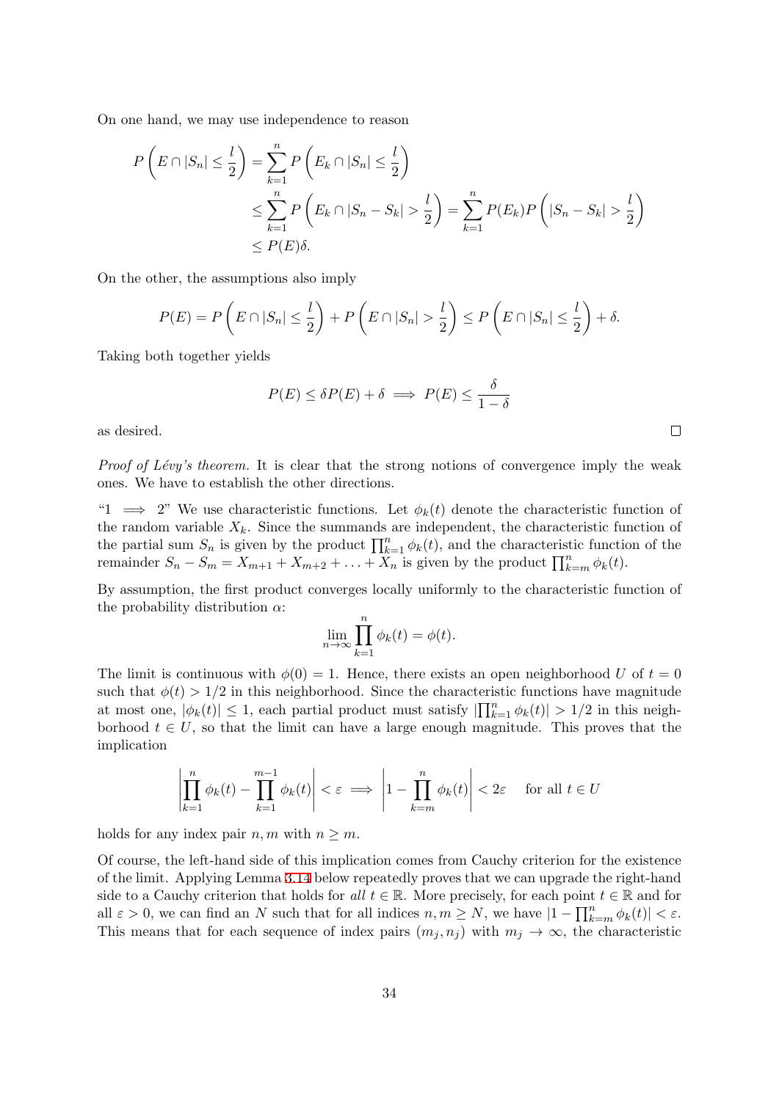On one hand, we may use independence to reason

$$
P\left(E \cap |S_n| \leq \frac{l}{2}\right) = \sum_{k=1}^n P\left(E_k \cap |S_n| \leq \frac{l}{2}\right)
$$
  

$$
\leq \sum_{k=1}^n P\left(E_k \cap |S_n - S_k| > \frac{l}{2}\right) = \sum_{k=1}^n P(E_k)P\left(|S_n - S_k| > \frac{l}{2}\right)
$$
  

$$
\leq P(E)\delta.
$$

On the other, the assumptions also imply

$$
P(E) = P\left(E \cap |S_n| \le \frac{l}{2}\right) + P\left(E \cap |S_n| > \frac{l}{2}\right) \le P\left(E \cap |S_n| \le \frac{l}{2}\right) + \delta.
$$

Taking both together yields

$$
P(E) \le \delta P(E) + \delta \implies P(E) \le \frac{\delta}{1 - \delta}
$$

as desired.

*Proof of Lévy's theorem.* It is clear that the strong notions of convergence imply the weak ones. We have to establish the other directions.

"1  $\implies$  2" We use characteristic functions. Let  $\phi_k(t)$  denote the characteristic function of the random variable  $X_k$ . Since the summands are independent, the characteristic function of the partial sum  $S_n$  is given by the product  $\prod_{k=1}^n \phi_k(t)$ , and the characteristic function of the remainder  $S_n - S_m = X_{m+1} + X_{m+2} + \ldots + X_n$  is given by the product  $\prod_{k=m}^n \phi_k(t)$ .

By assumption, the first product converges locally uniformly to the characteristic function of the probability distribution *α*:

$$
\lim_{n \to \infty} \prod_{k=1}^{n} \phi_k(t) = \phi(t).
$$

The limit is continuous with  $\phi(0) = 1$ . Hence, there exists an open neighborhood *U* of  $t = 0$ such that  $\phi(t) > 1/2$  in this neighborhood. Since the characteristic functions have magnitude at most one,  $|\phi_k(t)| \leq 1$ , each partial product must satisfy  $|\prod_{k=1}^n \phi_k(t)| > 1/2$  in this neighborhood  $t \in U$ , so that the limit can have a large enough magnitude. This proves that the implication

$$
\left| \prod_{k=1}^{n} \phi_k(t) - \prod_{k=1}^{m-1} \phi_k(t) \right| < \varepsilon \implies \left| 1 - \prod_{k=m}^{n} \phi_k(t) \right| < 2\varepsilon \quad \text{for all } t \in U
$$

holds for any index pair  $n, m$  with  $n \geq m$ .

Of course, the left-hand side of this implication comes from Cauchy criterion for the existence of the limit. Applying Lemma 3.14 below repeatedly proves that we can upgrade the right-hand side to a Cauchy criterion that holds for *all*  $t \in \mathbb{R}$ . More precisely, for each point  $t \in \mathbb{R}$  and for all  $\varepsilon > 0$ , we can find an *N* such that for all indices  $n, m \ge N$ , we have  $|1 - \prod_{k=m}^{n} \phi_k(t)| < \varepsilon$ . This means that for each seq[uenc](#page-34-1)e of index pairs  $(m_j, n_j)$  with  $m_j \to \infty$ , the characteristic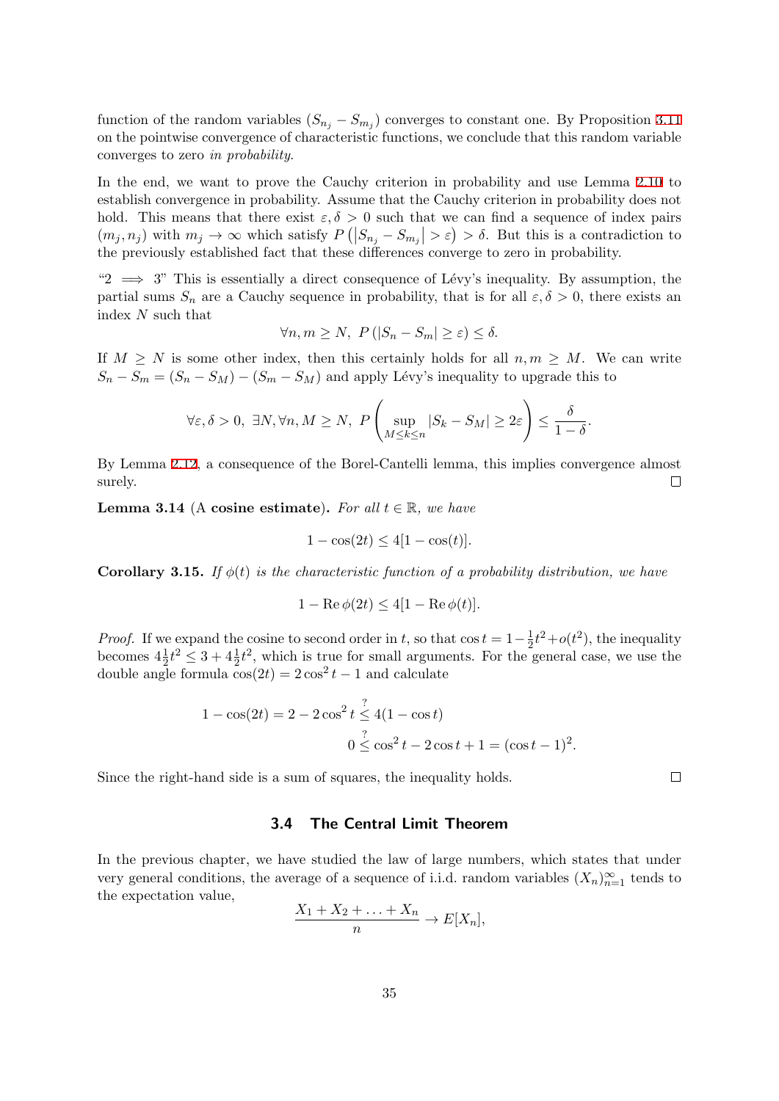function of the random variables  $(S_{n_j} - S_{m_j})$  converges to constant one. By Proposition 3.11 on the pointwise convergence of characteristic functions, we conclude that this random variable converges to zero *in probability*.

In the end, we want to prove the Cauchy criterion in probability and use Lemma 2.10 [to](#page-30-0) establish convergence in probability. Assume that the Cauchy criterion in probability does not hold. This means that there exist  $\varepsilon$ ,  $\delta > 0$  such that we can find a sequence of index pairs  $(m_j, n_j)$  with  $m_j \to \infty$  which satisfy  $P(|S_{n_j} - S_{m_j}| > \varepsilon) > \delta$ . But this is a contradiction to the previously established fact that these differences converge to zero in probability.

"2 =*⇒* 3" This is essentially a direct consequence of L´evy's inequality. By assumption, the partial sums  $S_n$  are a Cauchy sequence in probability, that is for all  $\varepsilon, \delta > 0$ , there exists an index *N* such that

$$
\forall n, m \ge N, \ P(|S_n - S_m| \ge \varepsilon) \le \delta.
$$

If  $M \geq N$  is some other index, then this certainly holds for all  $n, m \geq M$ . We can write  $S_n - S_m = (S_n - S_M) - (S_m - S_M)$  and apply Lévy's inequality to upgrade this to

$$
\forall \varepsilon, \delta > 0, \ \exists N, \forall n, M \ge N, \ P\left(\sup_{M \le k \le n} |S_k - S_M| \ge 2\varepsilon\right) \le \frac{\delta}{1 - \delta}.
$$

By Lemma 2.12, a consequence of the Borel-Cantelli lemma, this implies convergence almost surely.  $\Box$ 

**Lemma 3.14** (A **cosine estimate**). For all  $t \in \mathbb{R}$ , we have

$$
1 - \cos(2t) \le 4[1 - \cos(t)].
$$

<span id="page-34-1"></span>**Corollary 3.15.** *If*  $\phi(t)$  *is the characteristic function of a probability distribution, we have* 

$$
1 - \operatorname{Re}\phi(2t) \le 4[1 - \operatorname{Re}\phi(t)].
$$

*Proof.* If we expand the cosine to second order in *t*, so that  $\cos t = 1 - \frac{1}{2}$  $\frac{1}{2}t^2+o(t^2)$ , the inequality becomes  $4\frac{1}{2}t^2 \leq 3 + 4\frac{1}{2}t^2$ , which is true for small arguments. For the general case, we use the double angle formula  $\cos(2t) = 2\cos^2 t - 1$  and calculate

$$
1 - \cos(2t) = 2 - 2\cos^2 t \leq 4(1 - \cos t)
$$
  

$$
0 \leq \cos^2 t - 2\cos t + 1 = (\cos t - 1)^2.
$$

Since the right-hand side is a sum of squares, the inequality holds.

#### **3.4 The Central Limit Theorem**

<span id="page-34-0"></span>In the previous chapter, we have studied the law of large numbers, which states that under very general conditions, the average of a sequence of i.i.d. random variables  $(X_n)_{n=1}^{\infty}$  tends to the expectation value,

$$
\frac{X_1 + X_2 + \ldots + X_n}{n} \to E[X_n],
$$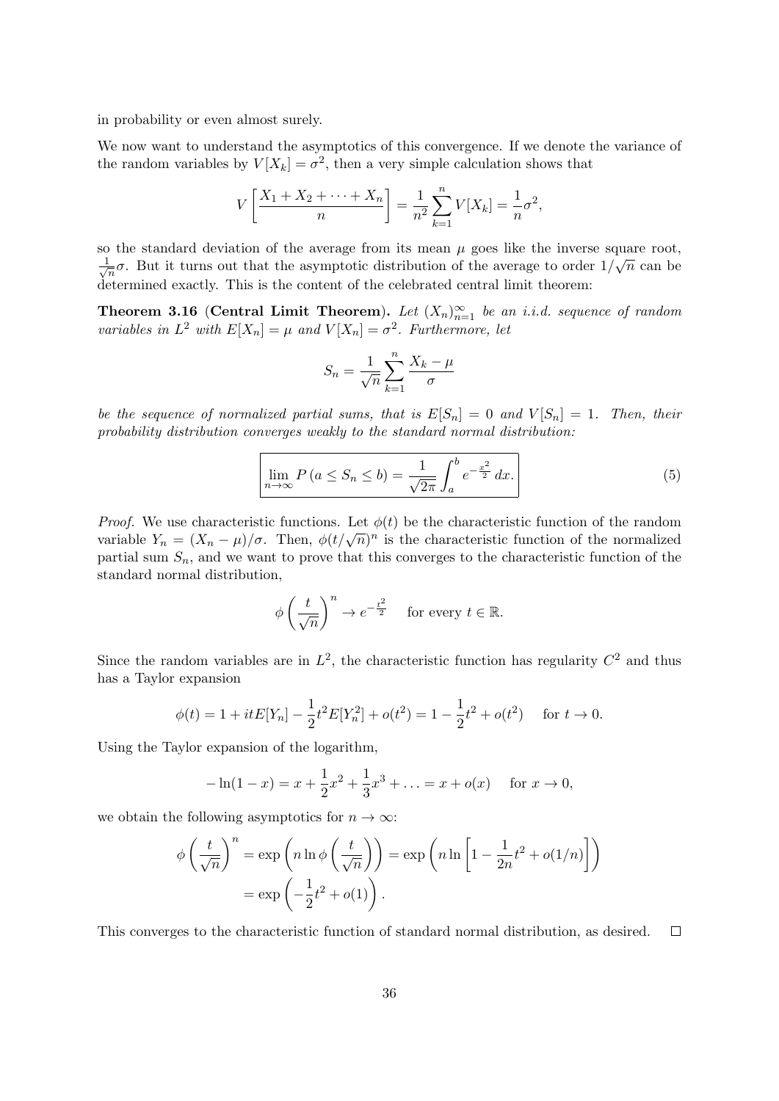in probability or even almost surely.

We now want to understand the asymptotics of this convergence. If we denote the variance of the random variables by  $V[X_k] = \sigma^2$ , then a very simple calculation shows that

$$
V\left[\frac{X_1 + X_2 + \dots + X_n}{n}\right] = \frac{1}{n^2} \sum_{k=1}^n V[X_k] = \frac{1}{n} \sigma^2,
$$

so the standard deviation of the average from its mean  $\mu$  goes like the inverse square root, *√* 1  $\frac{1}{n}\sigma$ . But it turns out that the asymptotic distribution of the average to order  $1/\sqrt{n}$  can be determined exactly. This is the content of the celebrated central limit theorem:

**Theorem 3.16** (**Central Limit Theorem**). Let  $(X_n)_{n=1}^{\infty}$  be an *i.i.d. sequence of random variables in*  $L^2$  *with*  $E[X_n] = \mu$  *and*  $V[X_n] = \sigma^2$ *. Furthermore, let* 

$$
S_n = \frac{1}{\sqrt{n}} \sum_{k=1}^n \frac{X_k - \mu}{\sigma}
$$

*be the sequence of normalized partial sums, that is*  $E[S_n] = 0$  *and*  $V[S_n] = 1$ *. Then, their probability distribution converges weakly to the standard normal distribution:*

$$
\lim_{n \to \infty} P(a \le S_n \le b) = \frac{1}{\sqrt{2\pi}} \int_a^b e^{-\frac{x^2}{2}} dx.
$$
\n(5)

*Proof.* We use characteristic functions. Let  $\phi(t)$  be the characteristic function of the random variable  $Y_n = (X_n - \mu)/\sigma$ . Then,  $\phi(t/\sqrt{n})^n$  is the characteristic function of the normalized partial sum  $S_n$ , and we want to prove that this converges to the characteristic function of the standard normal distribution,

$$
\phi\left(\frac{t}{\sqrt{n}}\right)^n \to e^{-\frac{t^2}{2}} \quad \text{ for every } t \in \mathbb{R}.
$$

Since the random variables are in  $L^2$ , the characteristic function has regularity  $C^2$  and thus has a Taylor expansion

$$
\phi(t) = 1 + itE[Y_n] - \frac{1}{2}t^2E[Y_n^2] + o(t^2) = 1 - \frac{1}{2}t^2 + o(t^2) \quad \text{for } t \to 0.
$$

Using the Taylor expansion of the logarithm,

$$
-\ln(1-x) = x + \frac{1}{2}x^2 + \frac{1}{3}x^3 + \dots = x + o(x) \quad \text{for } x \to 0,
$$

we obtain the following asymptotics for  $n \to \infty$ :

$$
\phi\left(\frac{t}{\sqrt{n}}\right)^n = \exp\left(n\ln\phi\left(\frac{t}{\sqrt{n}}\right)\right) = \exp\left(n\ln\left[1 - \frac{1}{2n}t^2 + o(1/n)\right]\right)
$$

$$
= \exp\left(-\frac{1}{2}t^2 + o(1)\right).
$$

This converges to the characteristic function of standard normal distribution, as desired.  $\Box$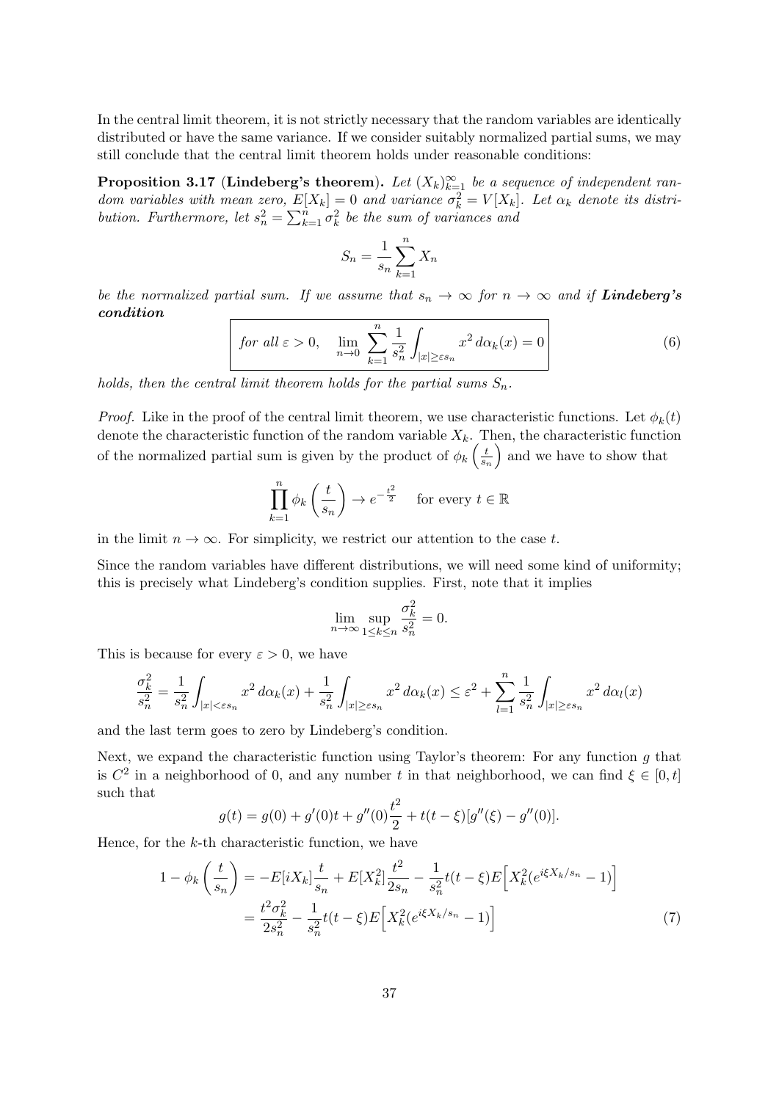In the central limit theorem, it is not strictly necessary that the random variables are identically distributed or have the same variance. If we consider suitably normalized partial sums, we may still conclude that the central limit theorem holds under reasonable conditions:

**Proposition 3.17** (Lindeberg's theorem). Let  $(X_k)_{k=1}^{\infty}$  be a sequence of independent ran*dom variables with mean zero,*  $E[X_k] = 0$  *and variance*  $\sigma_k^2 = V[X_k]$ *. Let*  $\alpha_k$  *denote its distribution. Furthermore, let*  $s_n^2 = \sum_{k=1}^n \sigma_k^2$  *be the sum of variances and* 

$$
S_n = \frac{1}{s_n} \sum_{k=1}^n X_n
$$

*be the normalized partial sum. If we assume that*  $s_n \to \infty$  *for*  $n \to \infty$  *and if Lindeberg's condition*

$$
\boxed{\nfor all \varepsilon > 0, \quad \lim_{n \to 0} \sum_{k=1}^{n} \frac{1}{s_n^2} \int_{|x| \ge \varepsilon s_n} x^2 \, d\alpha_k(x) = 0}
$$
\n(6)

*holds, then the central limit theorem holds for the partial sums*  $S_n$ .

*Proof.* Like in the proof of the central limit theorem, we use characteristic functions. Let  $\phi_k(t)$ denote the characteristic function of the random variable  $X_k$ . Then, the characteristic function of the normalized partial sum is given by the product of  $\phi_k$   $\left(\frac{t}{s}\right)$ *sn* ) and we have to show that

$$
\prod_{k=1}^{n} \phi_k \left( \frac{t}{s_n} \right) \to e^{-\frac{t^2}{2}} \quad \text{ for every } t \in \mathbb{R}
$$

in the limit  $n \to \infty$ . For simplicity, we restrict our attention to the case *t*.

Since the random variables have different distributions, we will need some kind of uniformity; this is precisely what Lindeberg's condition supplies. First, note that it implies

$$
\lim_{n \to \infty} \sup_{1 \le k \le n} \frac{\sigma_k^2}{s_n^2} = 0.
$$

This is because for every  $\varepsilon > 0$ , we have

$$
\frac{\sigma_k^2}{s_n^2} = \frac{1}{s_n^2} \int_{|x| < \varepsilon s_n} x^2 \, d\alpha_k(x) + \frac{1}{s_n^2} \int_{|x| \ge \varepsilon s_n} x^2 \, d\alpha_k(x) \le \varepsilon^2 + \sum_{l=1}^n \frac{1}{s_n^2} \int_{|x| \ge \varepsilon s_n} x^2 \, d\alpha_l(x)
$$

and the last term goes to zero by Lindeberg's condition.

Next, we expand the characteristic function using Taylor's theorem: For any function *g* that is  $C^2$  in a neighborhood of 0, and any number *t* in that neighborhood, we can find  $\xi \in [0, t]$ such that

$$
g(t) = g(0) + g'(0)t + g''(0)\frac{t^2}{2} + t(t - \xi)[g''(\xi) - g''(0)].
$$

Hence, for the *k*-th characteristic function, we have

$$
1 - \phi_k \left( \frac{t}{s_n} \right) = -E[iX_k] \frac{t}{s_n} + E[X_k^2] \frac{t^2}{2s_n} - \frac{1}{s_n^2} t(t - \xi) E\Big[X_k^2 (e^{i\xi X_k/s_n} - 1)\Big]
$$
  
= 
$$
\frac{t^2 \sigma_k^2}{2s_n^2} - \frac{1}{s_n^2} t(t - \xi) E\Big[X_k^2 (e^{i\xi X_k/s_n} - 1)\Big]
$$
(7)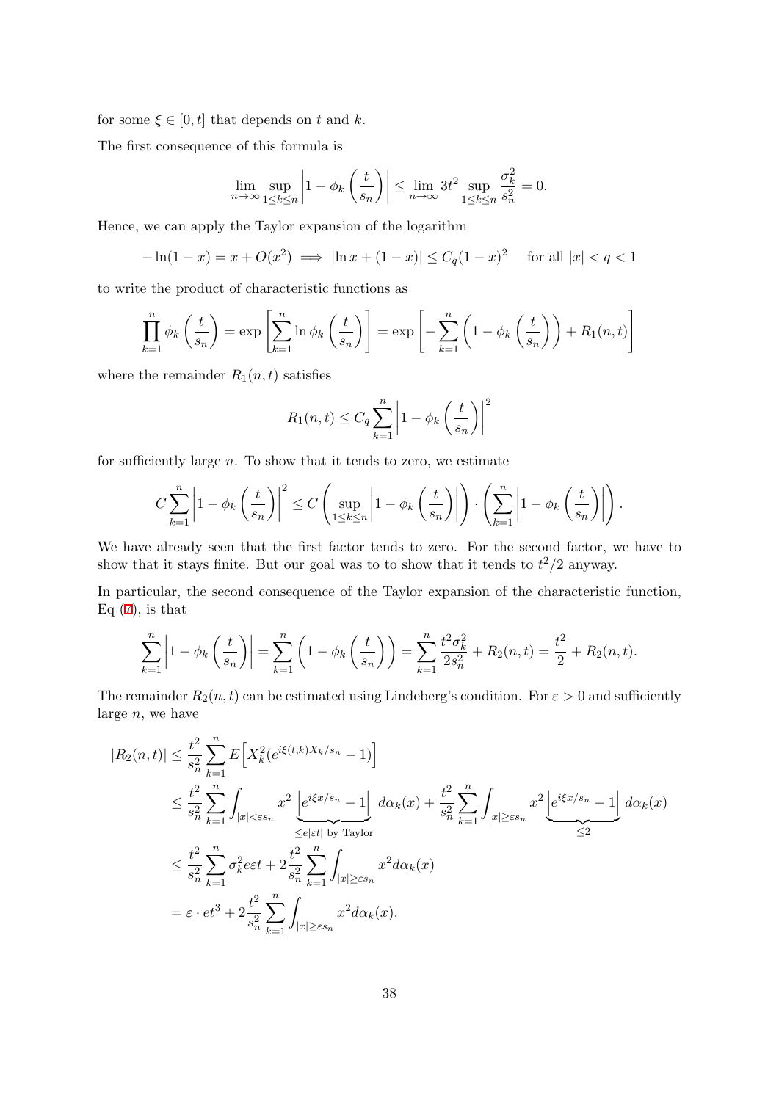for some  $\xi \in [0, t]$  that depends on *t* and *k*.

The first consequence of this formula is

$$
\lim_{n \to \infty} \sup_{1 \le k \le n} \left| 1 - \phi_k \left( \frac{t}{s_n} \right) \right| \le \lim_{n \to \infty} 3t^2 \sup_{1 \le k \le n} \frac{\sigma_k^2}{s_n^2} = 0.
$$

Hence, we can apply the Taylor expansion of the logarithm

$$
-\ln(1-x) = x + O(x^2) \implies |\ln x + (1-x)| \le C_q (1-x)^2 \quad \text{for all } |x| < q < 1
$$

to write the product of characteristic functions as

$$
\prod_{k=1}^{n} \phi_k \left( \frac{t}{s_n} \right) = \exp \left[ \sum_{k=1}^{n} \ln \phi_k \left( \frac{t}{s_n} \right) \right] = \exp \left[ - \sum_{k=1}^{n} \left( 1 - \phi_k \left( \frac{t}{s_n} \right) \right) + R_1(n, t) \right]
$$

where the remainder  $R_1(n,t)$  satisfies

$$
R_1(n,t) \leq C_q \sum_{k=1}^n \left| 1 - \phi_k \left( \frac{t}{s_n} \right) \right|^2
$$

for sufficiently large *n*. To show that it tends to zero, we estimate

$$
C\sum_{k=1}^n \left|1-\phi_k\left(\frac{t}{s_n}\right)\right|^2 \le C\left(\sup_{1\le k\le n}\left|1-\phi_k\left(\frac{t}{s_n}\right)\right|\right)\cdot \left(\sum_{k=1}^n \left|1-\phi_k\left(\frac{t}{s_n}\right)\right|\right).
$$

We have already seen that the first factor tends to zero. For the second factor, we have to show that it stays finite. But our goal was to to show that it tends to  $t^2/2$  anyway.

In particular, the second consequence of the Taylor expansion of the characteristic function, Eq  $(7)$ , is that

$$
\sum_{k=1}^{n} \left| 1 - \phi_k\left(\frac{t}{s_n}\right) \right| = \sum_{k=1}^{n} \left( 1 - \phi_k\left(\frac{t}{s_n}\right) \right) = \sum_{k=1}^{n} \frac{t^2 \sigma_k^2}{2s_n^2} + R_2(n, t) = \frac{t^2}{2} + R_2(n, t).
$$

The remainder  $R_2(n,t)$  can be estimated using Lindeberg's condition. For  $\varepsilon > 0$  and sufficiently large *n*, we have

$$
|R_2(n,t)| \leq \frac{t^2}{s_n^2} \sum_{k=1}^n E\Big[X_k^2(e^{i\xi(t,k)X_k/s_n} - 1)\Big]
$$
  
\n
$$
\leq \frac{t^2}{s_n^2} \sum_{k=1}^n \int_{|x| < \varepsilon s_n} x^2 \underbrace{e^{i\xi x/s_n} - 1}_{\leq e|\varepsilon t| \text{ by Taylor}} d\alpha_k(x) + \frac{t^2}{s_n^2} \sum_{k=1}^n \int_{|x| \geq \varepsilon s_n} x^2 \underbrace{e^{i\xi x/s_n} - 1}_{\leq 2} d\alpha_k(x)
$$
  
\n
$$
\leq \frac{t^2}{s_n^2} \sum_{k=1}^n \sigma_k^2 \varepsilon t + 2 \frac{t^2}{s_n^2} \sum_{k=1}^n \int_{|x| \geq \varepsilon s_n} x^2 d\alpha_k(x)
$$
  
\n
$$
= \varepsilon \cdot \varepsilon t^3 + 2 \frac{t^2}{s_n^2} \sum_{k=1}^n \int_{|x| \geq \varepsilon s_n} x^2 d\alpha_k(x).
$$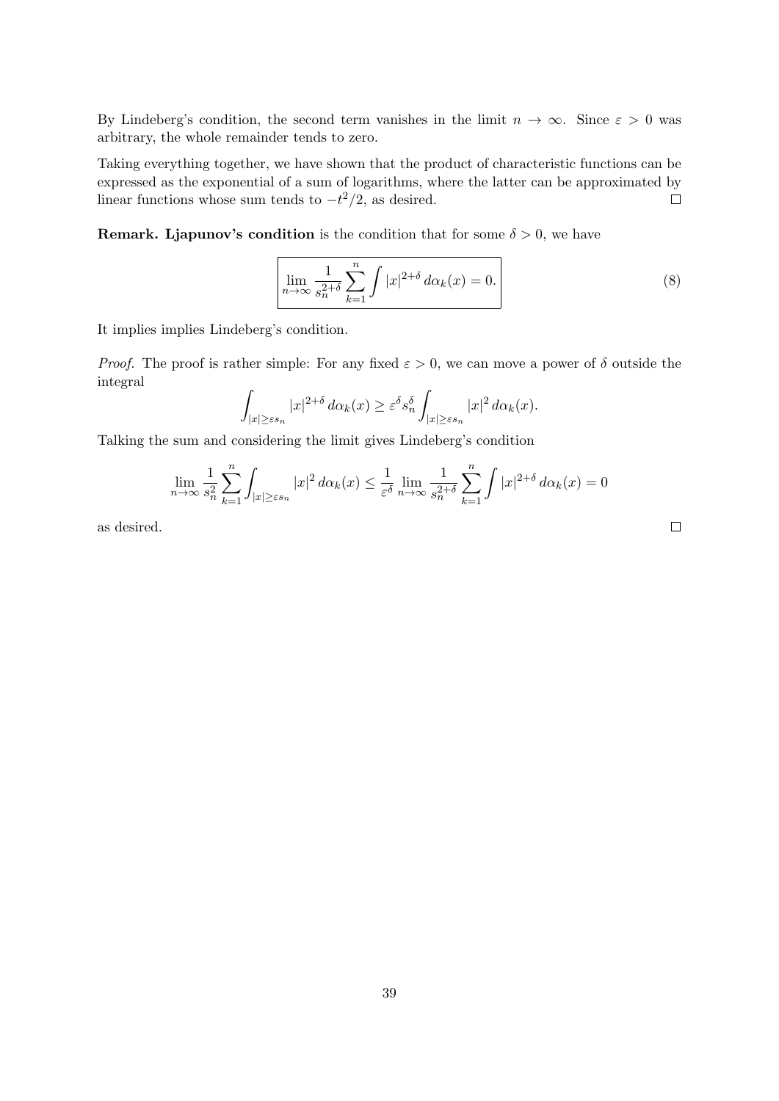By Lindeberg's condition, the second term vanishes in the limit  $n \to \infty$ . Since  $\varepsilon > 0$  was arbitrary, the whole remainder tends to zero.

Taking everything together, we have shown that the product of characteristic functions can be expressed as the exponential of a sum of logarithms, where the latter can be approximated by linear functions whose sum tends to  $-t^2/2$ , as desired.  $\Box$ 

**Remark. Ljapunov's condition** is the condition that for some  $\delta > 0$ , we have

$$
\lim_{n \to \infty} \frac{1}{s_n^{2+\delta}} \sum_{k=1}^n \int |x|^{2+\delta} d\alpha_k(x) = 0.
$$
 (8)

It implies implies Lindeberg's condition.

*Proof.* The proof is rather simple: For any fixed  $\varepsilon > 0$ , we can move a power of  $\delta$  outside the integral

$$
\int_{|x|\geq \varepsilon s_n} |x|^{2+\delta} \, d\alpha_k(x) \geq \varepsilon^\delta s_n^\delta \int_{|x|\geq \varepsilon s_n} |x|^2 \, d\alpha_k(x).
$$

Talking the sum and considering the limit gives Lindeberg's condition

$$
\lim_{n \to \infty} \frac{1}{s_n^2} \sum_{k=1}^n \int_{|x| \ge \varepsilon s_n} |x|^2 \, d\alpha_k(x) \le \frac{1}{\varepsilon^{\delta}} \lim_{n \to \infty} \frac{1}{s_n^{2+\delta}} \sum_{k=1}^n \int |x|^{2+\delta} \, d\alpha_k(x) = 0
$$

as desired.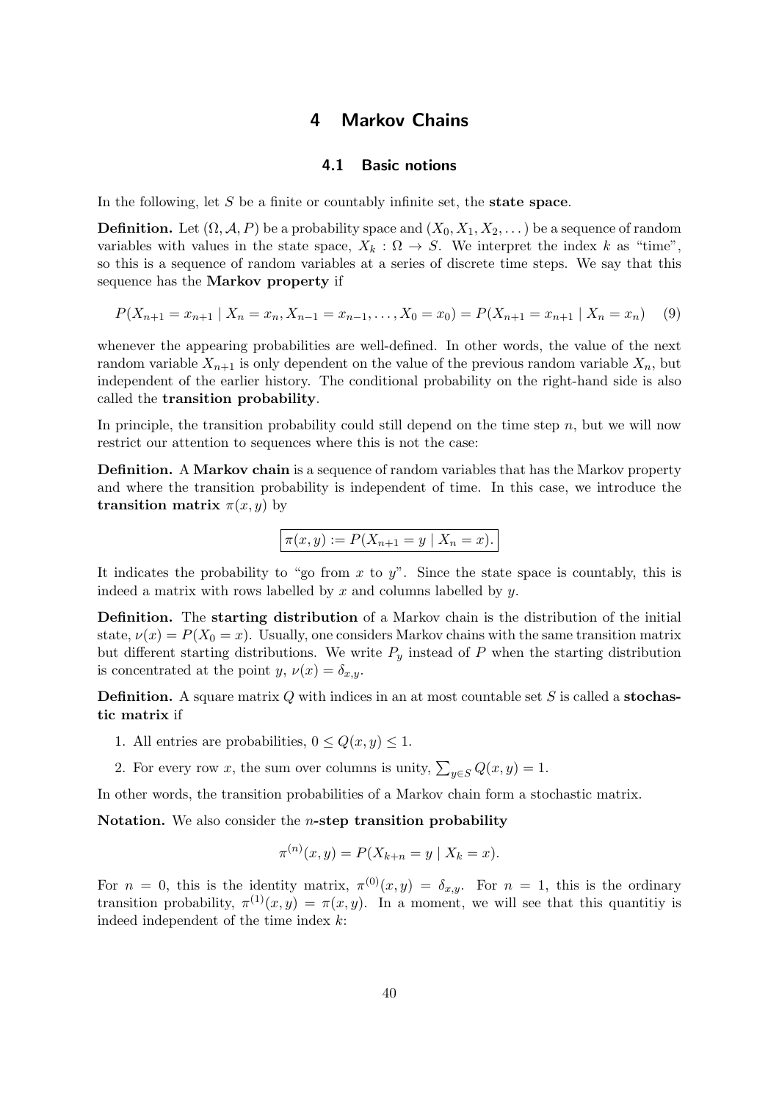# **4 Markov Chains**

#### **4.1 Basic notions**

In the following, let *S* be a finite or countably infinite set, the **state space**.

**Definition.** Let  $(\Omega, \mathcal{A}, P)$  be a probability space and  $(X_0, X_1, X_2, \ldots)$  be a sequence of random variables with values in the state space,  $X_k : \Omega \to S$ . We interpret the index *k* as "time", so this is a sequence of random variables at a series of discrete time steps. We say that this sequence has the **Markov property** if

$$
P(X_{n+1} = x_{n+1} | X_n = x_n, X_{n-1} = x_{n-1}, \dots, X_0 = x_0) = P(X_{n+1} = x_{n+1} | X_n = x_n) \tag{9}
$$

whenever the appearing probabilities are well-defined. In other words, the value of the next random variable  $X_{n+1}$  is only dependent on the value of the previous random variable  $X_n$ , but independent of the earlier history. The conditional probability on the right-hand side is also called the **transition probability**.

In principle, the transition probability could still depend on the time step *n*, but we will now restrict our attention to sequences where this is not the case:

**Definition.** A **Markov chain** is a sequence of random variables that has the Markov property and where the transition probability is independent of time. In this case, we introduce the **transition matrix**  $\pi(x, y)$  by

$$
\pi(x, y) := P(X_{n+1} = y \mid X_n = x).
$$

It indicates the probability to "go from  $x$  to  $y$ ". Since the state space is countably, this is indeed a matrix with rows labelled by *x* and columns labelled by *y*.

**Definition.** The **starting distribution** of a Markov chain is the distribution of the initial state,  $\nu(x) = P(X_0 = x)$ . Usually, one considers Markov chains with the same transition matrix but different starting distributions. We write  $P_y$  instead of  $P$  when the starting distribution is concentrated at the point *y*,  $\nu(x) = \delta_{x,y}$ .

**Definition.** A square matrix *Q* with indices in an at most countable set *S* is called a **stochastic matrix** if

- 1. All entries are probabilities,  $0 \le Q(x, y) \le 1$ .
- 2. For every row *x*, the sum over columns is unity,  $\sum_{y \in S} Q(x, y) = 1$ .

In other words, the transition probabilities of a Markov chain form a stochastic matrix.

**Notation.** We also consider the *n***-step transition probability**

$$
\pi^{(n)}(x, y) = P(X_{k+n} = y \mid X_k = x).
$$

For  $n = 0$ , this is the identity matrix,  $\pi^{(0)}(x, y) = \delta_{x, y}$ . For  $n = 1$ , this is the ordinary transition probability,  $\pi^{(1)}(x, y) = \pi(x, y)$ . In a moment, we will see that this quantitiy is indeed independent of the time index *k*: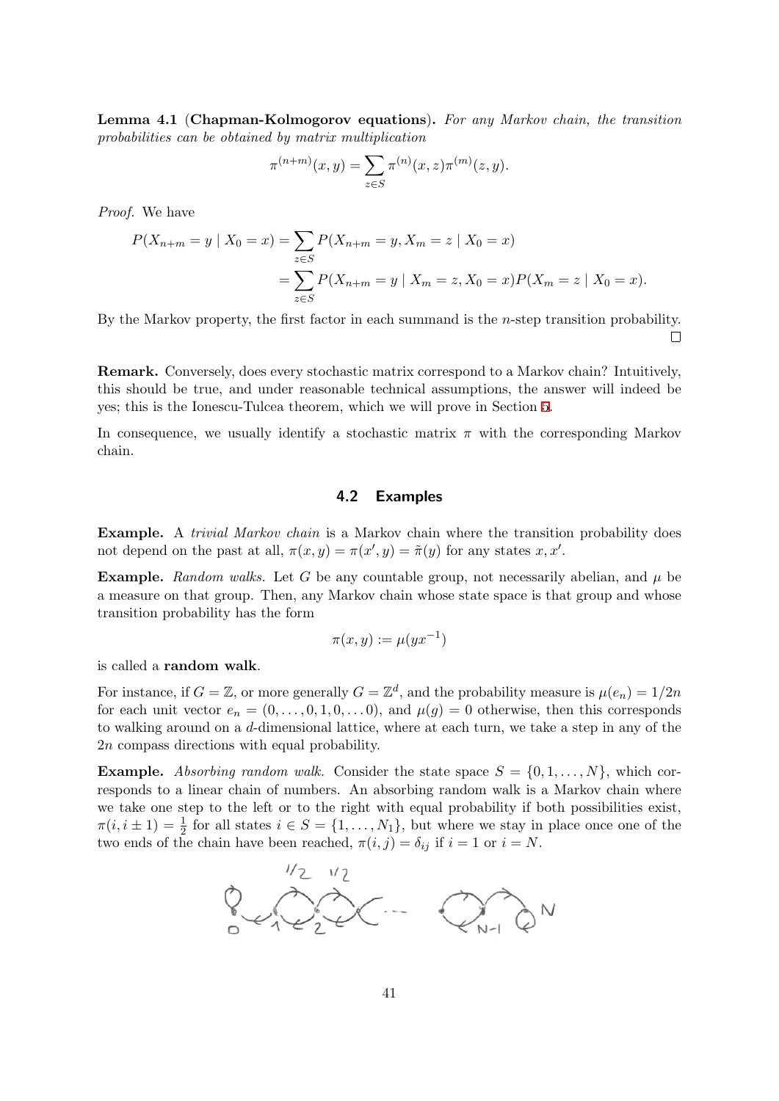**Lemma 4.1** (**Chapman-Kolmogorov equations**)**.** *For any Markov chain, the transition probabilities can be obtained by matrix multiplication*

$$
\pi^{(n+m)}(x,y) = \sum_{z \in S} \pi^{(n)}(x,z)\pi^{(m)}(z,y).
$$

*Proof.* We have

$$
P(X_{n+m} = y \mid X_0 = x) = \sum_{z \in S} P(X_{n+m} = y, X_m = z \mid X_0 = x)
$$
  
= 
$$
\sum_{z \in S} P(X_{n+m} = y \mid X_m = z, X_0 = x) P(X_m = z \mid X_0 = x).
$$

By the Markov property, the first factor in each summand is the *n*-step transition probability.  $\Box$ 

**Remark.** Conversely, does every stochastic matrix correspond to a Markov chain? Intuitively, this should be true, and under reasonable technical assumptions, the answer will indeed be yes; this is the Ionescu-Tulcea theorem, which we will prove in Section 5.

In consequence, we usually identify a stochastic matrix  $\pi$  with the corresponding Markov chain.

#### **4.2 Examples**

**Example.** A *trivial Markov chain* is a Markov chain where the transition probability does not depend on the past at all,  $\pi(x, y) = \pi(x', y) = \tilde{\pi}(y)$  for any states  $x, x'$ .

**Example.** *Random walks.* Let G be any countable group, not necessarily abelian, and  $\mu$  be a measure on that group. Then, any Markov chain whose state space is that group and whose transition probability has the form

$$
\pi(x,y) := \mu(yx^{-1})
$$

is called a **random walk**.

For instance, if  $G = \mathbb{Z}$ , or more generally  $G = \mathbb{Z}^d$ , and the probability measure is  $\mu(e_n) = 1/2n$ for each unit vector  $e_n = (0, \ldots, 0, 1, 0, \ldots, 0)$ , and  $\mu(g) = 0$  otherwise, then this corresponds to walking around on a *d*-dimensional lattice, where at each turn, we take a step in any of the 2*n* compass directions with equal probability.

**Example.** Absorbing random walk. Consider the state space  $S = \{0, 1, \ldots, N\}$ , which corresponds to a linear chain of numbers. An absorbing random walk is a Markov chain where we take one step to the left or to the right with equal probability if both possibilities exist,  $\pi(i, i \pm 1) = \frac{1}{2}$  for all states  $i \in S = \{1, \ldots, N_1\}$ , but where we stay in place once one of the two ends of the chain have been reached,  $\pi(i, j) = \delta_{ij}$  if  $i = 1$  or  $i = N$ .

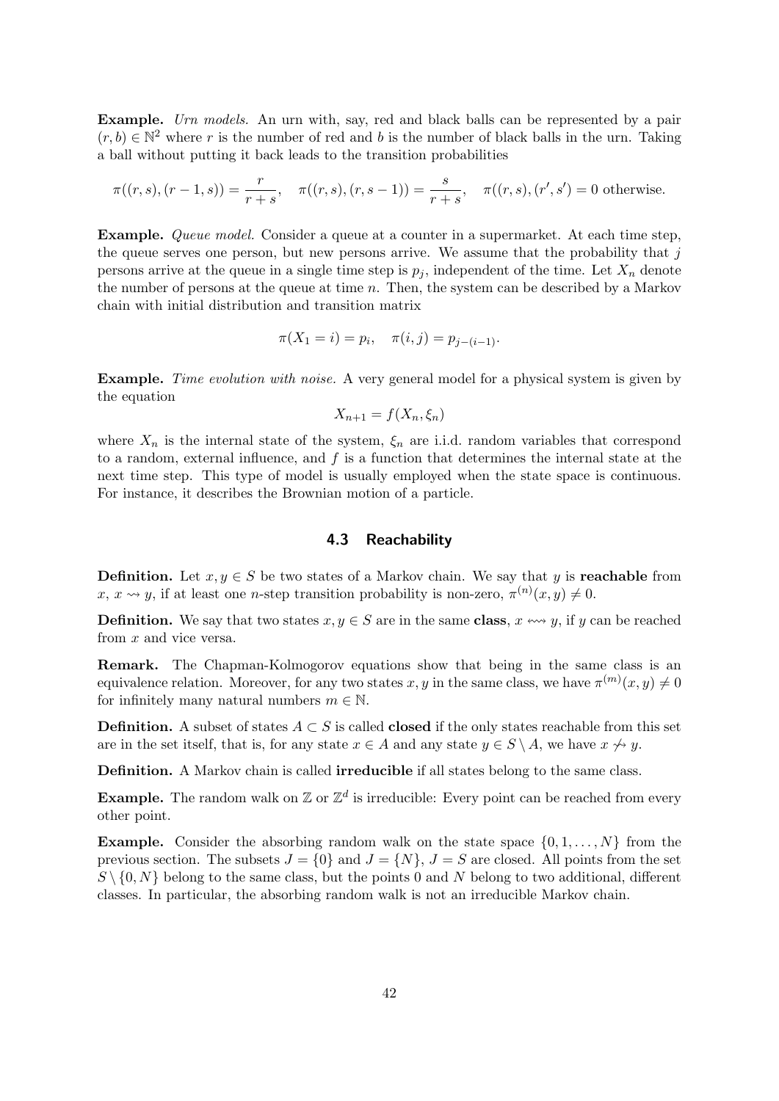**Example.** *Urn models.* An urn with, say, red and black balls can be represented by a pair  $(r, b) \in \mathbb{N}^2$  where *r* is the number of red and *b* is the number of black balls in the urn. Taking a ball without putting it back leads to the transition probabilities

$$
\pi((r,s),(r-1,s)) = \frac{r}{r+s}, \quad \pi((r,s),(r,s-1)) = \frac{s}{r+s}, \quad \pi((r,s),(r',s') = 0 \text{ otherwise.}
$$

**Example.** *Queue model.* Consider a queue at a counter in a supermarket. At each time step, the queue serves one person, but new persons arrive. We assume that the probability that *j* persons arrive at the queue in a single time step is  $p_j$ , independent of the time. Let  $X_n$  denote the number of persons at the queue at time *n*. Then, the system can be described by a Markov chain with initial distribution and transition matrix

$$
\pi(X_1 = i) = p_i, \quad \pi(i, j) = p_{j - (i - 1)}.
$$

**Example.** *Time evolution with noise.* A very general model for a physical system is given by the equation

$$
X_{n+1} = f(X_n, \xi_n)
$$

where  $X_n$  is the internal state of the system,  $\xi_n$  are i.i.d. random variables that correspond to a random, external influence, and *f* is a function that determines the internal state at the next time step. This type of model is usually employed when the state space is continuous. For instance, it describes the Brownian motion of a particle.

#### **4.3 Reachability**

**Definition.** Let  $x, y \in S$  be two states of a Markov chain. We say that *y* is **reachable** from  $x, x \rightsquigarrow y$ , if at least one *n*-step transition probability is non-zero,  $\pi^{(n)}(x, y) \neq 0$ .

**Definition.** We say that two states  $x, y \in S$  are in the same **class**,  $x \leftrightarrow y$ , if  $y$  can be reached from *x* and vice versa.

**Remark.** The Chapman-Kolmogorov equations show that being in the same class is an equivalence relation. Moreover, for any two states *x*, *y* in the same class, we have  $\pi^{(m)}(x, y) \neq 0$ for infinitely many natural numbers  $m \in \mathbb{N}$ .

**Definition.** A subset of states  $A \subset S$  is called **closed** if the only states reachable from this set are in the set itself, that is, for any state  $x \in A$  and any state  $y \in S \setminus A$ , we have  $x \not\rightsquigarrow y$ .

**Definition.** A Markov chain is called **irreducible** if all states belong to the same class.

**Example.** The random walk on  $\mathbb{Z}$  or  $\mathbb{Z}^d$  is irreducible: Every point can be reached from every other point.

**Example.** Consider the absorbing random walk on the state space  $\{0, 1, \ldots, N\}$  from the previous section. The subsets  $J = \{0\}$  and  $J = \{N\}, J = S$  are closed. All points from the set  $S \setminus \{0, N\}$  belong to the same class, but the points 0 and *N* belong to two additional, different classes. In particular, the absorbing random walk is not an irreducible Markov chain.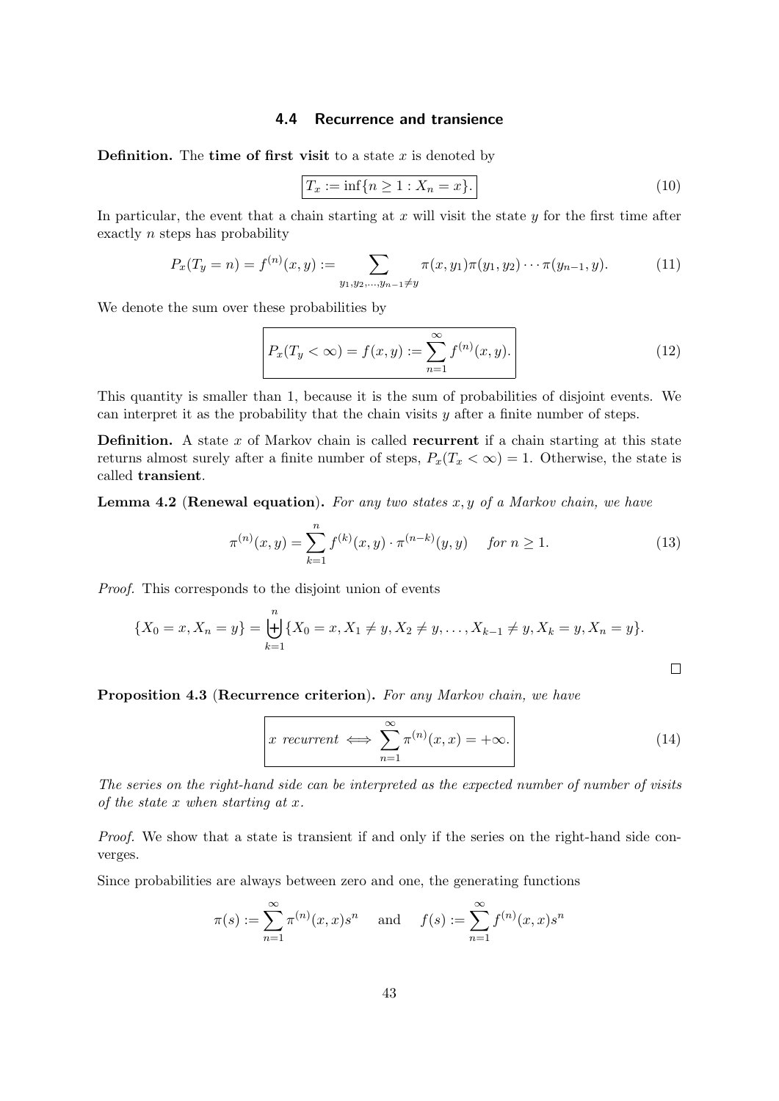#### **4.4 Recurrence and transience**

**Definition.** The **time of first visit** to a state *x* is denoted by

$$
T_x := \inf\{n \ge 1 : X_n = x\}.
$$
 (10)

In particular, the event that a chain starting at *x* will visit the state *y* for the first time after exactly *n* steps has probability

$$
P_x(T_y = n) = f^{(n)}(x, y) := \sum_{y_1, y_2, \dots, y_{n-1} \neq y} \pi(x, y_1) \pi(y_1, y_2) \cdots \pi(y_{n-1}, y).
$$
 (11)

We denote the sum over these probabilities by

$$
P_x(T_y < \infty) = f(x, y) := \sum_{n=1}^{\infty} f^{(n)}(x, y). \tag{12}
$$

This quantity is smaller than 1, because it is the sum of probabilities of disjoint events. We can interpret it as the probability that the chain visits *y* after a finite number of steps.

**Definition.** A state *x* of Markov chain is called **recurrent** if a chain starting at this state returns almost surely after a finite number of steps,  $P_x(T_x < \infty) = 1$ . Otherwise, the state is called **transient**.

**Lemma 4.2** (**Renewal equation**)**.** *For any two states x, y of a Markov chain, we have*

<span id="page-42-0"></span>
$$
\pi^{(n)}(x,y) = \sum_{k=1}^{n} f^{(k)}(x,y) \cdot \pi^{(n-k)}(y,y) \quad \text{for } n \ge 1.
$$
 (13)

*Proof.* This corresponds to the disjoint union of events

$$
\{X_0 = x, X_n = y\} = \biguplus_{k=1}^n \{X_0 = x, X_1 \neq y, X_2 \neq y, \dots, X_{k-1} \neq y, X_k = y, X_n = y\}.
$$

**Proposition 4.3** (**Recurrence criterion**)**.** *For any Markov chain, we have*

$$
x \text{ recurrent} \iff \sum_{n=1}^{\infty} \pi^{(n)}(x, x) = +\infty.
$$
 (14)

 $\Box$ 

*The series on the right-hand side can be interpreted as the expected number of number of visits of the state x when starting at x.*

*Proof.* We show that a state is transient if and only if the series on the right-hand side converges.

Since probabilities are always between zero and one, the generating functions

$$
\pi(s) := \sum_{n=1}^{\infty} \pi^{(n)}(x, x) s^n
$$
 and  $f(s) := \sum_{n=1}^{\infty} f^{(n)}(x, x) s^n$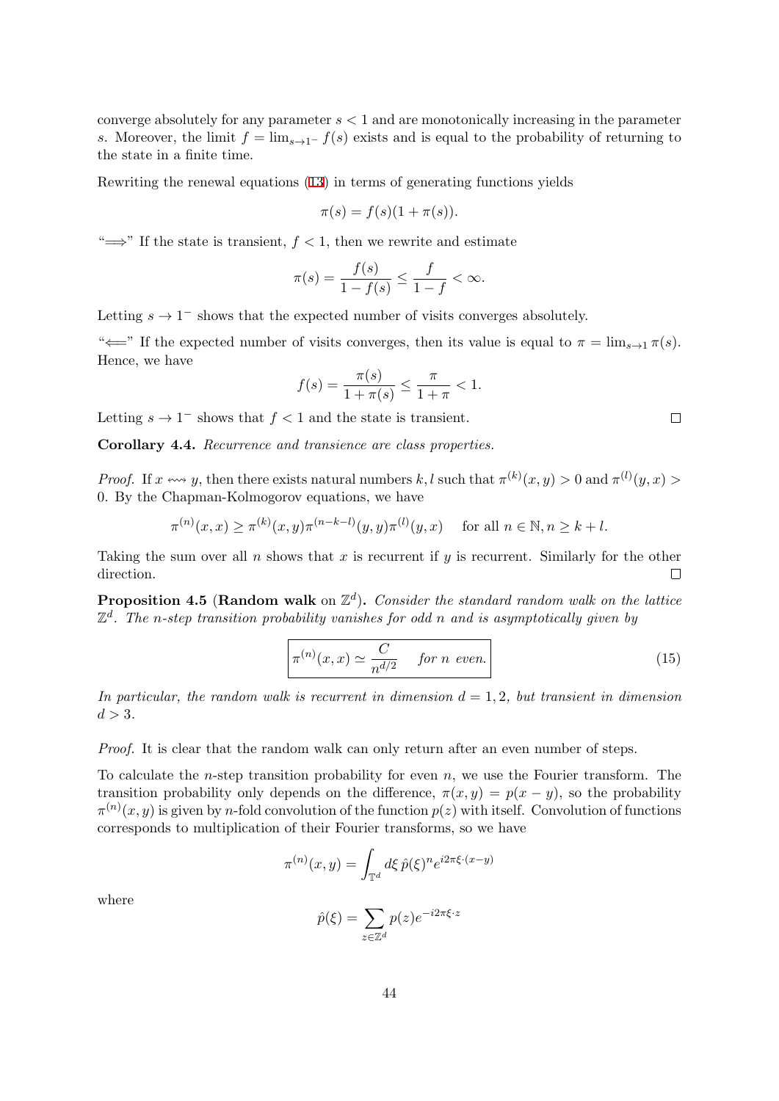converge absolutely for any parameter *s <* 1 and are monotonically increasing in the parameter *s*. Moreover, the limit  $f = \lim_{s \to 1^-} f(s)$  exists and is equal to the probability of returning to the state in a finite time.

Rewriting the renewal equations (13) in terms of generating functions yields

$$
\pi(s) = f(s)(1 + \pi(s)).
$$

"=*⇒*" If the state is transient, *f [<](#page-42-0)* 1, then we rewrite and estimate

$$
\pi(s) = \frac{f(s)}{1 - f(s)} \le \frac{f}{1 - f} < \infty.
$$

Letting  $s \to 1^-$  shows that the expected number of visits converges absolutely.

" $\Longleftarrow$ " If the expected number of visits converges, then its value is equal to  $\pi = \lim_{s \to 1} \pi(s)$ . Hence, we have

$$
f(s) = \frac{\pi(s)}{1 + \pi(s)} \le \frac{\pi}{1 + \pi} < 1.
$$

Letting  $s \to 1^-$  shows that  $f < 1$  and the state is transient.

**Corollary 4.4.** *Recurrence and transience are class properties.*

*Proof.* If  $x \leftrightarrow y$ , then there exists natural numbers  $k, l$  such that  $\pi^{(k)}(x, y) > 0$  and  $\pi^{(l)}(y, x) >$ 0. By the Chapman-Kolmogorov equations, we have

$$
\pi^{(n)}(x,x) \ge \pi^{(k)}(x,y)\pi^{(n-k-l)}(y,y)\pi^{(l)}(y,x) \quad \text{ for all } n \in \mathbb{N}, n \ge k+l.
$$

Taking the sum over all *n* shows that *x* is recurrent if *y* is recurrent. Similarly for the other direction.  $\Box$ 

**Proposition 4.5** (Random walk on  $\mathbb{Z}^d$ ). Consider the standard random walk on the lattice  $\mathbb{Z}^d$ . The *n*-step transition probability vanishes for odd *n* and is asymptotically given by

$$
\pi^{(n)}(x,x) \simeq \frac{C}{n^{d/2}} \quad \text{for } n \text{ even.} \tag{15}
$$

In particular, the random walk is recurrent in dimension  $d = 1, 2$ , but transient in dimension  $d > 3$ .

*Proof.* It is clear that the random walk can only return after an even number of steps.

To calculate the *n*-step transition probability for even *n*, we use the Fourier transform. The transition probability only depends on the difference,  $\pi(x, y) = p(x - y)$ , so the probability  $\pi^{(n)}(x, y)$  is given by *n*-fold convolution of the function  $p(z)$  with itself. Convolution of functions corresponds to multiplication of their Fourier transforms, so we have

$$
\pi^{(n)}(x,y) = \int_{\mathbb{T}^d} d\xi \,\hat{p}(\xi)^n e^{i2\pi\xi \cdot (x-y)}
$$

where

$$
\hat{p}(\xi) = \sum_{z \in \mathbb{Z}^d} p(z) e^{-i2\pi \xi \cdot z}
$$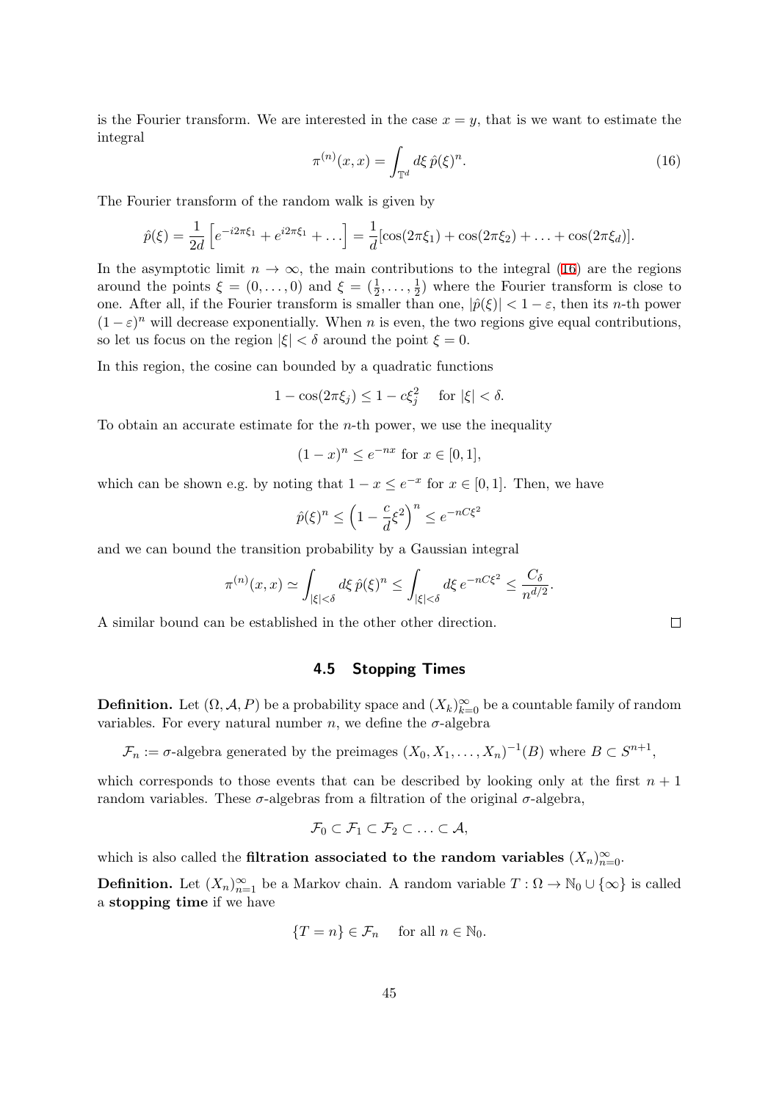is the Fourier transform. We are interested in the case  $x = y$ , that is we want to estimate the integral

<span id="page-44-0"></span>
$$
\pi^{(n)}(x,x) = \int_{\mathbb{T}^d} d\xi \,\hat{p}(\xi)^n.
$$
\n(16)

The Fourier transform of the random walk is given by

$$
\hat{p}(\xi) = \frac{1}{2d} \left[ e^{-i2\pi\xi_1} + e^{i2\pi\xi_1} + \ldots \right] = \frac{1}{d} [\cos(2\pi\xi_1) + \cos(2\pi\xi_2) + \ldots + \cos(2\pi\xi_d)].
$$

In the asymptotic limit  $n \to \infty$ , the main contributions to the integral (16) are the regions around the points  $\xi = (0, ..., 0)$  and  $\xi = (\frac{1}{2}, ..., \frac{1}{2})$  $\frac{1}{2}$ ) where the Fourier transform is close to one. After all, if the Fourier transform is smaller than one,  $|\hat{p}(\xi)| < 1 - \varepsilon$ , then its *n*-th power  $(1 - \varepsilon)^n$  will decrease exponentially. When *n* is even, the two regions give [equ](#page-44-0)al contributions, so let us focus on the region  $|\xi| < \delta$  around the point  $\xi = 0$ .

In this region, the cosine can bounded by a quadratic functions

$$
1 - \cos(2\pi\xi_j) \le 1 - c\xi_j^2 \quad \text{ for } |\xi| < \delta.
$$

To obtain an accurate estimate for the *n*-th power, we use the inequality

$$
(1-x)^n \le e^{-nx} \text{ for } x \in [0,1],
$$

which can be shown e.g. by noting that  $1 - x \le e^{-x}$  for  $x \in [0, 1]$ . Then, we have

$$
\hat{p}(\xi)^n \le \left(1 - \frac{c}{d}\xi^2\right)^n \le e^{-nC\xi^2}
$$

and we can bound the transition probability by a Gaussian integral

$$
\pi^{(n)}(x,x) \simeq \int_{|\xi| < \delta} d\xi \, \hat{p}(\xi)^n \le \int_{|\xi| < \delta} d\xi \, e^{-nC\xi^2} \le \frac{C_\delta}{n^{d/2}}.
$$

A similar bound can be established in the other other direction.

### **4.5 Stopping Times**

**Definition.** Let  $(\Omega, \mathcal{A}, P)$  be a probability space and  $(X_k)_{k=0}^{\infty}$  be a countable family of random variables. For every natural number *n*, we define the  $\sigma$ -algebra

 $\mathcal{F}_n := \sigma$ -algebra generated by the preimages  $(X_0, X_1, \ldots, X_n)^{-1}(B)$  where  $B \subset S^{n+1}$ ,

which corresponds to those events that can be described by looking only at the first  $n + 1$ random variables. These *σ*-algebras from a filtration of the original *σ*-algebra,

$$
\mathcal{F}_0 \subset \mathcal{F}_1 \subset \mathcal{F}_2 \subset \ldots \subset \mathcal{A},
$$

which is also called the **filtration associated to the random variables**  $(X_n)_{n=0}^{\infty}$ .

**Definition.** Let  $(X_n)_{n=1}^{\infty}$  be a Markov chain. A random variable  $T : \Omega \to \mathbb{N}_0 \cup \{\infty\}$  is called a **stopping time** if we have

$$
\{T = n\} \in \mathcal{F}_n \quad \text{ for all } n \in \mathbb{N}_0.
$$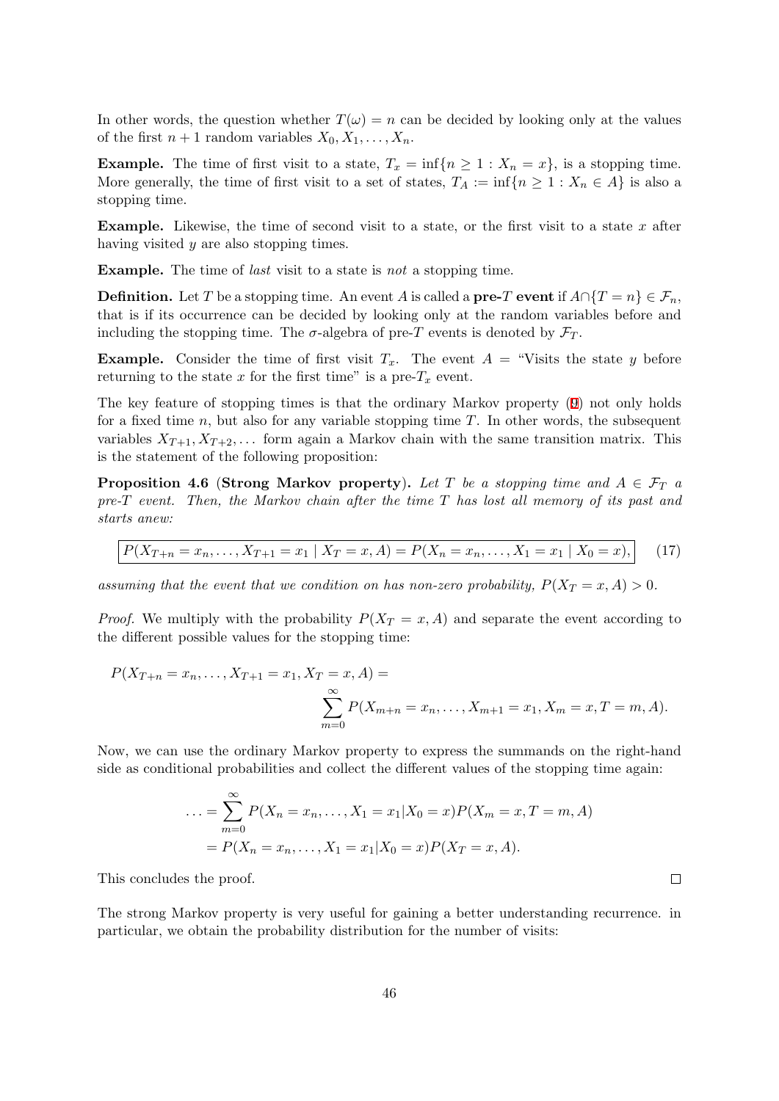In other words, the question whether  $T(\omega) = n$  can be decided by looking only at the values of the first  $n+1$  random variables  $X_0, X_1, \ldots, X_n$ .

**Example.** The time of first visit to a state,  $T_x = \inf\{n \geq 1 : X_n = x\}$ , is a stopping time. More generally, the time of first visit to a set of states,  $T_A := \inf\{n \geq 1 : X_n \in A\}$  is also a stopping time.

**Example.** Likewise, the time of second visit to a state, or the first visit to a state *x* after having visited *y* are also stopping times.

**Example.** The time of *last* visit to a state is *not* a stopping time.

**Definition.** Let *T* be a stopping time. An event *A* is called a **pre-***T* **event** if  $A \cap \{T = n\} \in \mathcal{F}_n$ , that is if its occurrence can be decided by looking only at the random variables before and including the stopping time. The  $\sigma$ -algebra of pre-*T* events is denoted by  $\mathcal{F}_T$ .

**Example.** Consider the time of first visit  $T_x$ . The event  $A =$  "Visits the state *y* before returning to the state *x* for the first time" is a pre- $T_x$  event.

The key feature of stopping times is that the ordinary Markov property (9) not only holds for a fixed time *n*, but also for any variable stopping time *T*. In other words, the subsequent variables  $X_{T+1}, X_{T+2}, \ldots$  form again a Markov chain with the same transition matrix. This is the statement of the following proposition:

**Proposition 4.6** (**Strong Markov property**). Let *T* be a stopping time and  $A \in \mathcal{F}_T$  a *pre-T event. Then, the Markov chain after the time T has lost all memory of its past and starts anew:*

$$
P(X_{T+n} = x_n, \dots, X_{T+1} = x_1 \mid X_T = x, A) = P(X_n = x_n, \dots, X_1 = x_1 \mid X_0 = x), \tag{17}
$$

assuming that the event that we condition on has non-zero probability,  $P(X_T = x, A) > 0$ .

*Proof.* We multiply with the probability  $P(X_T = x, A)$  and separate the event according to the different possible values for the stopping time:

$$
P(X_{T+n} = x_n, ..., X_{T+1} = x_1, X_T = x, A) =
$$
  

$$
\sum_{m=0}^{\infty} P(X_{m+n} = x_n, ..., X_{m+1} = x_1, X_m = x, T = m, A).
$$

Now, we can use the ordinary Markov property to express the summands on the right-hand side as conditional probabilities and collect the different values of the stopping time again:

$$
\dots = \sum_{m=0}^{\infty} P(X_n = x_n, \dots, X_1 = x_1 | X_0 = x) P(X_m = x, T = m, A)
$$
  
=  $P(X_n = x_n, \dots, X_1 = x_1 | X_0 = x) P(X_T = x, A).$ 

 $\Box$ 

This concludes the proof.

The strong Markov property is very useful for gaining a better understanding recurrence. in particular, we obtain the probability distribution for the number of visits: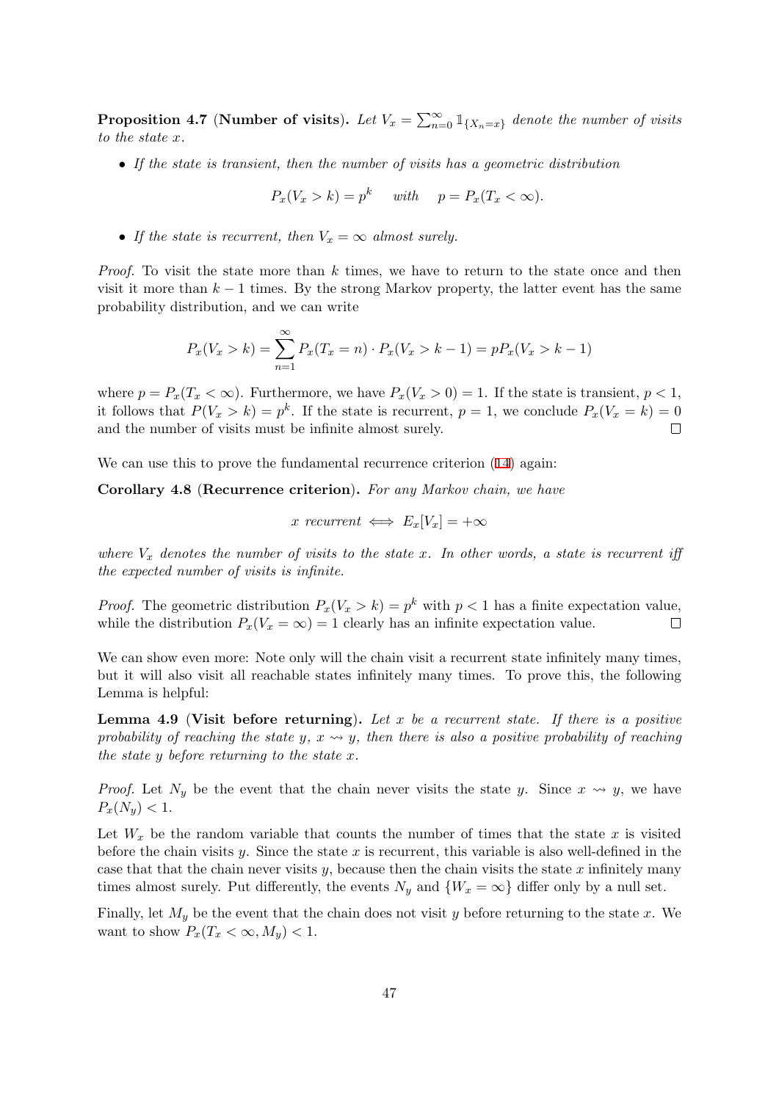**Proposition 4.7** (Number of visits). Let  $V_x = \sum_{n=0}^{\infty} \mathbb{1}_{\{X_n = x\}}$  denote the number of visits *to the state x.*

*• If the state is transient, then the number of visits has a geometric distribution*

$$
P_x(V_x > k) = p^k \quad \text{with} \quad p = P_x(T_x < \infty).
$$

• If the state is recurrent, then  $V_x = \infty$  almost surely.

*Proof.* To visit the state more than *k* times, we have to return to the state once and then visit it more than  $k-1$  times. By the strong Markov property, the latter event has the same probability distribution, and we can write

$$
P_x(V_x > k) = \sum_{n=1}^{\infty} P_x(T_x = n) \cdot P_x(V_x > k - 1) = pP_x(V_x > k - 1)
$$

where  $p = P_x(T_x < \infty)$ . Furthermore, we have  $P_x(V_x > 0) = 1$ . If the state is transient,  $p < 1$ , it follows that  $P(V_x > k) = p^k$ . If the state is recurrent,  $p = 1$ , we conclude  $P_x(V_x = k) = 0$ and the number of visits must be infinite almost surely.  $\Box$ 

We can use this to prove the fundamental recurrence criterion  $(14)$  again:

**Corollary 4.8** (**Recurrence criterion**)**.** *For any Markov chain, we have*

$$
x \text{ recurrent} \iff E_x[V_x] = +\infty
$$

*where*  $V_x$  *denotes the number of visits to the state*  $x$ *. In other words, a state is recurrent iff the expected number of visits is infinite.*

*Proof.* The geometric distribution  $P_x(V_x > k) = p^k$  with  $p < 1$  has a finite expectation value, while the distribution  $P_x(V_x = \infty) = 1$  clearly has an infinite expectation value.  $\Box$ 

We can show even more: Note only will the chain visit a recurrent state infinitely many times, but it will also visit all reachable states infinitely many times. To prove this, the following Lemma is helpful:

**Lemma 4.9** (**Visit before returning**)**.** *Let x be a recurrent state. If there is a positive probability of reaching the state y*,  $x \sim y$ *, then there is also a positive probability of reaching the state y before returning to the state x.*

*Proof.* Let  $N_y$  be the event that the chain never visits the state *y*. Since  $x \rightsquigarrow y$ , we have  $P_x(N_y) < 1$ .

Let  $W_x$  be the random variable that counts the number of times that the state  $x$  is visited before the chain visits *y*. Since the state *x* is recurrent, this variable is also well-defined in the case that that the chain never visits *y*, because then the chain visits the state *x* infinitely many times almost surely. Put differently, the events  $N_y$  and  $\{W_x = \infty\}$  differ only by a null set.

Finally, let *M<sup>y</sup>* be the event that the chain does not visit *y* before returning to the state *x*. We want to show  $P_x(T_x < \infty, M_y) < 1$ .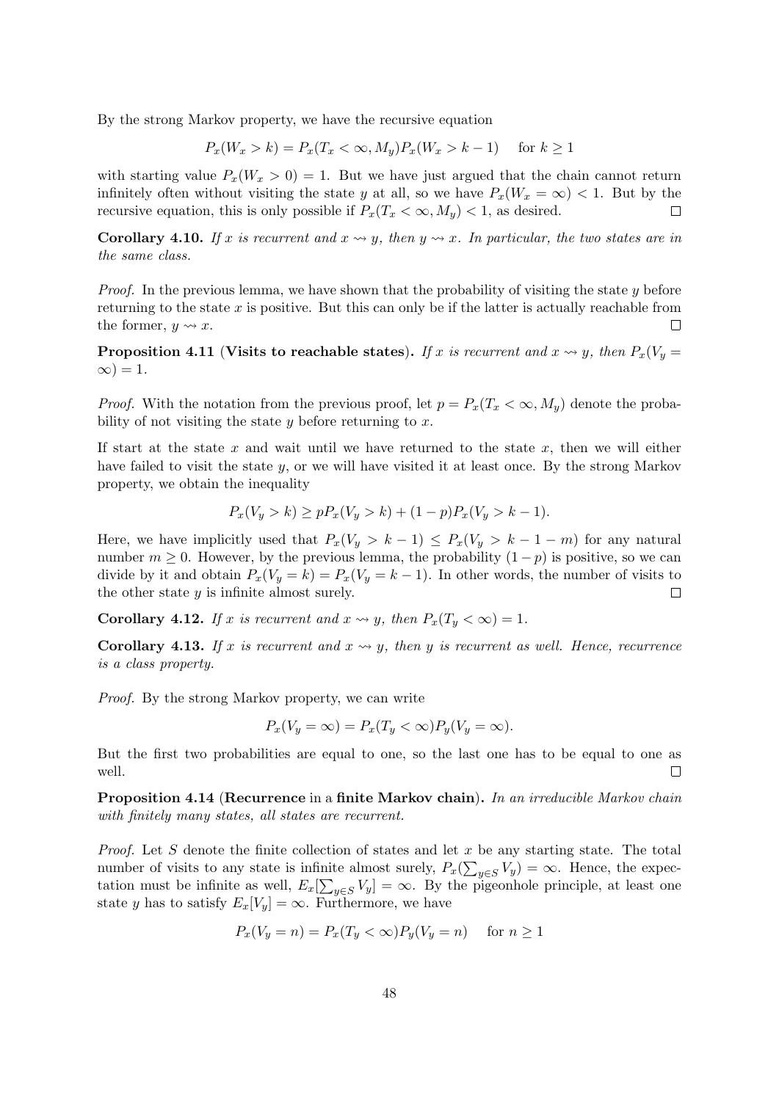By the strong Markov property, we have the recursive equation

 $P_x(W_x > k) = P_x(T_x < \infty, M_y) P_x(W_x > k - 1)$  for  $k \ge 1$ 

with starting value  $P_x(W_x > 0) = 1$ . But we have just argued that the chain cannot return infinitely often without visiting the state *y* at all, so we have  $P_x(W_x = \infty) < 1$ . But by the recursive equation, this is only possible if  $P_x(T_x < \infty, M_y) < 1$ , as desired.  $\Box$ 

**Corollary 4.10.** If x is recurrent and  $x \rightsquigarrow y$ , then  $y \rightsquigarrow x$ . In particular, the two states are in *the same class.*

*Proof.* In the previous lemma, we have shown that the probability of visiting the state *y* before returning to the state *x* is positive. But this can only be if the latter is actually reachable from the former,  $y \rightsquigarrow x$ .  $\Box$ 

**Proposition 4.11** (Visits to reachable states). If *x* is recurrent and  $x \rightsquigarrow y$ , then  $P_x(V_y =$  $\infty$ ) = 1.

*Proof.* With the notation from the previous proof, let  $p = P_x(T_x < \infty, M_y)$  denote the probability of not visiting the state *y* before returning to *x*.

If start at the state *x* and wait until we have returned to the state *x*, then we will either have failed to visit the state *y*, or we will have visited it at least once. By the strong Markov property, we obtain the inequality

$$
P_x(V_y > k) \ge pP_x(V_y > k) + (1 - p)P_x(V_y > k - 1).
$$

Here, we have implicitly used that  $P_x(V_y > k - 1) \leq P_x(V_y > k - 1 - m)$  for any natural number  $m \geq 0$ . However, by the previous lemma, the probability  $(1 - p)$  is positive, so we can divide by it and obtain  $P_x(V_y = k) = P_x(V_y = k - 1)$ . In other words, the number of visits to the other state *y* is infinite almost surely.  $\Box$ 

**Corollary 4.12.** *If x is recurrent and*  $x \rightsquigarrow y$ *, then*  $P_x(T_y < \infty) = 1$ *.* 

**Corollary 4.13.** If x is recurrent and  $x \rightarrow y$ , then y is recurrent as well. Hence, recurrence *is a class property.*

*Proof.* By the strong Markov property, we can write

$$
P_x(V_y = \infty) = P_x(T_y < \infty) P_y(V_y = \infty).
$$

But the first two probabilities are equal to one, so the last one has to be equal to one as well.  $\Box$ 

**Proposition 4.14** (**Recurrence** in a **finite Markov chain**)**.** *In an irreducible Markov chain with finitely many states, all states are recurrent.*

*Proof.* Let *S* denote the finite collection of states and let *x* be any starting state. The total number of visits to any state is infinite almost surely,  $P_x(\sum_{y \in S} V_y) = \infty$ . Hence, the expectation must be infinite as well,  $E_x[\sum_{y \in S} V_y] = \infty$ . By the pigeonhole principle, at least one state *y* has to satisfy  $E_x[V_y] = \infty$ . Furthermore, we have

$$
P_x(V_y = n) = P_x(T_y < \infty)P_y(V_y = n) \quad \text{for } n \ge 1
$$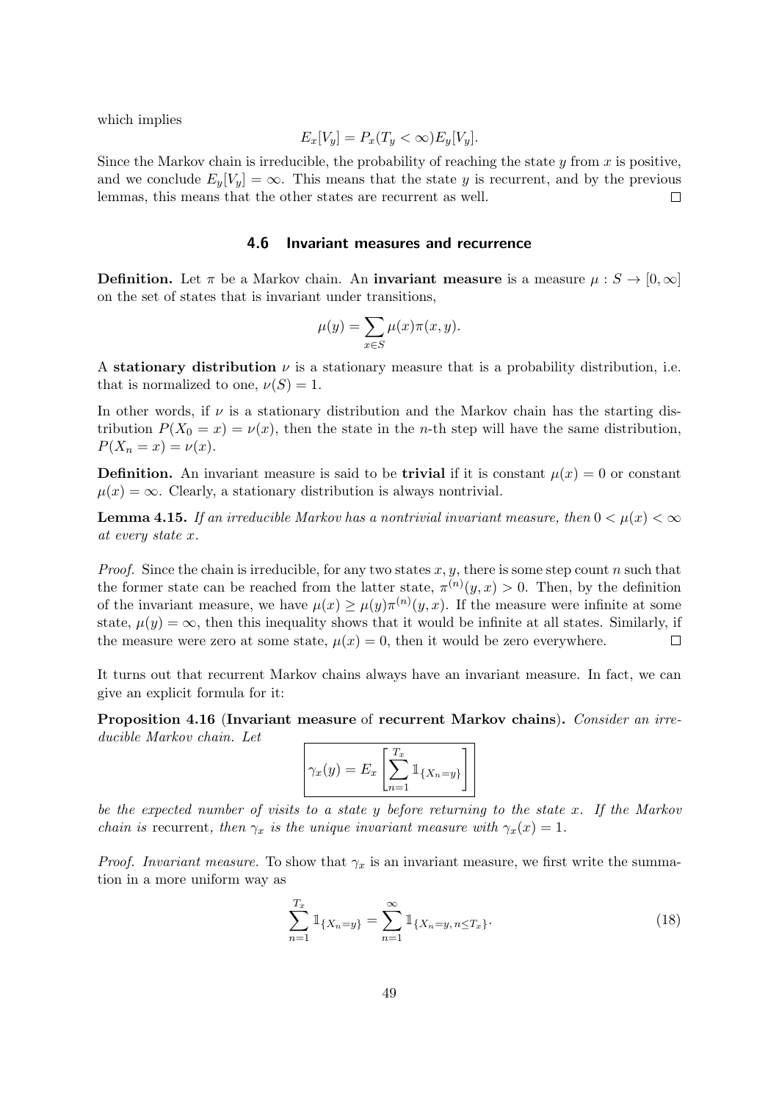which implies

$$
E_x[V_y] = P_x(T_y < \infty)E_y[V_y].
$$

Since the Markov chain is irreducible, the probability of reaching the state *y* from *x* is positive, and we conclude  $E_y[V_y] = \infty$ . This means that the state *y* is recurrent, and by the previous lemmas, this means that the other states are recurrent as well.  $\Box$ 

#### **4.6 Invariant measures and recurrence**

**Definition.** Let  $\pi$  be a Markov chain. An **invariant measure** is a measure  $\mu: S \to [0, \infty]$ on the set of states that is invariant under transitions,

$$
\mu(y) = \sum_{x \in S} \mu(x)\pi(x, y).
$$

A **stationary distribution**  $\nu$  is a stationary measure that is a probability distribution, i.e. that is normalized to one,  $\nu(S) = 1$ .

In other words, if  $\nu$  is a stationary distribution and the Markov chain has the starting distribution  $P(X_0 = x) = \nu(x)$ , then the state in the *n*-th step will have the same distribution,  $P(X_n = x) = \nu(x)$ .

**Definition.** An invariant measure is said to be **trivial** if it is constant  $\mu(x) = 0$  or constant  $\mu(x) = \infty$ . Clearly, a stationary distribution is always nontrivial.

**Lemma 4.15.** *If an irreducible Markov has a nontrivial invariant measure, then*  $0 < \mu(x) < \infty$ *at every state x.*

*Proof.* Since the chain is irreducible, for any two states *x, y*, there is some step count *n* such that the former state can be reached from the latter state,  $\pi^{(n)}(y, x) > 0$ . Then, by the definition of the invariant measure, we have  $\mu(x) \geq \mu(y)\pi^{(n)}(y,x)$ . If the measure were infinite at some state,  $\mu(y) = \infty$ , then this inequality shows that it would be infinite at all states. Similarly, if the measure were zero at some state,  $\mu(x) = 0$ , then it would be zero everywhere.  $\Box$ 

It turns out that recurrent Markov chains always have an invariant measure. In fact, we can give an explicit formula for it:

**Proposition 4.16** (**Invariant measure** of **recurrent Markov chains**)**.** *Consider an irreducible Markov chain. Let*

$$
\gamma_x(y) = E_x \left[ \sum_{n=1}^{T_x} \mathbb{1}_{\{X_n = y\}} \right]
$$

*be the expected number of visits to a state y before returning to the state x. If the Markov chain is* recurrent, then  $\gamma_x$  *is the unique invariant measure with*  $\gamma_x(x) = 1$ .

*Proof. Invariant measure.* To show that  $\gamma_x$  is an invariant measure, we first write the summation in a more uniform way as

$$
\sum_{n=1}^{T_x} 1\!\!1_{\{X_n = y\}} = \sum_{n=1}^{\infty} 1\!\!1_{\{X_n = y, n \le T_x\}}.
$$
\n(18)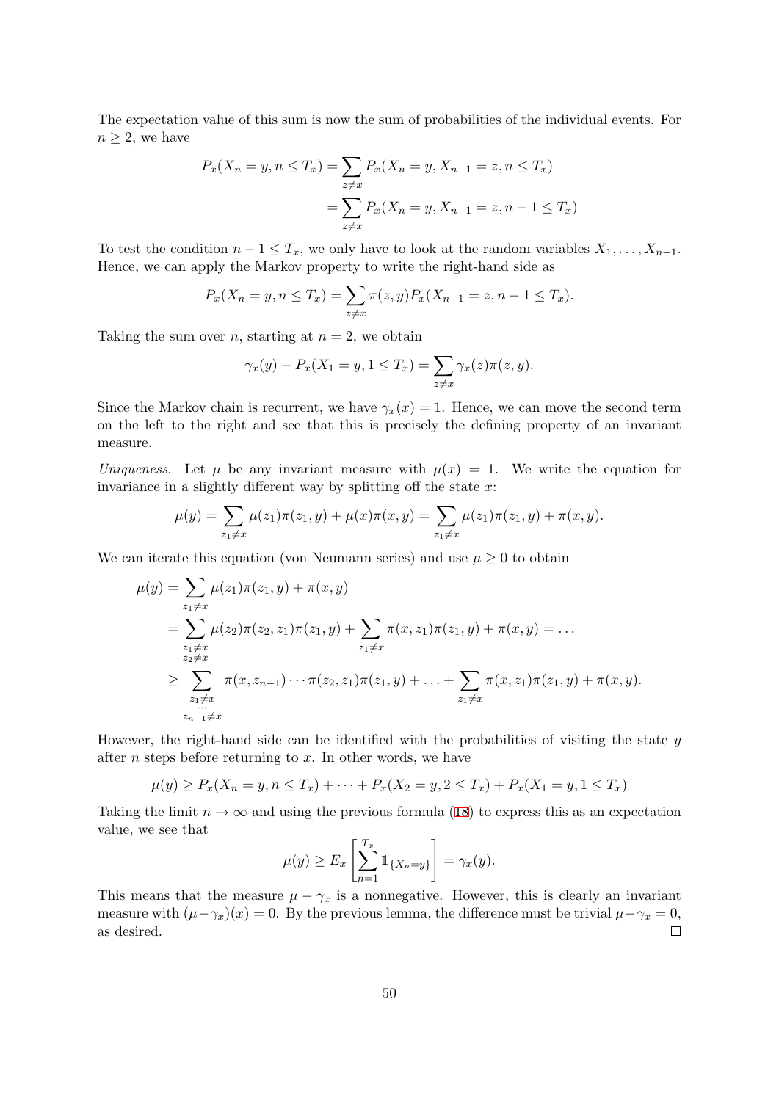The expectation value of this sum is now the sum of probabilities of the individual events. For  $n \geq 2$ , we have

$$
P_x(X_n = y, n \le T_x) = \sum_{z \ne x} P_x(X_n = y, X_{n-1} = z, n \le T_x)
$$
  
= 
$$
\sum_{z \ne x} P_x(X_n = y, X_{n-1} = z, n-1 \le T_x)
$$

To test the condition  $n-1 \leq T_x$ , we only have to look at the random variables  $X_1, \ldots, X_{n-1}$ . Hence, we can apply the Markov property to write the right-hand side as

$$
P_x(X_n = y, n \le T_x) = \sum_{z \ne x} \pi(z, y) P_x(X_{n-1} = z, n-1 \le T_x).
$$

Taking the sum over *n*, starting at  $n = 2$ , we obtain

$$
\gamma_x(y) - P_x(X_1 = y, 1 \leq T_x) = \sum_{z \neq x} \gamma_x(z)\pi(z, y).
$$

Since the Markov chain is recurrent, we have  $\gamma_x(x) = 1$ . Hence, we can move the second term on the left to the right and see that this is precisely the defining property of an invariant measure.

*Uniqueness.* Let  $\mu$  be any invariant measure with  $\mu(x) = 1$ . We write the equation for invariance in a slightly different way by splitting off the state *x*:

$$
\mu(y) = \sum_{z_1 \neq x} \mu(z_1)\pi(z_1, y) + \mu(x)\pi(x, y) = \sum_{z_1 \neq x} \mu(z_1)\pi(z_1, y) + \pi(x, y).
$$

We can iterate this equation (von Neumann series) and use  $\mu \geq 0$  to obtain

$$
\mu(y) = \sum_{\substack{z_1 \neq x \\ z_2 \neq x}} \mu(z_1)\pi(z_1, y) + \pi(x, y)
$$
  
= 
$$
\sum_{\substack{z_1 \neq x \\ z_2 \neq x}} \mu(z_2)\pi(z_2, z_1)\pi(z_1, y) + \sum_{z_1 \neq x} \pi(x, z_1)\pi(z_1, y) + \pi(x, y) = \dots
$$
  

$$
\geq \sum_{\substack{z_1 \neq x \\ z_1 \neq x}} \pi(x, z_{n-1})\cdots\pi(z_2, z_1)\pi(z_1, y) + \dots + \sum_{z_1 \neq x} \pi(x, z_1)\pi(z_1, y) + \pi(x, y).
$$

However, the right-hand side can be identified with the probabilities of visiting the state *y* after *n* steps before returning to *x*. In other words, we have

$$
\mu(y) \ge P_x(X_n = y, n \le T_x) + \dots + P_x(X_2 = y, 2 \le T_x) + P_x(X_1 = y, 1 \le T_x)
$$

Taking the limit  $n \to \infty$  and using the previous formula (18) to express this as an expectation value, we see that

$$
\mu(y) \ge E_x \left[ \sum_{n=1}^{T_x} \mathbb{1}_{\{X_n = y\}} \right] = \gamma_x(y).
$$

This means that the measure  $\mu - \gamma_x$  is a nonnegative. However, this is clearly an invariant measure with  $(\mu - \gamma_x)(x) = 0$ . By the previous lemma, the difference must be trivial  $\mu - \gamma_x = 0$ , as desired.  $\Box$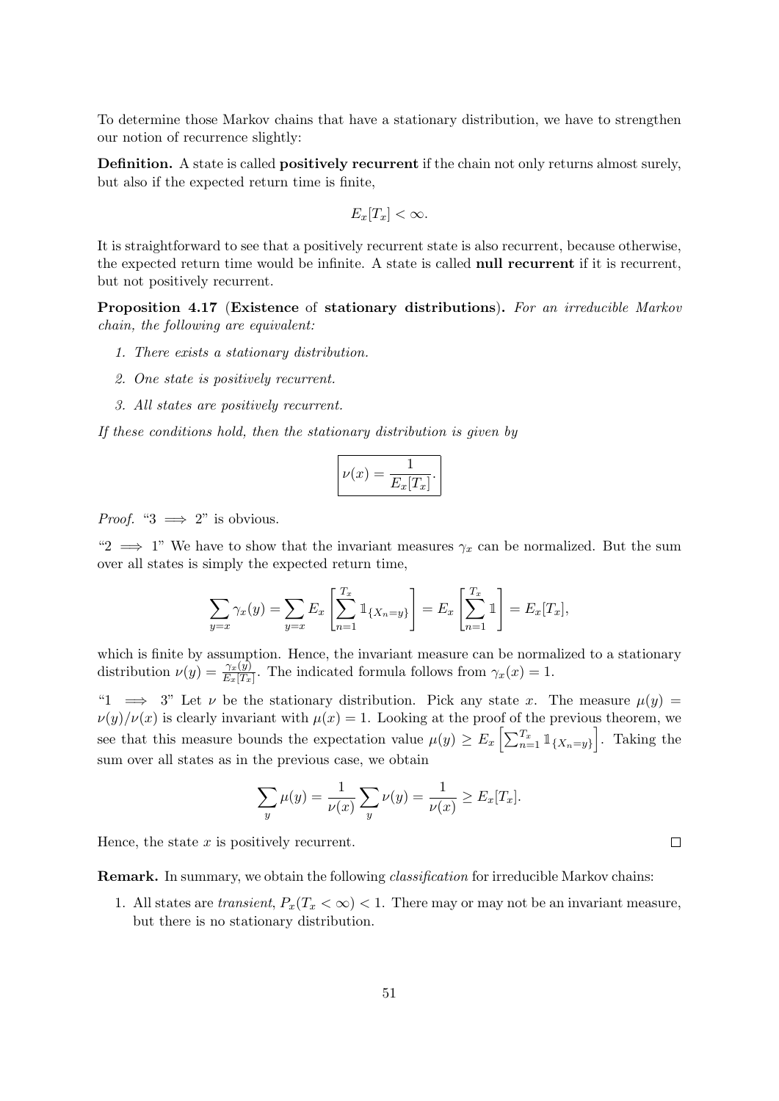To determine those Markov chains that have a stationary distribution, we have to strengthen our notion of recurrence slightly:

**Definition.** A state is called **positively recurrent** if the chain not only returns almost surely, but also if the expected return time is finite,

$$
E_x[T_x] < \infty.
$$

It is straightforward to see that a positively recurrent state is also recurrent, because otherwise, the expected return time would be infinite. A state is called **null recurrent** if it is recurrent, but not positively recurrent.

**Proposition 4.17** (**Existence** of **stationary distributions**)**.** *For an irreducible Markov chain, the following are equivalent:*

- *1. There exists a stationary distribution.*
- *2. One state is positively recurrent.*
- *3. All states are positively recurrent.*

*If these conditions hold, then the stationary distribution is given by*

$$
\nu(x) = \frac{1}{E_x[T_x]}.
$$

*Proof.* " $3 \implies 2$ " is obvious.

"2  $\implies$  1" We have to show that the invariant measures  $\gamma_x$  can be normalized. But the sum over all states is simply the expected return time,

$$
\sum_{y=x} \gamma_x(y) = \sum_{y=x} E_x \left[ \sum_{n=1}^{T_x} 1\!\!1_{\{X_n=y\}} \right] = E_x \left[ \sum_{n=1}^{T_x} 1\!\!1_{\right] = E_x[T_x],
$$

which is finite by assumption. Hence, the invariant measure can be normalized to a stationary distribution  $\nu(y) = \frac{\gamma_x(y)}{E_x[T_x]}$ . The indicated formula follows from  $\gamma_x(x) = 1$ .

" $1 \implies 3$ " Let  $\nu$  be the stationary distribution. Pick any state x. The measure  $\mu(y) =$  $\nu(y)/\nu(x)$  is clearly invariant with  $\mu(x) = 1$ . Looking at the proof of the previous theorem, we see that this measure bounds the expectation value  $\mu(y) \ge E_x \left[ \sum_{n=1}^{T_x} \mathbb{1}_{\{X_n = y\}} \right]$ . Taking the sum over all states as in the previous case, we obtain

$$
\sum_{y} \mu(y) = \frac{1}{\nu(x)} \sum_{y} \nu(y) = \frac{1}{\nu(x)} \ge E_x[T_x].
$$

Hence, the state *x* is positively recurrent.

**Remark.** In summary, we obtain the following *classification* for irreducible Markov chains:

1. All states are *transient*,  $P_x(T_x < \infty) < 1$ . There may or may not be an invariant measure, but there is no stationary distribution.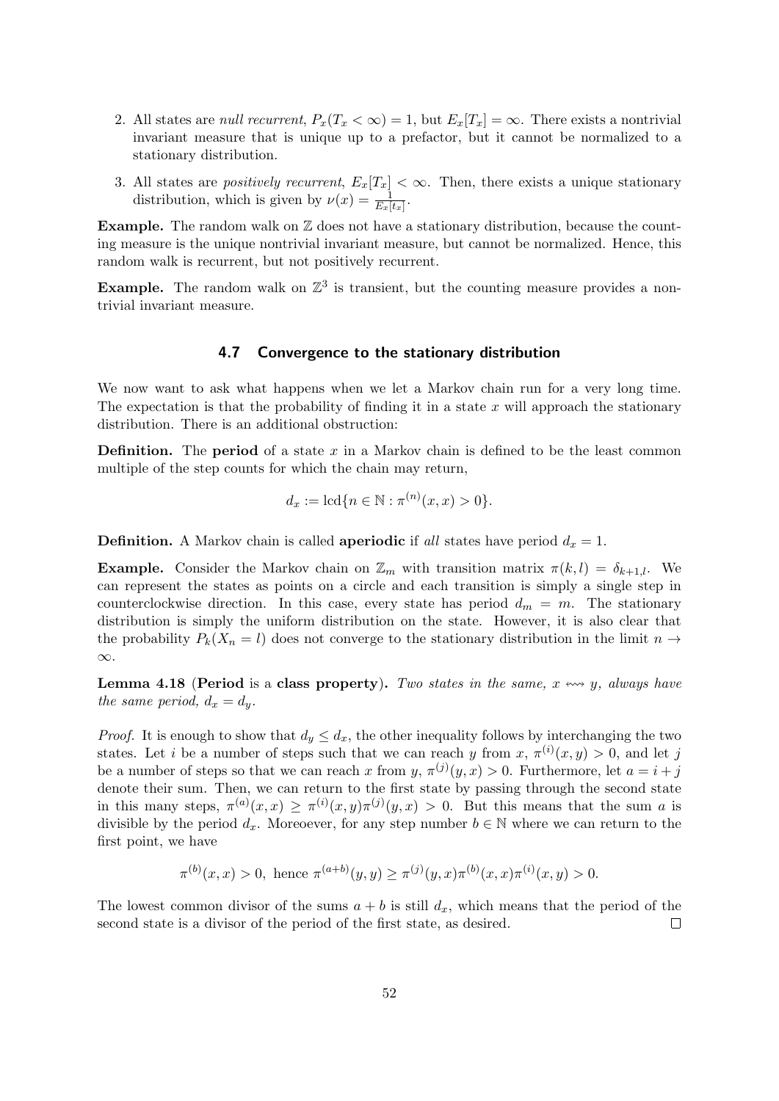- 2. All states are *null recurrent*,  $P_x(T_x < \infty) = 1$ , but  $E_x[T_x] = \infty$ . There exists a nontrivial invariant measure that is unique up to a prefactor, but it cannot be normalized to a stationary distribution.
- 3. All states are *positively recurrent*,  $E_x[T_x] < \infty$ . Then, there exists a unique stationary distribution, which is given by  $\nu(x) = \frac{1}{E_x[t_x]}$ .

**Example.** The random walk on  $\mathbb{Z}$  does not have a stationary distribution, because the counting measure is the unique nontrivial invariant measure, but cannot be normalized. Hence, this random walk is recurrent, but not positively recurrent.

**Example.** The random walk on  $\mathbb{Z}^3$  is transient, but the counting measure provides a nontrivial invariant measure.

#### **4.7 Convergence to the stationary distribution**

We now want to ask what happens when we let a Markov chain run for a very long time. The expectation is that the probability of finding it in a state *x* will approach the stationary distribution. There is an additional obstruction:

**Definition.** The **period** of a state *x* in a Markov chain is defined to be the least common multiple of the step counts for which the chain may return,

$$
d_x := \mathrm{lcd}\{n \in \mathbb{N} : \pi^{(n)}(x, x) > 0\}.
$$

**Definition.** A Markov chain is called **aperiodic** if *all* states have period  $d_x = 1$ .

**Example.** Consider the Markov chain on  $\mathbb{Z}_m$  with transition matrix  $\pi(k, l) = \delta_{k+1,l}$ . We can represent the states as points on a circle and each transition is simply a single step in counterclockwise direction. In this case, every state has period  $d_m = m$ . The stationary distribution is simply the uniform distribution on the state. However, it is also clear that the probability  $P_k(X_n = l)$  does not converge to the stationary distribution in the limit  $n \to$ *∞*.

**Lemma 4.18** (**Period** is a **class property**). Two states in the same,  $x \leftrightarrow y$ , always have *the same period,*  $d_x = d_y$ .

*Proof.* It is enough to show that  $d_y \leq d_x$ , the other inequality follows by interchanging the two states. Let *i* be a number of steps such that we can reach *y* from  $x, \pi^{(i)}(x, y) > 0$ , and let *j* be a number of steps so that we can reach *x* from  $y, \pi^{(j)}(y, x) > 0$ . Furthermore, let  $a = i + j$ denote their sum. Then, we can return to the first state by passing through the second state in this many steps,  $\pi^{(a)}(x,x) \geq \pi^{(i)}(x,y)\pi^{(j)}(y,x) > 0$ . But this means that the sum *a* is divisible by the period  $d_x$ . Moreoever, for any step number  $b \in \mathbb{N}$  where we can return to the first point, we have

$$
\pi^{(b)}(x,x) > 0, \text{ hence } \pi^{(a+b)}(y,y) \ge \pi^{(j)}(y,x)\pi^{(b)}(x,x)\pi^{(i)}(x,y) > 0.
$$

The lowest common divisor of the sums  $a + b$  is still  $d_x$ , which means that the period of the second state is a divisor of the period of the first state, as desired.  $\Box$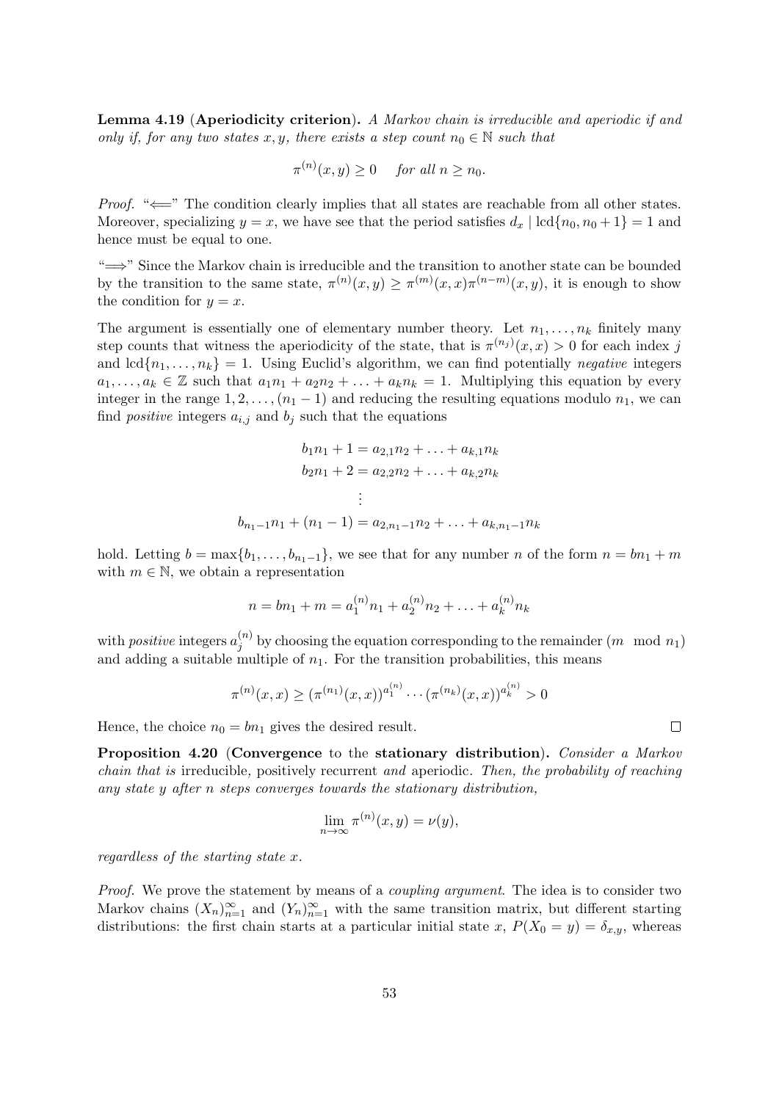**Lemma 4.19** (**Aperiodicity criterion**)**.** *A Markov chain is irreducible and aperiodic if and only if, for any two states*  $x, y$ *, there exists a step count*  $n_0 \in \mathbb{N}$  *such that* 

$$
\pi^{(n)}(x,y) \ge 0 \quad \text{ for all } n \ge n_0.
$$

*Proof.* "←" The condition clearly implies that all states are reachable from all other states. Moreover, specializing  $y = x$ , we have see that the period satisfies  $d_x \mid \text{lcd}\{n_0, n_0 + 1\} = 1$  and hence must be equal to one.

"=*⇒*" Since the Markov chain is irreducible and the transition to another state can be bounded by the transition to the same state,  $\pi^{(n)}(x, y) \geq \pi^{(m)}(x, x)\pi^{(n-m)}(x, y)$ , it is enough to show the condition for  $y = x$ .

The argument is essentially one of elementary number theory. Let  $n_1, \ldots, n_k$  finitely many step counts that witness the aperiodicity of the state, that is  $\pi^{(n_j)}(x, x) > 0$  for each index *j* and  $lcd{n_1, \ldots, n_k} = 1$ . Using Euclid's algorithm, we can find potentially *negative* integers  $a_1, \ldots, a_k \in \mathbb{Z}$  such that  $a_1n_1 + a_2n_2 + \ldots + a_kn_k = 1$ . Multiplying this equation by every integer in the range  $1, 2, \ldots, (n_1 - 1)$  and reducing the resulting equations modulo  $n_1$ , we can find *positive* integers  $a_{i,j}$  and  $b_j$  such that the equations

$$
b_1 n_1 + 1 = a_{2,1} n_2 + \dots + a_{k,1} n_k
$$
  
\n
$$
b_2 n_1 + 2 = a_{2,2} n_2 + \dots + a_{k,2} n_k
$$
  
\n
$$
\vdots
$$
  
\n
$$
b_{n_1-1} n_1 + (n_1 - 1) = a_{2,n_1-1} n_2 + \dots + a_{k,n_1-1} n_k
$$

hold. Letting  $b = \max\{b_1, \ldots, b_{n_1-1}\}$ , we see that for any number *n* of the form  $n = bn_1 + m$ with  $m \in \mathbb{N}$ , we obtain a representation

$$
n = bn_1 + m = a_1^{(n)}n_1 + a_2^{(n)}n_2 + \ldots + a_k^{(n)}n_k
$$

with *positive* integers  $a_i^{(n)}$  $j^{(n)}$  by choosing the equation corresponding to the remainder  $(m \mod n_1)$ and adding a suitable multiple of  $n_1$ . For the transition probabilities, this means

$$
\pi^{(n)}(x,x) \ge (\pi^{(n_1)}(x,x))^{a_1^{(n)}} \cdots (\pi^{(n_k)}(x,x))^{a_k^{(n)}} > 0
$$

Hence, the choice  $n_0 = bn_1$  gives the desired result.

**Proposition 4.20** (**Convergence** to the **stationary distribution**)**.** *Consider a Markov chain that is* irreducible*,* positively recurrent *and* aperiodic*. Then, the probability of reaching any state y after n steps converges towards the stationary distribution,*

$$
\lim_{n \to \infty} \pi^{(n)}(x, y) = \nu(y),
$$

*regardless of the starting state x.*

*Proof.* We prove the statement by means of a *coupling argument*. The idea is to consider two Markov chains  $(X_n)_{n=1}^{\infty}$  and  $(Y_n)_{n=1}^{\infty}$  with the same transition matrix, but different starting distributions: the first chain starts at a particular initial state *x*,  $P(X_0 = y) = \delta_{x,y}$ , whereas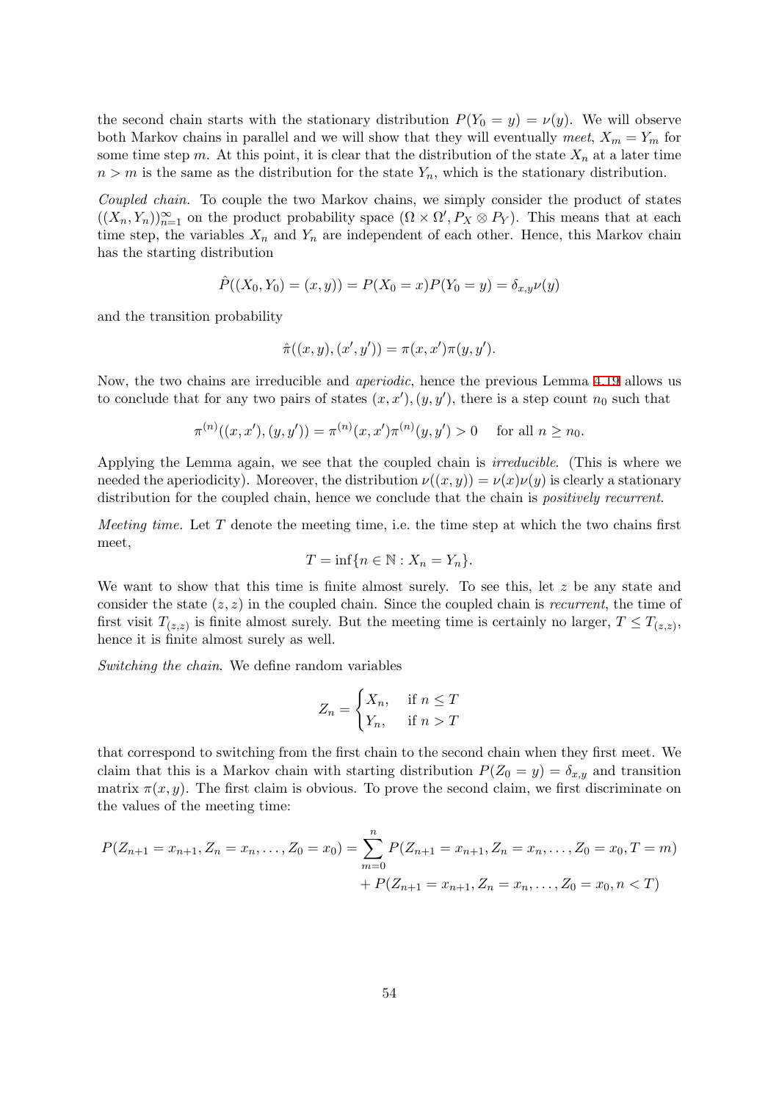the second chain starts with the stationary distribution  $P(Y_0 = y) = \nu(y)$ . We will observe both Markov chains in parallel and we will show that they will eventually *meet*,  $X_m = Y_m$  for some time step  $m$ . At this point, it is clear that the distribution of the state  $X_n$  at a later time  $n > m$  is the same as the distribution for the state  $Y_n$ , which is the stationary distribution.

*Coupled chain.* To couple the two Markov chains, we simply consider the product of states  $((X_n, Y_n))_{n=1}^{\infty}$  on the product probability space  $(\Omega \times \Omega', P_X \otimes P_Y)$ . This means that at each time step, the variables  $X_n$  and  $Y_n$  are independent of each other. Hence, this Markov chain has the starting distribution

$$
\hat{P}((X_0, Y_0) = (x, y)) = P(X_0 = x)P(Y_0 = y) = \delta_{x,y}\nu(y)
$$

and the transition probability

$$
\hat{\pi}((x, y), (x', y')) = \pi(x, x')\pi(y, y').
$$

Now, the two chains are irreducible and *aperiodic*, hence the previous Lemma 4.19 allows us to conclude that for any two pairs of states  $(x, x')$ ,  $(y, y')$ , there is a step count  $n_0$  such that

$$
\pi^{(n)}((x, x'), (y, y')) = \pi^{(n)}(x, x')\pi^{(n)}(y, y') > 0 \quad \text{ for all } n \ge n_0.
$$

Applying the Lemma again, we see that the coupled chain is *irreducible*. (This is where we needed the aperiodicity). Moreover, the distribution  $\nu((x, y)) = \nu(x)\nu(y)$  is clearly a stationary distribution for the coupled chain, hence we conclude that the chain is *positively recurrent*.

*Meeting time.* Let *T* denote the meeting time, i.e. the time step at which the two chains first meet,

$$
T = \inf\{n \in \mathbb{N} : X_n = Y_n\}.
$$

We want to show that this time is finite almost surely. To see this, let *z* be any state and consider the state (*z, z*) in the coupled chain. Since the coupled chain is *recurrent*, the time of first visit  $T_{(z,z)}$  is finite almost surely. But the meeting time is certainly no larger,  $T \leq T_{(z,z)}$ , hence it is finite almost surely as well.

*Switching the chain*. We define random variables

$$
Z_n = \begin{cases} X_n, & \text{if } n \le T \\ Y_n, & \text{if } n > T \end{cases}
$$

that correspond to switching from the first chain to the second chain when they first meet. We claim that this is a Markov chain with starting distribution  $P(Z_0 = y) = \delta_{x,y}$  and transition matrix  $\pi(x, y)$ . The first claim is obvious. To prove the second claim, we first discriminate on the values of the meeting time:

$$
P(Z_{n+1} = x_{n+1}, Z_n = x_n, \dots, Z_0 = x_0) = \sum_{m=0}^{n} P(Z_{n+1} = x_{n+1}, Z_n = x_n, \dots, Z_0 = x_0, T = m) + P(Z_{n+1} = x_{n+1}, Z_n = x_n, \dots, Z_0 = x_0, n < T)
$$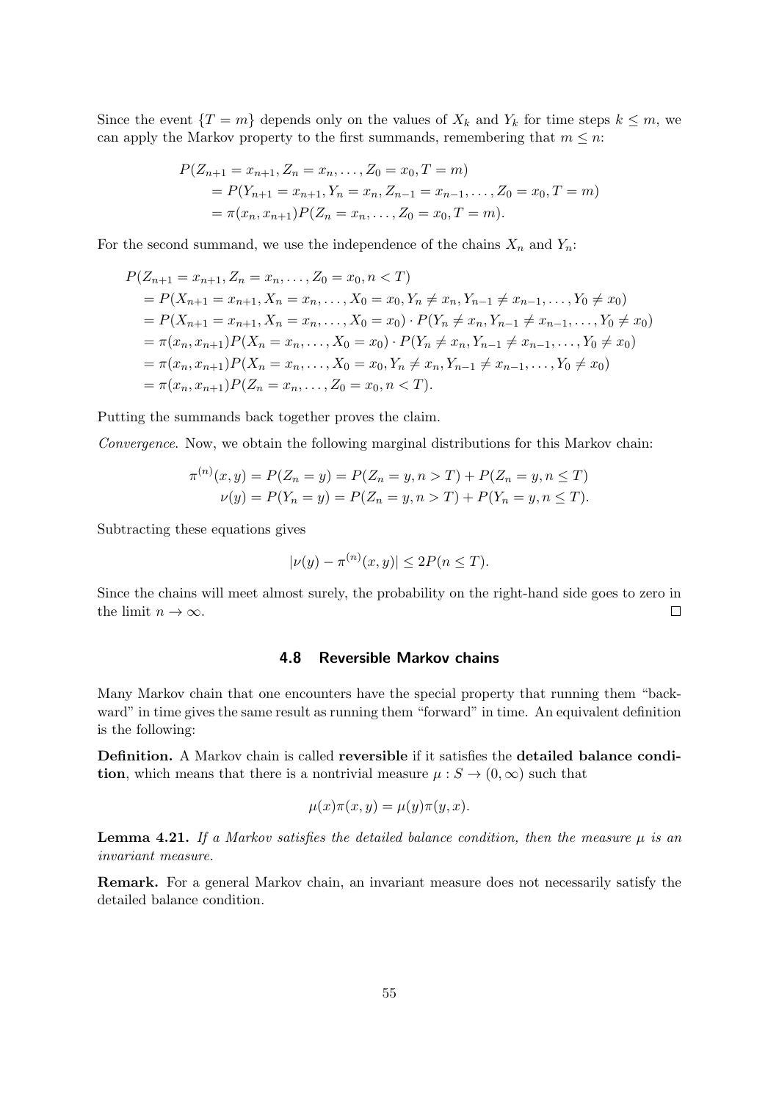Since the event  ${T = m}$  depends only on the values of  $X_k$  and  $Y_k$  for time steps  $k \leq m$ , we can apply the Markov property to the first summands, remembering that  $m \leq n$ :

$$
P(Z_{n+1} = x_{n+1}, Z_n = x_n, \dots, Z_0 = x_0, T = m)
$$
  
=  $P(Y_{n+1} = x_{n+1}, Y_n = x_n, Z_{n-1} = x_{n-1}, \dots, Z_0 = x_0, T = m)$   
=  $\pi(x_n, x_{n+1}) P(Z_n = x_n, \dots, Z_0 = x_0, T = m).$ 

For the second summand, we use the independence of the chains  $X_n$  and  $Y_n$ :

$$
P(Z_{n+1} = x_{n+1}, Z_n = x_n, \dots, Z_0 = x_0, n < T)
$$
  
=  $P(X_{n+1} = x_{n+1}, X_n = x_n, \dots, X_0 = x_0, Y_n \neq x_n, Y_{n-1} \neq x_{n-1}, \dots, Y_0 \neq x_0)$   
=  $P(X_{n+1} = x_{n+1}, X_n = x_n, \dots, X_0 = x_0) \cdot P(Y_n \neq x_n, Y_{n-1} \neq x_{n-1}, \dots, Y_0 \neq x_0)$   
=  $\pi(x_n, x_{n+1}) P(X_n = x_n, \dots, X_0 = x_0) \cdot P(Y_n \neq x_n, Y_{n-1} \neq x_{n-1}, \dots, Y_0 \neq x_0)$   
=  $\pi(x_n, x_{n+1}) P(Z_n = x_n, \dots, Z_0 = x_0, n < T).$   
=  $\pi(x_n, x_{n+1}) P(Z_n = x_n, \dots, Z_0 = x_0, n < T).$ 

Putting the summands back together proves the claim.

*Convergence*. Now, we obtain the following marginal distributions for this Markov chain:

$$
\pi^{(n)}(x, y) = P(Z_n = y) = P(Z_n = y, n > T) + P(Z_n = y, n \le T)
$$
  

$$
\nu(y) = P(Y_n = y) = P(Z_n = y, n > T) + P(Y_n = y, n \le T).
$$

Subtracting these equations gives

$$
|\nu(y) - \pi^{(n)}(x, y)| \le 2P(n \le T).
$$

Since the chains will meet almost surely, the probability on the right-hand side goes to zero in the limit  $n \to \infty$ .  $\Box$ 

#### **4.8 Reversible Markov chains**

Many Markov chain that one encounters have the special property that running them "backward" in time gives the same result as running them "forward" in time. An equivalent definition is the following:

**Definition.** A Markov chain is called **reversible** if it satisfies the **detailed balance condition**, which means that there is a nontrivial measure  $\mu$  : *S*  $\rightarrow$  (0*,*  $\infty$ ) such that

$$
\mu(x)\pi(x,y) = \mu(y)\pi(y,x).
$$

**Lemma 4.21.** If a Markov satisfies the detailed balance condition, then the measure  $\mu$  is an *invariant measure.*

**Remark.** For a general Markov chain, an invariant measure does not necessarily satisfy the detailed balance condition.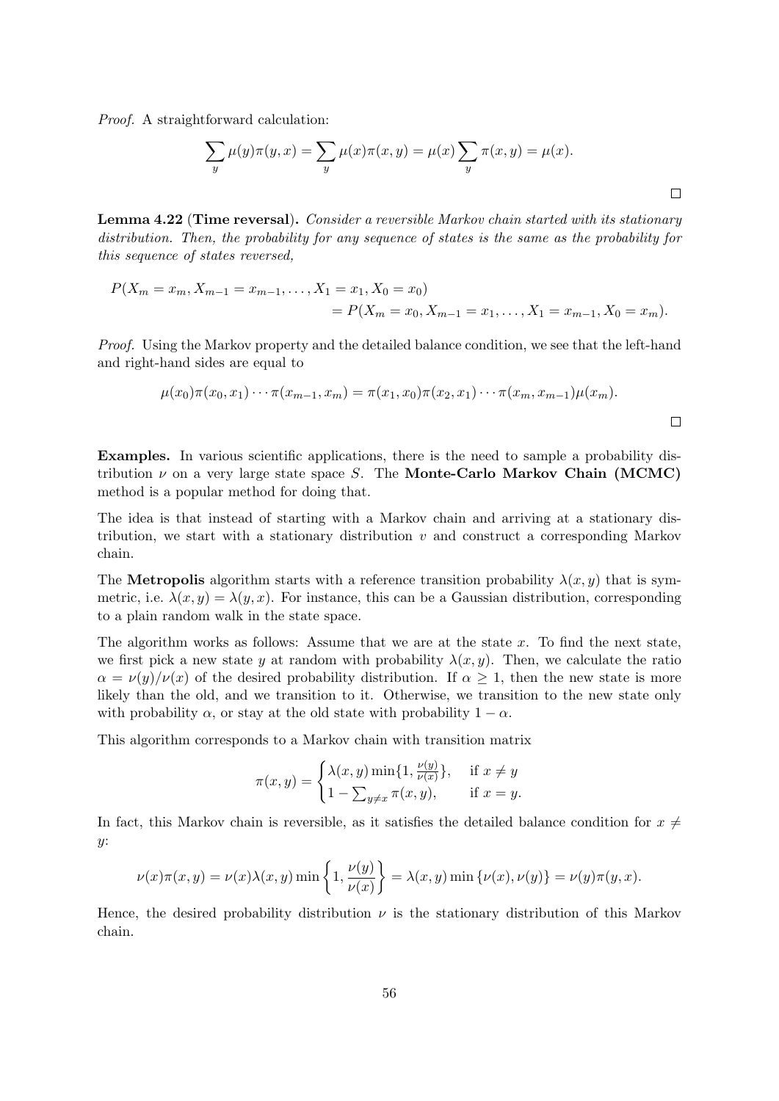*Proof.* A straightforward calculation:

$$
\sum_{y} \mu(y)\pi(y,x) = \sum_{y} \mu(x)\pi(x,y) = \mu(x)\sum_{y} \pi(x,y) = \mu(x).
$$

**Lemma 4.22** (**Time reversal**)**.** *Consider a reversible Markov chain started with its stationary distribution. Then, the probability for any sequence of states is the same as the probability for this sequence of states reversed,*

$$
P(X_m = x_m, X_{m-1} = x_{m-1}, \dots, X_1 = x_1, X_0 = x_0)
$$
  
=  $P(X_m = x_0, X_{m-1} = x_1, \dots, X_1 = x_{m-1}, X_0 = x_m).$ 

*Proof.* Using the Markov property and the detailed balance condition, we see that the left-hand and right-hand sides are equal to

$$
\mu(x_0)\pi(x_0, x_1)\cdots\pi(x_{m-1}, x_m) = \pi(x_1, x_0)\pi(x_2, x_1)\cdots\pi(x_m, x_{m-1})\mu(x_m).
$$

**Examples.** In various scientific applications, there is the need to sample a probability distribution *ν* on a very large state space *S*. The **Monte-Carlo Markov Chain (MCMC)** method is a popular method for doing that.

The idea is that instead of starting with a Markov chain and arriving at a stationary distribution, we start with a stationary distribution *v* and construct a corresponding Markov chain.

The **Metropolis** algorithm starts with a reference transition probability  $\lambda(x, y)$  that is symmetric, i.e.  $\lambda(x, y) = \lambda(y, x)$ . For instance, this can be a Gaussian distribution, corresponding to a plain random walk in the state space.

The algorithm works as follows: Assume that we are at the state *x*. To find the next state, we first pick a new state *y* at random with probability  $\lambda(x, y)$ . Then, we calculate the ratio  $\alpha = \nu(y)/\nu(x)$  of the desired probability distribution. If  $\alpha \geq 1$ , then the new state is more likely than the old, and we transition to it. Otherwise, we transition to the new state only with probability  $\alpha$ , or stay at the old state with probability  $1 - \alpha$ .

This algorithm corresponds to a Markov chain with transition matrix

$$
\pi(x,y) = \begin{cases} \lambda(x,y) \min\{1, \frac{\nu(y)}{\nu(x)}\}, & \text{if } x \neq y \\ 1 - \sum_{y \neq x} \pi(x,y), & \text{if } x = y. \end{cases}
$$

In fact, this Markov chain is reversible, as it satisfies the detailed balance condition for  $x \neq$ *y*:

$$
\nu(x)\pi(x,y) = \nu(x)\lambda(x,y)\min\left\{1,\frac{\nu(y)}{\nu(x)}\right\} = \lambda(x,y)\min\left\{\nu(x),\nu(y)\right\} = \nu(y)\pi(y,x).
$$

Hence, the desired probability distribution  $\nu$  is the stationary distribution of this Markov chain.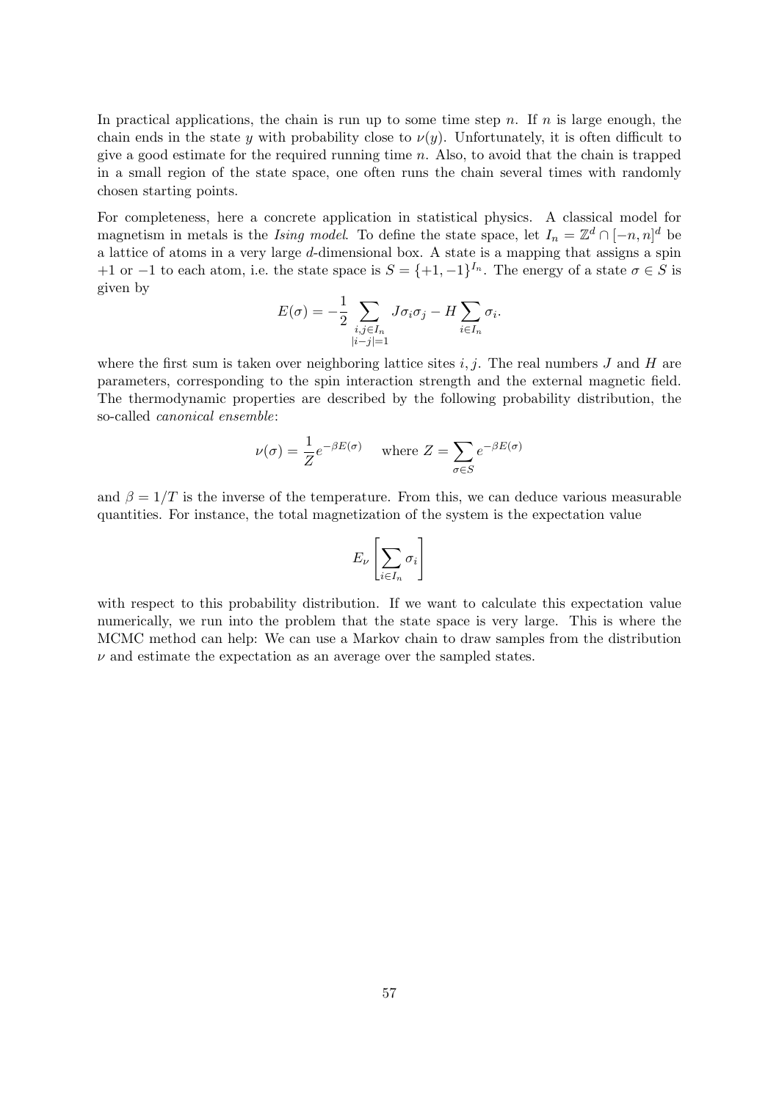In practical applications, the chain is run up to some time step  $n$ . If  $n$  is large enough, the chain ends in the state *y* with probability close to  $\nu(y)$ . Unfortunately, it is often difficult to give a good estimate for the required running time *n*. Also, to avoid that the chain is trapped in a small region of the state space, one often runs the chain several times with randomly chosen starting points.

For completeness, here a concrete application in statistical physics. A classical model for magnetism in metals is the *Ising model*. To define the state space, let  $I_n = \mathbb{Z}^d \cap [-n, n]^d$  be a lattice of atoms in a very large *d*-dimensional box. A state is a mapping that assigns a spin *+*1 or *−*1 to each atom, i.e. the state space is  $S = \{+1, -1\}^{I_n}$ . The energy of a state  $\sigma \in S$  is given by

$$
E(\sigma) = -\frac{1}{2} \sum_{\substack{i,j \in I_n \\ |i-j|=1}} J \sigma_i \sigma_j - H \sum_{i \in I_n} \sigma_i.
$$

where the first sum is taken over neighboring lattice sites *i, j*. The real numbers *J* and *H* are parameters, corresponding to the spin interaction strength and the external magnetic field. The thermodynamic properties are described by the following probability distribution, the so-called *canonical ensemble*:

$$
\nu(\sigma) = \frac{1}{Z} e^{-\beta E(\sigma)} \quad \text{where } Z = \sum_{\sigma \in S} e^{-\beta E(\sigma)}
$$

and  $\beta = 1/T$  is the inverse of the temperature. From this, we can deduce various measurable quantities. For instance, the total magnetization of the system is the expectation value

$$
E_\nu\left[\sum_{i\in I_n}\sigma_i\right]
$$

with respect to this probability distribution. If we want to calculate this expectation value numerically, we run into the problem that the state space is very large. This is where the MCMC method can help: We can use a Markov chain to draw samples from the distribution  $\nu$  and estimate the expectation as an average over the sampled states.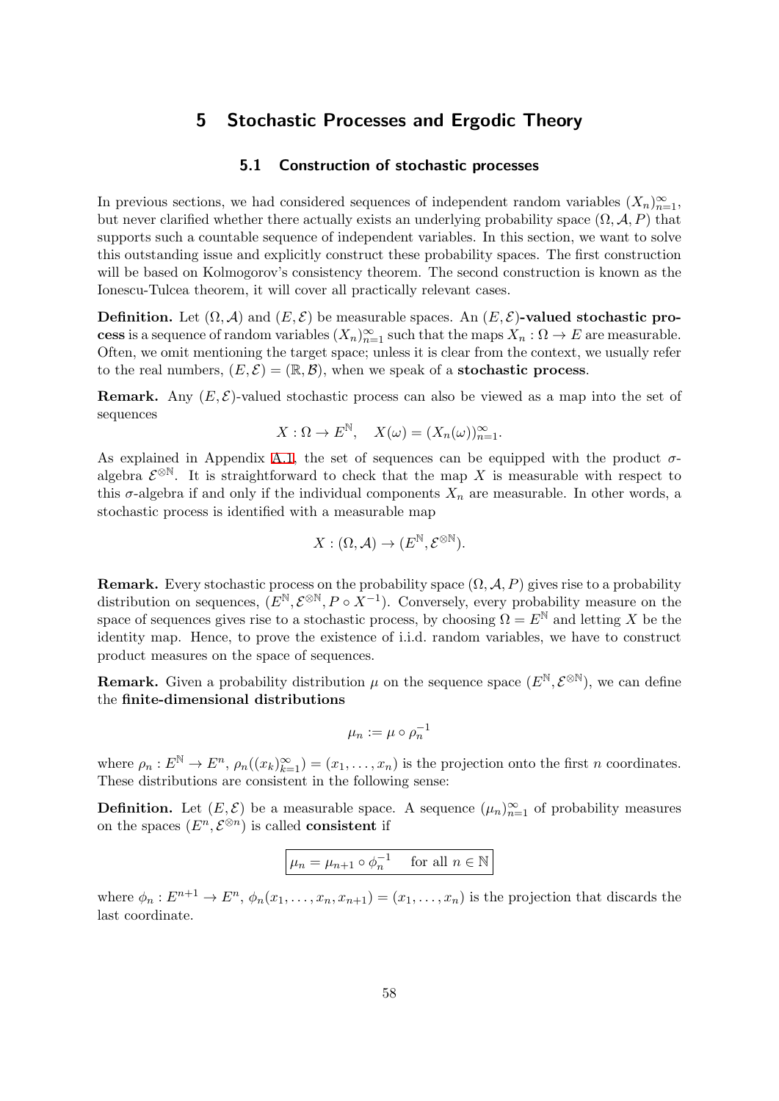# **5 Stochastic Processes and Ergodic Theory**

#### **5.1 Construction of stochastic processes**

In previous sections, we had considered sequences of independent random variables  $(X_n)_{n=1}^{\infty}$ , but never clarified whether there actually exists an underlying probability space  $(\Omega, \mathcal{A}, P)$  that supports such a countable sequence of independent variables. In this section, we want to solve this outstanding issue and explicitly construct these probability spaces. The first construction will be based on Kolmogorov's consistency theorem. The second construction is known as the Ionescu-Tulcea theorem, it will cover all practically relevant cases.

**Definition.** Let  $(\Omega, \mathcal{A})$  and  $(E, \mathcal{E})$  be measurable spaces. An  $(E, \mathcal{E})$ -valued stochastic pro**cess** is a sequence of random variables  $(X_n)_{n=1}^{\infty}$  such that the maps  $X_n : \Omega \to E$  are measurable. Often, we omit mentioning the target space; unless it is clear from the context, we usually refer to the real numbers,  $(E, \mathcal{E}) = (\mathbb{R}, \mathcal{B})$ , when we speak of a **stochastic process**.

**Remark.** Any  $(E, \mathcal{E})$ -valued stochastic process can also be viewed as a map into the set of sequences

$$
X: \Omega \to E^{\mathbb{N}}, \quad X(\omega) = (X_n(\omega))_{n=1}^{\infty}.
$$

As explained in Appendix A.1, the set of sequences can be equipped with the product  $\sigma$ algebra  $\mathcal{E}^{\otimes N}$ . It is straightforward to check that the map X is measurable with respect to this  $\sigma$ -algebra if and only if the individual components  $X_n$  are measurable. In other words, a stochastic process is identifi[ed w](#page-69-0)ith a measurable map

$$
X:(\Omega,\mathcal{A})\to (E^{\mathbb{N}},\mathcal{E}^{\otimes \mathbb{N}}).
$$

**Remark.** Every stochastic process on the probability space  $(\Omega, \mathcal{A}, P)$  gives rise to a probability distribution on sequences,  $(E^{\mathbb{N}}, \mathcal{E}^{\otimes \mathbb{N}}, P \circ X^{-1})$ . Conversely, every probability measure on the space of sequences gives rise to a stochastic process, by choosing  $\Omega = E^{\mathbb{N}}$  and letting *X* be the identity map. Hence, to prove the existence of i.i.d. random variables, we have to construct product measures on the space of sequences.

**Remark.** Given a probability distribution  $\mu$  on the sequence space  $(E^{\mathbb{N}}, \mathcal{E}^{\otimes \mathbb{N}})$ , we can define the **finite-dimensional distributions**

$$
\mu_n:=\mu\circ\rho_n^{-1}
$$

where  $\rho_n: E^{\mathbb{N}} \to E^n$ ,  $\rho_n((x_k)_{k=1}^{\infty}) = (x_1, \ldots, x_n)$  is the projection onto the first *n* coordinates. These distributions are consistent in the following sense:

**Definition.** Let  $(E, \mathcal{E})$  be a measurable space. A sequence  $(\mu_n)_{n=1}^{\infty}$  of probability measures on the spaces  $(E^n, \mathcal{E}^{\otimes n})$  is called **consistent** if

$$
\mu_n = \mu_{n+1} \circ \phi_n^{-1} \quad \text{ for all } n \in \mathbb{N}
$$

where  $\phi_n : E^{n+1} \to E^n$ ,  $\phi_n(x_1, \ldots, x_n, x_{n+1}) = (x_1, \ldots, x_n)$  is the projection that discards the last coordinate.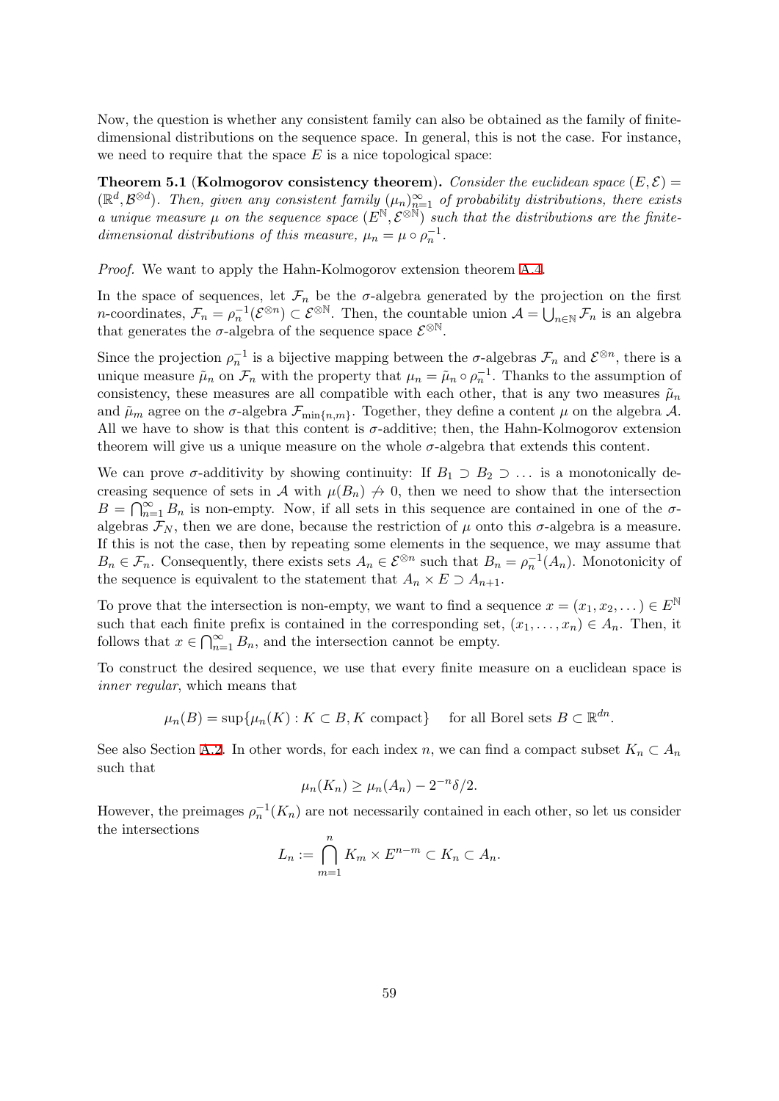Now, the question is whether any consistent family can also be obtained as the family of finitedimensional distributions on the sequence space. In general, this is not the case. For instance, we need to require that the space  $E$  is a nice topological space:

**Theorem 5.1** (**Kolmogorov consistency theorem**). *Consider the euclidean space*  $(E, \mathcal{E})$  =  $(\mathbb{R}^d, \mathcal{B}^{\otimes d})$ . Then, given any consistent family  $(\mu_n)_{n=1}^{\infty}$  of probability distributions, there exists *a unique measure*  $\mu$  *on the sequence space*  $(E^{\mathbb{N}}, \mathcal{E}^{\otimes \mathbb{N}})$  *such that the distributions are the finitedimensional distributions of this measure,*  $\mu_n = \mu \circ \rho_n^{-1}$ .

<span id="page-58-0"></span>*Proof.* We want to apply the Hahn-Kolmogorov extension theorem A.4.

In the space of sequences, let  $\mathcal{F}_n$  be the  $\sigma$ -algebra generated by the projection on the first *n*-coordinates,  $\mathcal{F}_n = \rho_n^{-1}(\mathcal{E}^{\otimes n}) \subset \mathcal{E}^{\otimes \mathbb{N}}$ . Then, the countable union  $\mathcal{A} = \bigcup_{n \in \mathbb{N}} \mathcal{F}_n$  is an algebra that generates the  $\sigma$ -algebra of the sequence space  $\mathcal{E}^{\otimes \mathbb{N}}$ .

Since the projection  $\rho_n^{-1}$  is a bijective mapping between the *σ*-algebras  $\mathcal{F}_n$  and  $\mathcal{E}^{\otimes n}$ , there is a unique measure  $\tilde{\mu}_n$  on  $\mathcal{F}_n$  with the property that  $\mu_n = \tilde{\mu}_n \circ \rho_n^{-1}$ . Thanks to the assumption of consistency, these measures are all compatible with each other, that is any two measures  $\tilde{\mu}_n$ and  $\tilde{\mu}_m$  agree on the  $\sigma$ -algebra  $\mathcal{F}_{\min\{n,m\}}$ . Together, they define a content  $\mu$  on the algebra  $\mathcal{A}$ . All we have to show is that this content is  $\sigma$ -additive; then, the Hahn-Kolmogorov extension theorem will give us a unique measure on the whole  $\sigma$ -algebra that extends this content.

We can prove  $\sigma$ -additivity by showing continuity: If  $B_1 \supset B_2 \supset \ldots$  is a monotonically decreasing sequence of sets in *A* with  $\mu(B_n) \nrightarrow 0$ , then we need to show that the intersection  $B = \bigcap_{n=1}^{\infty} B_n$  is non-empty. Now, if all sets in this sequence are contained in one of the  $\sigma$ algebras  $\mathcal{F}_N$ , then we are done, because the restriction of  $\mu$  onto this  $\sigma$ -algebra is a measure. If this is not the case, then by repeating some elements in the sequence, we may assume that  $B_n \in \mathcal{F}_n$ . Consequently, there exists sets  $A_n \in \mathcal{E}^{\otimes n}$  such that  $B_n = \rho_n^{-1}(A_n)$ . Monotonicity of the sequence is equivalent to the statement that  $A_n \times E \supseteq A_{n+1}$ .

To prove that the intersection is non-empty, we want to find a sequence  $x = (x_1, x_2, \dots) \in E^{\mathbb{N}}$ such that each finite prefix is contained in the corresponding set,  $(x_1, \ldots, x_n) \in A_n$ . Then, it follows that  $x \in \bigcap_{n=1}^{\infty} B_n$ , and the intersection cannot be empty.

To construct the desired sequence, we use that every finite measure on a euclidean space is *inner regular*, which means that

$$
\mu_n(B) = \sup \{ \mu_n(K) : K \subset B, K \text{ compact} \} \quad \text{ for all Borel sets } B \subset \mathbb{R}^{dn}.
$$

See also Section A.2. In other words, for each index *n*, we can find a compact subset  $K_n \subset A_n$ such that

$$
\mu_n(K_n) \ge \mu_n(A_n) - 2^{-n}\delta/2.
$$

However, the pr[eima](#page-71-0)ges  $\rho_n^{-1}(K_n)$  are not necessarily contained in each other, so let us consider the intersections

$$
L_n := \bigcap_{m=1}^n K_m \times E^{n-m} \subset K_n \subset A_n.
$$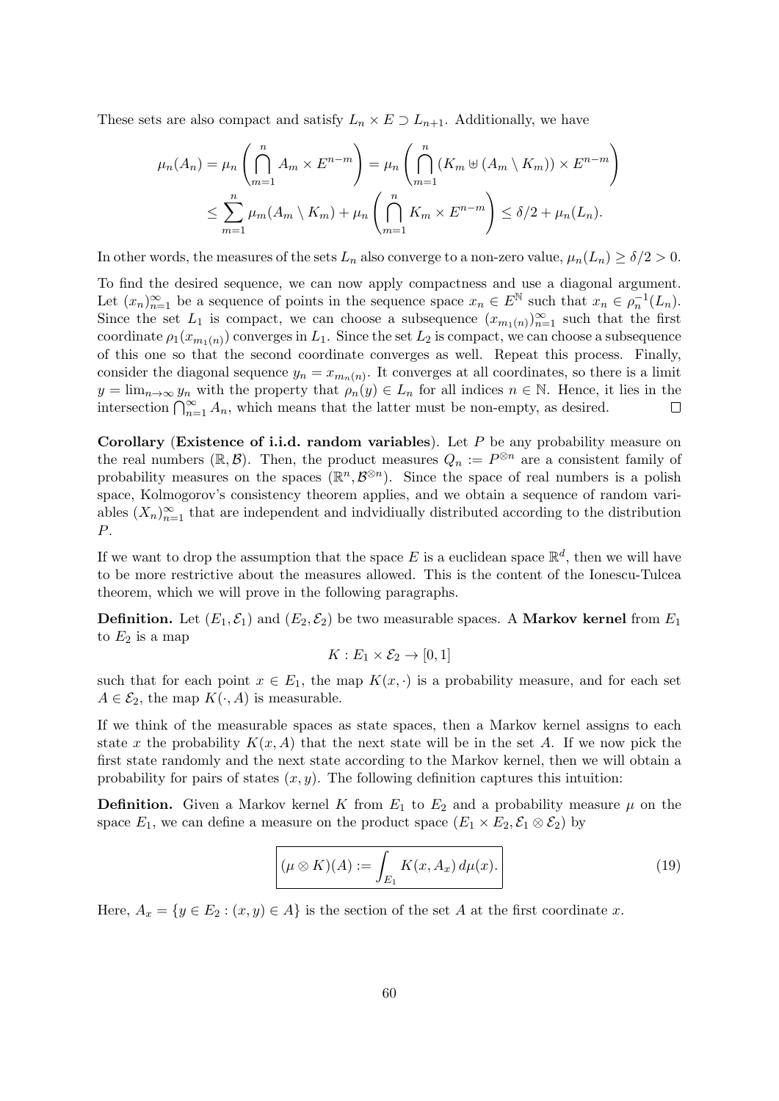These sets are also compact and satisfy  $L_n \times E \supset L_{n+1}$ . Additionally, we have

$$
\mu_n(A_n) = \mu_n \left( \bigcap_{m=1}^n A_m \times E^{n-m} \right) = \mu_n \left( \bigcap_{m=1}^n (K_m \uplus (A_m \setminus K_m)) \times E^{n-m} \right)
$$
  

$$
\leq \sum_{m=1}^n \mu_m(A_m \setminus K_m) + \mu_n \left( \bigcap_{m=1}^n K_m \times E^{n-m} \right) \leq \delta/2 + \mu_n(L_n).
$$

In other words, the measures of the sets  $L_n$  also converge to a non-zero value,  $\mu_n(L_n) \geq \delta/2 > 0$ .

To find the desired sequence, we can now apply compactness and use a diagonal argument. Let  $(x_n)_{n=1}^{\infty}$  be a sequence of points in the sequence space  $x_n \in E^{\mathbb{N}}$  such that  $x_n \in \rho_n^{-1}(L_n)$ . Since the set  $L_1$  is compact, we can choose a subsequence  $(x_{m_1(n)})_{n=1}^{\infty}$  such that the first  $\text{coordinate } \rho_1(x_{m_1(n)})$  converges in  $L_1$ . Since the set  $L_2$  is compact, we can choose a subsequence of this one so that the second coordinate converges as well. Repeat this process. Finally, consider the diagonal sequence  $y_n = x_{m_n(n)}$ . It converges at all coordinates, so there is a limit  $y = \lim_{n \to \infty} y_n$  with the property that  $\rho_n(y) \in L_n$  for all indices  $n \in \mathbb{N}$ . Hence, it lies in the intersection  $\bigcap_{n=1}^{\infty} A_n$ , which means that the latter must be non-empty, as desired.  $\Box$ 

**Corollary** (**Existence of i.i.d. random variables**). Let *P* be any probability measure on the real numbers  $(\mathbb{R}, \mathcal{B})$ . Then, the product measures  $Q_n := P^{\otimes n}$  are a consistent family of probability measures on the spaces  $(\mathbb{R}^n, \mathcal{B}^{\otimes n})$ . Since the space of real numbers is a polish space, Kolmogorov's consistency theorem applies, and we obtain a sequence of random variables  $(X_n)_{n=1}^{\infty}$  that are independent and indvidiually distributed according to the distribution *P*.

If we want to drop the assumption that the space  $E$  is a euclidean space  $\mathbb{R}^d$ , then we will have to be more restrictive about the measures allowed. This is the content of the Ionescu-Tulcea theorem, which we will prove in the following paragraphs.

**Definition.** Let  $(E_1, \mathcal{E}_1)$  and  $(E_2, \mathcal{E}_2)$  be two measurable spaces. A **Markov kernel** from  $E_1$ to  $E_2$  is a map

$$
K: E_1 \times \mathcal{E}_2 \to [0,1]
$$

such that for each point  $x \in E_1$ , the map  $K(x, \cdot)$  is a probability measure, and for each set  $A \in \mathcal{E}_2$ , the map  $K(\cdot, A)$  is measurable.

If we think of the measurable spaces as state spaces, then a Markov kernel assigns to each state *x* the probability  $K(x, A)$  that the next state will be in the set A. If we now pick the first state randomly and the next state according to the Markov kernel, then we will obtain a probability for pairs of states (*x, y*). The following definition captures this intuition:

**Definition.** Given a Markov kernel *K* from  $E_1$  to  $E_2$  and a probability measure  $\mu$  on the space  $E_1$ , we can define a measure on the product space  $(E_1 \times E_2, \mathcal{E}_1 \otimes \mathcal{E}_2)$  by

$$
\mu \otimes K(A) := \int_{E_1} K(x, A_x) d\mu(x).
$$
\n(19)

Here,  $A_x = \{y \in E_2 : (x, y) \in A\}$  is the section of the set *A* at the first coordinate *x*.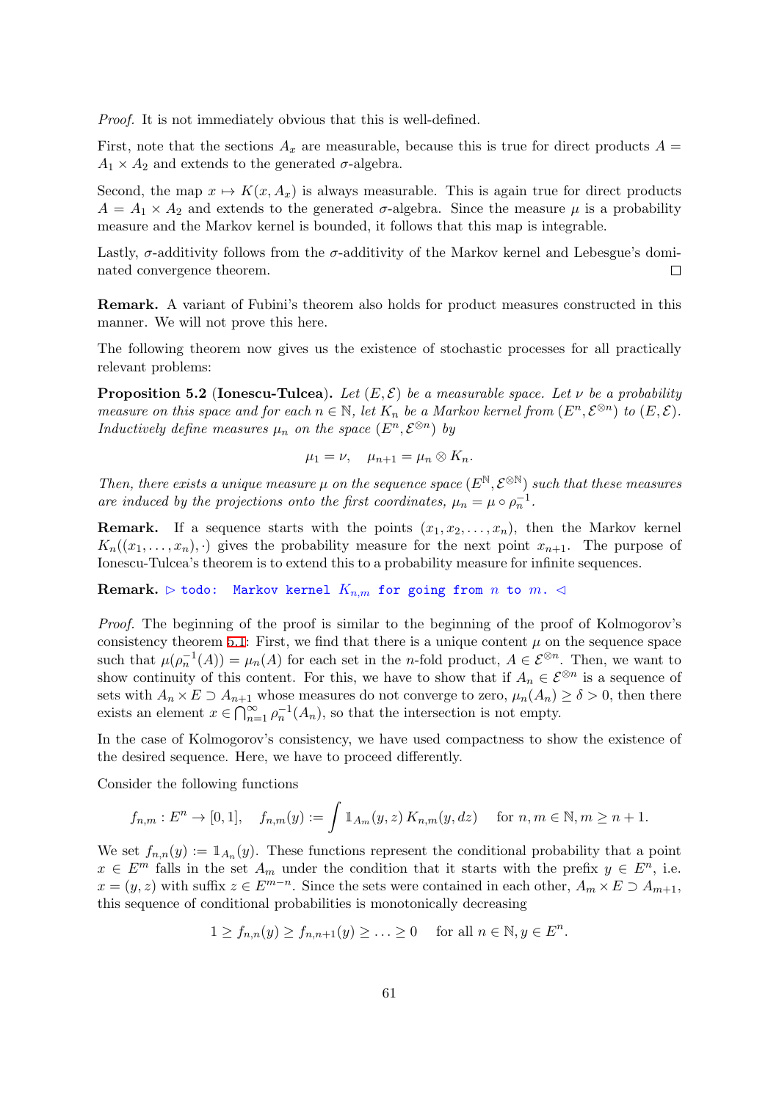*Proof.* It is not immediately obvious that this is well-defined.

First, note that the sections  $A_x$  are measurable, because this is true for direct products  $A =$  $A_1 \times A_2$  and extends to the generated  $\sigma$ -algebra.

Second, the map  $x \mapsto K(x, A_x)$  is always measurable. This is again true for direct products  $A = A_1 \times A_2$  and extends to the generated  $\sigma$ -algebra. Since the measure  $\mu$  is a probability measure and the Markov kernel is bounded, it follows that this map is integrable.

Lastly,  $\sigma$ -additivity follows from the  $\sigma$ -additivity of the Markov kernel and Lebesgue's dominated convergence theorem. □

**Remark.** A variant of Fubini's theorem also holds for product measures constructed in this manner. We will not prove this here.

The following theorem now gives us the existence of stochastic processes for all practically relevant problems:

**Proposition 5.2** (**Ionescu-Tulcea**). Let  $(E, \mathcal{E})$  be a measurable space. Let  $\nu$  be a probability *measure on this space and for each*  $n \in \mathbb{N}$ , let  $K_n$  be a Markov kernel from  $(E^n, \mathcal{E}^{\otimes n})$  to  $(E, \mathcal{E})$ . *Inductively define measures*  $\mu_n$  *on the space*  $(E^n, \mathcal{E}^{\otimes n})$  *by* 

$$
\mu_1=\nu, \quad \mu_{n+1}=\mu_n\otimes K_n.
$$

*Then, there exists a unique measure*  $\mu$  *on the sequence space*  $(E^{\mathbb{N}}, \mathcal{E}^{\otimes \mathbb{N}})$  *such that these measures are induced by the projections onto the first coordinates,*  $\mu_n = \mu \circ \rho_n^{-1}$ .

**Remark.** If a sequence starts with the points  $(x_1, x_2, \ldots, x_n)$ , then the Markov kernel  $K_n((x_1,\ldots,x_n),\cdot)$  gives the probability measure for the next point  $x_{n+1}$ . The purpose of Ionescu-Tulcea's theorem is to extend this to a probability measure for infinite sequences.

**Remark.**  $\triangleright$  todo: Markov kernel  $K_{n,m}$  for going from *n* to *m*.  $\triangleleft$ 

*Proof.* The beginning of the proof is similar to the beginning of the proof of Kolmogorov's consistency theorem 5.1: First, we find that there is a unique content  $\mu$  on the sequence space such that  $\mu(\rho_n^{-1}(A)) = \mu_n(A)$  for each set in the *n*-fold product,  $A \in \mathcal{E}^{\otimes n}$ . Then, we want to show continuity of this content. For this, we have to show that if  $A_n \in \mathcal{E}^{\otimes n}$  is a sequence of sets with  $A_n \times E \supseteq A_{n+1}$  whose measures do not converge to zero,  $\mu_n(A_n) \geq \delta > 0$ , then there exists an element  $x \in \bigcap_{n=1}^{\infty} \rho_n^{-1}(A_n)$ , so that the intersection is not empty.

In the case of Kolmogorov's consistency, we have used compactness to show the existence of the desired sequence. Here, we have to proceed differently.

Consider the following functions

$$
f_{n,m}: E^n \to [0,1],
$$
  $f_{n,m}(y) := \int \mathbb{1}_{A_m}(y,z) K_{n,m}(y,dz)$  for  $n, m \in \mathbb{N}, m \ge n+1.$ 

We set  $f_{n,n}(y) := \mathbb{1}_{A_n}(y)$ . These functions represent the conditional probability that a point  $x \in E^m$  falls in the set  $A_m$  under the condition that it starts with the prefix  $y \in E^n$ , i.e. *x* =  $(y, z)$  with suffix *z* ∈ *E*<sup>*m*−*n*</sup>. Since the sets were contained in each other,  $A_m \times E$  ⊃  $A_{m+1}$ , this sequence of conditional probabilities is monotonically decreasing

$$
1 \ge f_{n,n}(y) \ge f_{n,n+1}(y) \ge \ldots \ge 0
$$
 for all  $n \in \mathbb{N}, y \in E^n$ .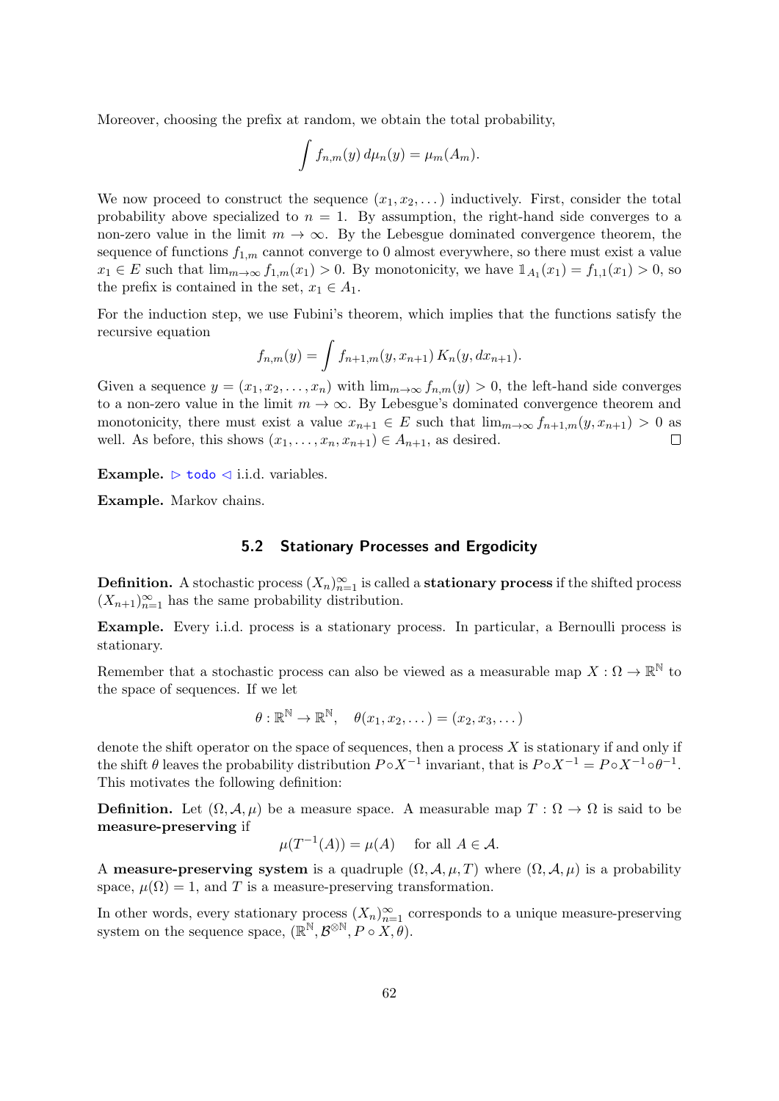Moreover, choosing the prefix at random, we obtain the total probability,

$$
\int f_{n,m}(y) d\mu_n(y) = \mu_m(A_m).
$$

We now proceed to construct the sequence  $(x_1, x_2, \ldots)$  inductively. First, consider the total probability above specialized to  $n = 1$ . By assumption, the right-hand side converges to a non-zero value in the limit  $m \to \infty$ . By the Lebesgue dominated convergence theorem, the sequence of functions  $f_{1,m}$  cannot converge to 0 almost everywhere, so there must exist a value  $x_1 \in E$  such that  $\lim_{m \to \infty} f_{1,m}(x_1) > 0$ . By monotonicity, we have  $\mathbb{1}_{A_1}(x_1) = f_{1,1}(x_1) > 0$ , so the prefix is contained in the set,  $x_1 \in A_1$ .

For the induction step, we use Fubini's theorem, which implies that the functions satisfy the recursive equation

$$
f_{n,m}(y) = \int f_{n+1,m}(y, x_{n+1}) K_n(y, dx_{n+1}).
$$

Given a sequence  $y = (x_1, x_2, \ldots, x_n)$  with  $\lim_{m \to \infty} f_{n,m}(y) > 0$ , the left-hand side converges to a non-zero value in the limit  $m \to \infty$ . By Lebesgue's dominated convergence theorem and monotonicity, there must exist a value  $x_{n+1} \in E$  such that  $\lim_{m\to\infty} f_{n+1,m}(y, x_{n+1}) > 0$  as well. As before, this shows  $(x_1, \ldots, x_n, x_{n+1}) \in A_{n+1}$ , as desired.  $\Box$ 

**Example.**  $\triangleright$  todo  $\triangleleft$  i.i.d. variables.

**Example.** Markov chains.

#### **5.2 Stationary Processes and Ergodicity**

**Definition.** A stochastic process  $(X_n)_{n=1}^{\infty}$  is called a **stationary process** if the shifted process  $(X_{n+1})_{n=1}^{\infty}$  has the same probability distribution.

**Example.** Every i.i.d. process is a stationary process. In particular, a Bernoulli process is stationary.

Remember that a stochastic process can also be viewed as a measurable map  $X : \Omega \to \mathbb{R}^{\mathbb{N}}$  to the space of sequences. If we let

$$
\theta: \mathbb{R}^{\mathbb{N}} \to \mathbb{R}^{\mathbb{N}}, \quad \theta(x_1, x_2, \dots) = (x_2, x_3, \dots)
$$

denote the shift operator on the space of sequences, then a process *X* is stationary if and only if the shift  $\theta$  leaves the probability distribution  $P \circ X^{-1}$  invariant, that is  $P \circ X^{-1} = P \circ X^{-1} \circ \theta^{-1}$ . This motivates the following definition:

**Definition.** Let  $(\Omega, \mathcal{A}, \mu)$  be a measure space. A measurable map  $T : \Omega \to \Omega$  is said to be **measure-preserving** if

$$
\mu(T^{-1}(A)) = \mu(A) \quad \text{ for all } A \in \mathcal{A}.
$$

A **measure-preserving system** is a quadruple  $(\Omega, \mathcal{A}, \mu, T)$  where  $(\Omega, \mathcal{A}, \mu)$  is a probability space,  $\mu(\Omega) = 1$ , and *T* is a measure-preserving transformation.

In other words, every stationary process  $(X_n)_{n=1}^{\infty}$  corresponds to a unique measure-preserving system on the sequence space,  $(\mathbb{R}^{\mathbb{N}}, \mathcal{B}^{\otimes \mathbb{N}}, P \circ X, \theta)$ .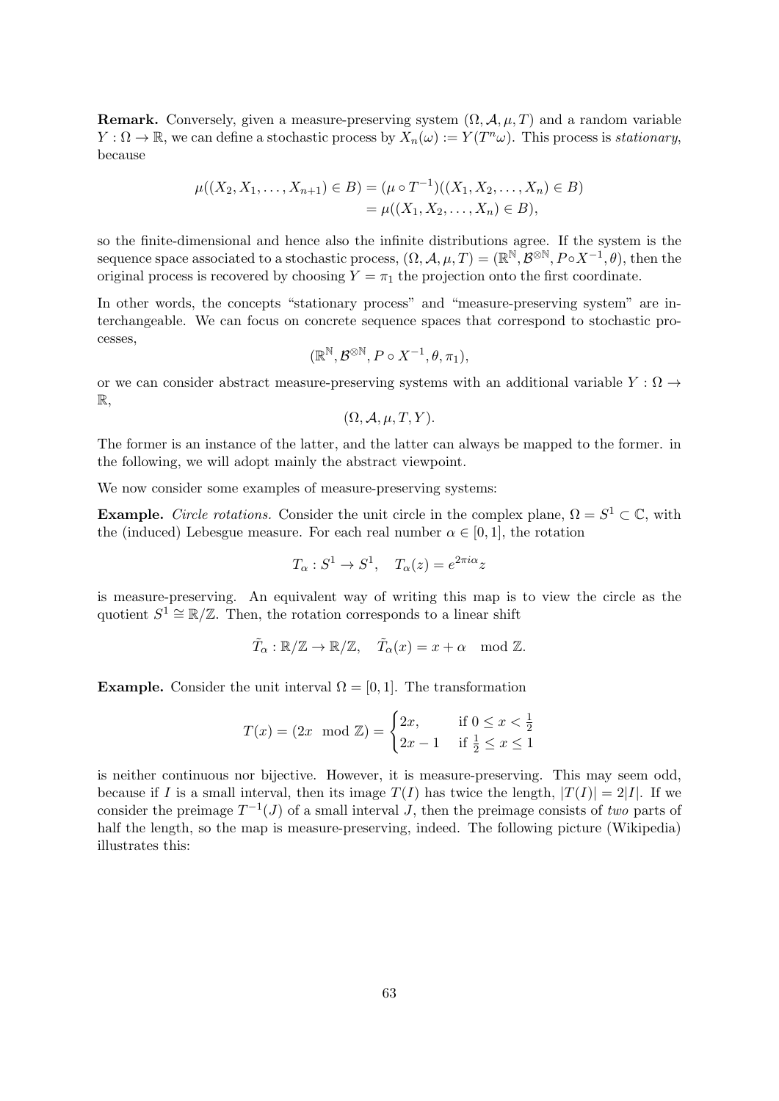**Remark.** Conversely, given a measure-preserving system  $(\Omega, \mathcal{A}, \mu, T)$  and a random variable  $Y: \Omega \to \mathbb{R}$ , we can define a stochastic process by  $X_n(\omega) := Y(T^n \omega)$ . This process is *stationary*, because

$$
\mu((X_2, X_1, \dots, X_{n+1}) \in B) = (\mu \circ T^{-1})((X_1, X_2, \dots, X_n) \in B)
$$
  
=  $\mu((X_1, X_2, \dots, X_n) \in B),$ 

so the finite-dimensional and hence also the infinite distributions agree. If the system is the  $\mathcal{B} = (\mathbb{R}^{\mathbb{N}}, \mathcal{B}^{\otimes \mathbb{N}}, P \circ X^{-1}, \theta),$  then the original process is recovered by choosing  $Y = \pi_1$  the projection onto the first coordinate.

In other words, the concepts "stationary process" and "measure-preserving system" are interchangeable. We can focus on concrete sequence spaces that correspond to stochastic processes,

$$
(\mathbb{R}^{\mathbb{N}},\mathcal{B}^{\otimes \mathbb{N}},P\circ X^{-1},\theta,\pi_1),
$$

or we can consider abstract measure-preserving systems with an additional variable  $Y : \Omega \rightarrow$ R,

$$
(\Omega, \mathcal{A}, \mu, T, Y).
$$

The former is an instance of the latter, and the latter can always be mapped to the former. in the following, we will adopt mainly the abstract viewpoint.

We now consider some examples of measure-preserving systems:

**Example.** *Circle rotations*. Consider the unit circle in the complex plane,  $\Omega = S^1 \subset \mathbb{C}$ , with the (induced) Lebesgue measure. For each real number  $\alpha \in [0, 1]$ , the rotation

$$
T_{\alpha} : S^1 \to S^1, \quad T_{\alpha}(z) = e^{2\pi i \alpha} z
$$

is measure-preserving. An equivalent way of writing this map is to view the circle as the quotient  $S^1 \cong \mathbb{R}/\mathbb{Z}$ . Then, the rotation corresponds to a linear shift

$$
\tilde{T}_{\alpha}: \mathbb{R}/\mathbb{Z} \to \mathbb{R}/\mathbb{Z}, \quad \tilde{T}_{\alpha}(x) = x + \alpha \mod \mathbb{Z}.
$$

**Example.** Consider the unit interval  $\Omega = [0, 1]$ . The transformation

$$
T(x) = (2x \mod \mathbb{Z}) = \begin{cases} 2x, & \text{if } 0 \le x < \frac{1}{2} \\ 2x - 1 & \text{if } \frac{1}{2} \le x \le 1 \end{cases}
$$

is neither continuous nor bijective. However, it is measure-preserving. This may seem odd, because if *I* is a small interval, then its image  $T(I)$  has twice the length,  $|T(I)| = 2|I|$ . If we consider the preimage  $T^{-1}(J)$  of a small interval *J*, then the preimage consists of *two* parts of half the length, so the map is measure-preserving, indeed. The following picture (Wikipedia) illustrates this: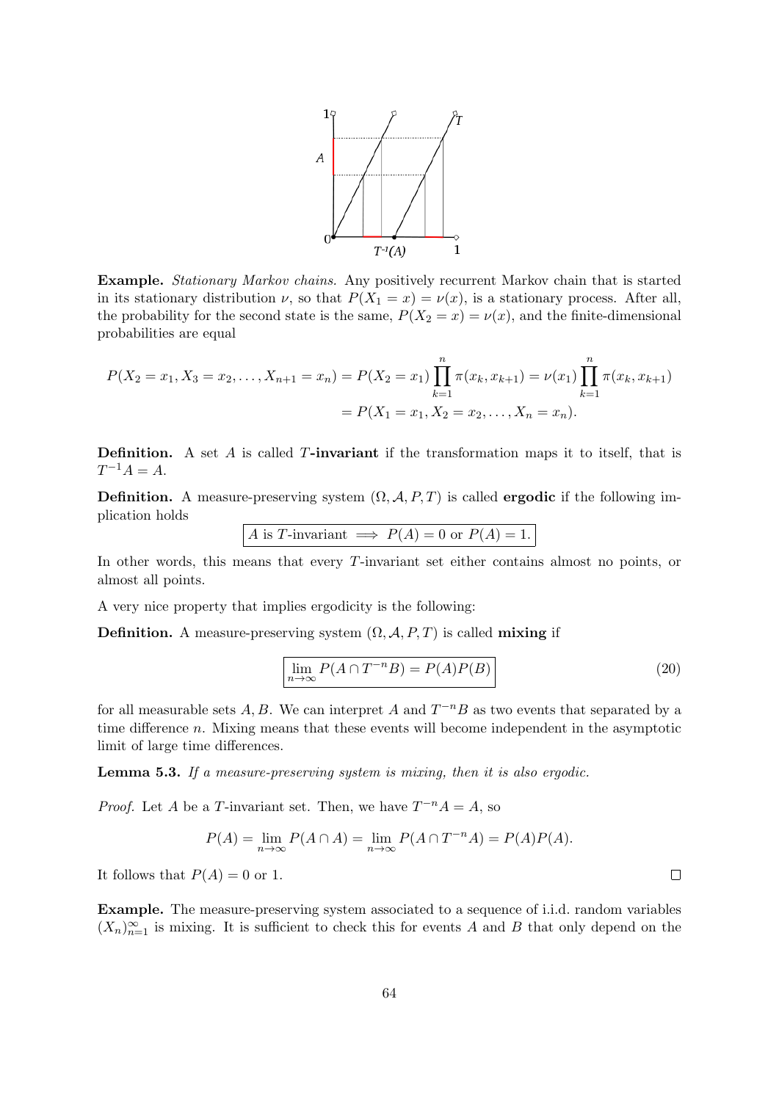

**Example.** *Stationary Markov chains.* Any positively recurrent Markov chain that is started in its stationary distribution *ν*, so that  $P(X_1 = x) = \nu(x)$ , is a stationary process. After all, the probability for the second state is the same,  $P(X_2 = x) = \nu(x)$ , and the finite-dimensional probabilities are equal

$$
P(X_2 = x_1, X_3 = x_2, \dots, X_{n+1} = x_n) = P(X_2 = x_1) \prod_{k=1}^n \pi(x_k, x_{k+1}) = \nu(x_1) \prod_{k=1}^n \pi(x_k, x_{k+1})
$$

$$
= P(X_1 = x_1, X_2 = x_2, \dots, X_n = x_n).
$$

**Definition.** A set *A* is called *T***-invariant** if the transformation maps it to itself, that is  $T^{-1}A = A$ .

**Definition.** A measure-preserving system  $(\Omega, \mathcal{A}, P, T)$  is called **ergodic** if the following implication holds

A is T-invariant 
$$
\implies
$$
 P(A) = 0 or P(A) = 1.

In other words, this means that every *T*-invariant set either contains almost no points, or almost all points.

A very nice property that implies ergodicity is the following:

**Definition.** A measure-preserving system  $(\Omega, \mathcal{A}, P, T)$  is called **mixing** if

$$
\lim_{n \to \infty} P(A \cap T^{-n}B) = P(A)P(B)
$$
\n(20)

for all measurable sets  $A, B$ . We can interpret  $A$  and  $T^{-n}B$  as two events that separated by a time difference *n*. Mixing means that these events will become independent in the asymptotic limit of large time differences.

**Lemma 5.3.** *If a measure-preserving system is mixing, then it is also ergodic.*

*Proof.* Let *A* be a *T*-invariant set. Then, we have  $T^{-n}A = A$ , so

$$
P(A) = \lim_{n \to \infty} P(A \cap A) = \lim_{n \to \infty} P(A \cap T^{-n}A) = P(A)P(A).
$$

It follows that  $P(A) = 0$  or 1.

**Example.** The measure-preserving system associated to a sequence of i.i.d. random variables  $(X_n)_{n=1}^{\infty}$  is mixing. It is sufficient to check this for events *A* and *B* that only depend on the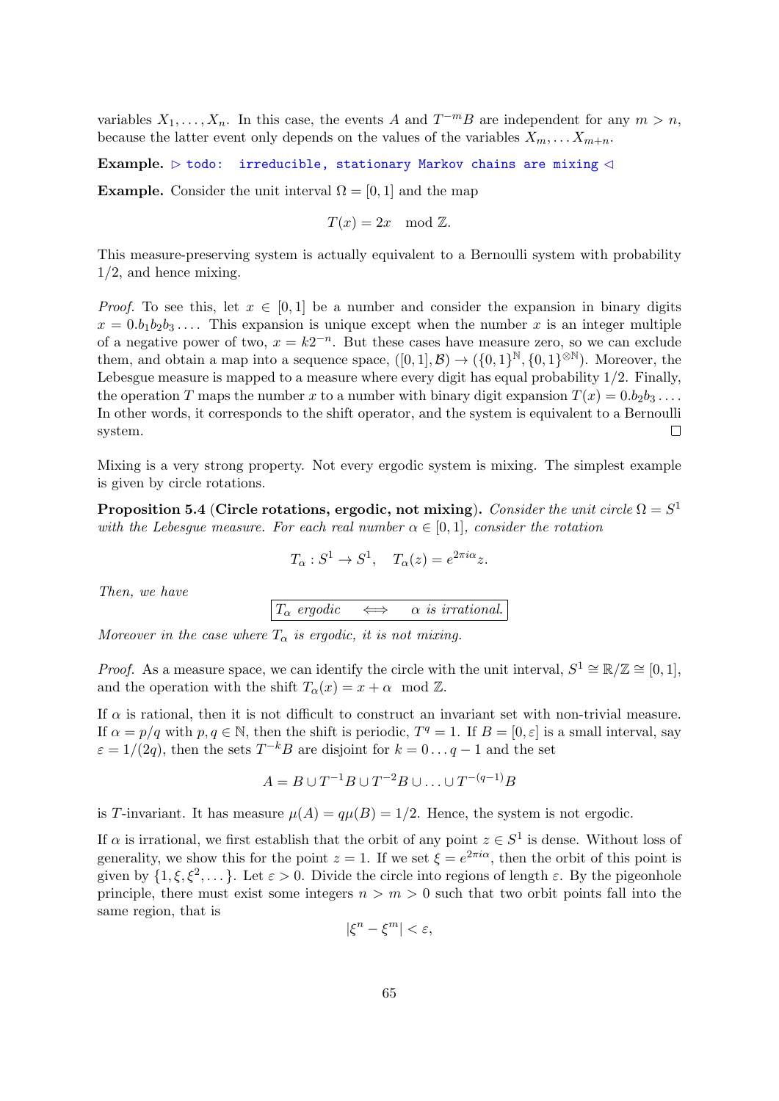variables  $X_1, \ldots, X_n$ . In this case, the events *A* and  $T^{-m}B$  are independent for any  $m > n$ , because the latter event only depends on the values of the variables  $X_m, \ldots, X_{m+n}$ .

**Example.**  $\triangleright$  todo: irreducible, stationary Markov chains are mixing  $\triangleleft$ 

**Example.** Consider the unit interval  $\Omega = [0, 1]$  and the map

$$
T(x) = 2x \mod \mathbb{Z}.
$$

This measure-preserving system is actually equivalent to a Bernoulli system with probability 1*/*2, and hence mixing.

*Proof.* To see this, let  $x \in [0, 1]$  be a number and consider the expansion in binary digits  $x = 0.b_1b_2b_3...$  This expansion is unique except when the number *x* is an integer multiple of a negative power of two,  $x = k2^{-n}$ . But these cases have measure zero, so we can exclude them, and obtain a map into a sequence space,  $([0,1], \mathcal{B}) \to (\{0,1\}^{\mathbb{N}}, \{0,1\}^{\otimes \mathbb{N}})$ . Moreover, the Lebesgue measure is mapped to a measure where every digit has equal probability 1*/*2. Finally, the operation *T* maps the number *x* to a number with binary digit expansion  $T(x) = 0. b_2 b_3 \ldots$ . In other words, it corresponds to the shift operator, and the system is equivalent to a Bernoulli system.  $\Box$ 

Mixing is a very strong property. Not every ergodic system is mixing. The simplest example is given by circle rotations.

**Proposition 5.4** (Circle rotations, ergodic, not mixing). *Consider the unit circle*  $\Omega = S^1$ *with the Lebesgue measure. For each real number*  $\alpha \in [0,1]$ *, consider the rotation* 

$$
T_{\alpha}: S^1 \to S^1
$$
,  $T_{\alpha}(z) = e^{2\pi i \alpha} z$ .

*Then, we have*

$$
T_{\alpha} \; ergodic \quad \Longleftrightarrow \quad \alpha \; is \; irrational.
$$

*Moreover in the case where*  $T_{\alpha}$  *is ergodic, it is not mixing.* 

*Proof.* As a measure space, we can identify the circle with the unit interval,  $S^1 \cong \mathbb{R}/\mathbb{Z} \cong [0,1],$ and the operation with the shift  $T_\alpha(x) = x + \alpha \mod \mathbb{Z}$ .

If  $\alpha$  is rational, then it is not difficult to construct an invariant set with non-trivial measure. If  $\alpha = p/q$  with  $p, q \in \mathbb{N}$ , then the shift is periodic,  $T^q = 1$ . If  $B = [0, \varepsilon]$  is a small interval, say  $\varepsilon = 1/(2q)$ , then the sets  $T^{-k}B$  are disjoint for  $k = 0 \ldots q - 1$  and the set

$$
A = B \cup T^{-1}B \cup T^{-2}B \cup \ldots \cup T^{-(q-1)}B
$$

is *T*-invariant. It has measure  $\mu(A) = q\mu(B) = 1/2$ . Hence, the system is not ergodic.

If  $\alpha$  is irrational, we first establish that the orbit of any point  $z \in S^1$  is dense. Without loss of generality, we show this for the point  $z = 1$ . If we set  $\xi = e^{2\pi i \alpha}$ , then the orbit of this point is given by  $\{1, \xi, \xi^2, \dots\}$ . Let  $\varepsilon > 0$ . Divide the circle into regions of length  $\varepsilon$ . By the pigeonhole principle, there must exist some integers  $n > m > 0$  such that two orbit points fall into the same region, that is

$$
|\xi^n - \xi^m| < \varepsilon,
$$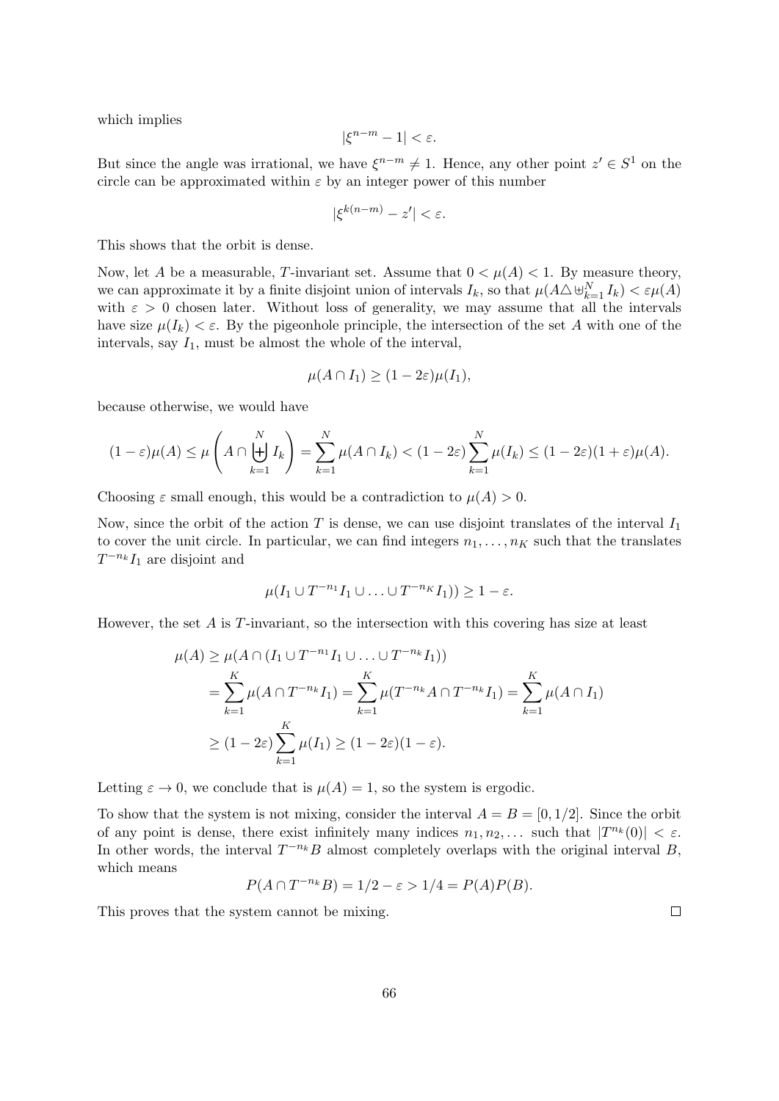which implies

$$
|\xi^{n-m}-1|<\varepsilon.
$$

But since the angle was irrational, we have  $\xi^{n-m} \neq 1$ . Hence, any other point  $z' \in S^1$  on the circle can be approximated within  $\varepsilon$  by an integer power of this number

$$
|\xi^{k(n-m)} - z'| < \varepsilon.
$$

This shows that the orbit is dense.

Now, let *A* be a measurable, *T*-invariant set. Assume that  $0 < \mu(A) < 1$ . By measure theory, we can approximate it by a finite disjoint union of intervals  $I_k$ , so that  $\mu(A \triangle \biguplus_{k=1}^N I_k) < \varepsilon \mu(A)$ with  $\varepsilon > 0$  chosen later. Without loss of generality, we may assume that all the intervals have size  $\mu(I_k) < \varepsilon$ . By the pigeonhole principle, the intersection of the set *A* with one of the intervals, say  $I_1$ , must be almost the whole of the interval,

$$
\mu(A \cap I_1) \ge (1 - 2\varepsilon)\mu(I_1),
$$

because otherwise, we would have

$$
(1-\varepsilon)\mu(A) \le \mu\left(A \cap \biguplus_{k=1}^N I_k\right) = \sum_{k=1}^N \mu(A \cap I_k) < (1-2\varepsilon)\sum_{k=1}^N \mu(I_k) \le (1-2\varepsilon)(1+\varepsilon)\mu(A).
$$

Choosing  $\varepsilon$  small enough, this would be a contradiction to  $\mu(A) > 0$ .

Now, since the orbit of the action *T* is dense, we can use disjoint translates of the interval *I*<sup>1</sup> to cover the unit circle. In particular, we can find integers  $n_1, \ldots, n_K$  such that the translates *T <sup>−</sup>n<sup>k</sup> I*<sup>1</sup> are disjoint and

$$
\mu(I_1 \cup T^{-n_1}I_1 \cup \ldots \cup T^{-n_K}I_1)) \geq 1 - \varepsilon.
$$

However, the set *A* is *T*-invariant, so the intersection with this covering has size at least

$$
\mu(A) \ge \mu(A \cap (I_1 \cup T^{-n_1} I_1 \cup \dots \cup T^{-n_k} I_1))
$$
  
=  $\sum_{k=1}^K \mu(A \cap T^{-n_k} I_1) = \sum_{k=1}^K \mu(T^{-n_k} A \cap T^{-n_k} I_1) = \sum_{k=1}^K \mu(A \cap I_1)$   
 $\ge (1 - 2\varepsilon) \sum_{k=1}^K \mu(I_1) \ge (1 - 2\varepsilon)(1 - \varepsilon).$ 

Letting  $\varepsilon \to 0$ , we conclude that is  $\mu(A) = 1$ , so the system is ergodic.

To show that the system is not mixing, consider the interval  $A = B = [0, 1/2]$ . Since the orbit of any point is dense, there exist infinitely many indices  $n_1, n_2, \ldots$  such that  $|T^{n_k}(0)| < \varepsilon$ . In other words, the interval  $T^{-n_k}B$  almost completely overlaps with the original interval *B*, which means

$$
P(A \cap T^{-n_k}B) = 1/2 - \varepsilon > 1/4 = P(A)P(B).
$$

This proves that the system cannot be mixing.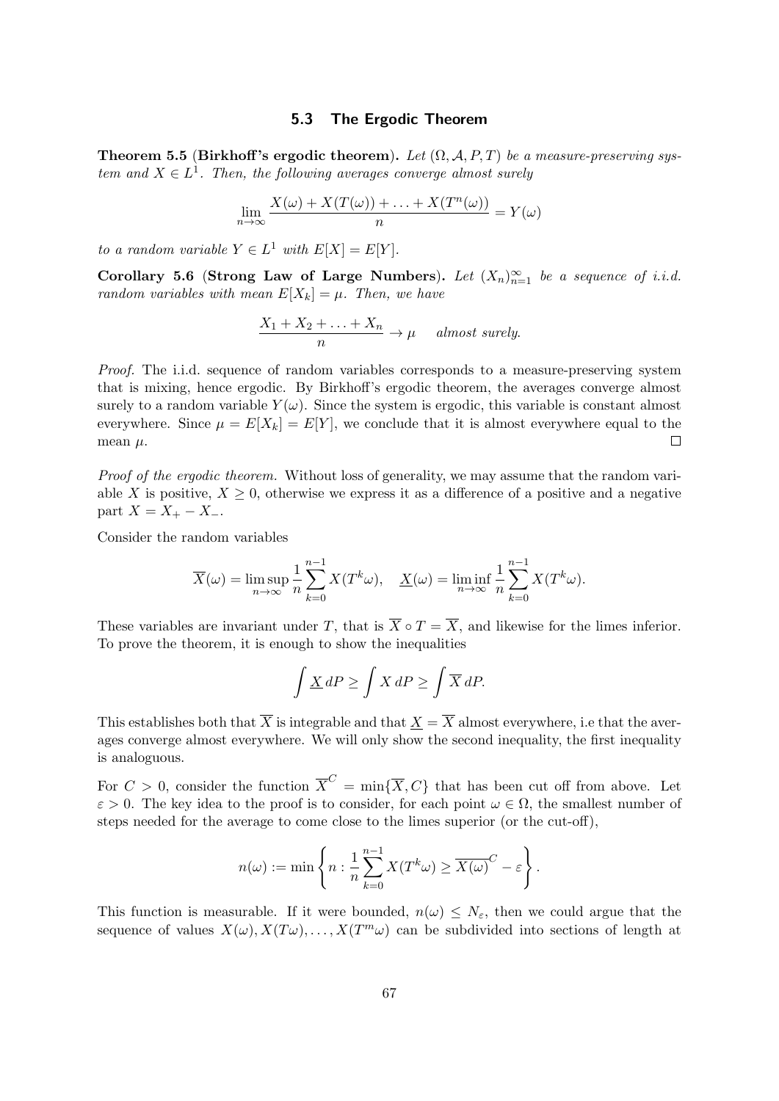#### **5.3 The Ergodic Theorem**

**Theorem 5.5** (**Birkhoff's ergodic theorem**). Let  $(\Omega, \mathcal{A}, P, T)$  be a measure-preserving sys*tem and*  $X \in L^1$ . Then, the following averages converge almost surely

$$
\lim_{n \to \infty} \frac{X(\omega) + X(T(\omega)) + \ldots + X(T^n(\omega))}{n} = Y(\omega)
$$

*to a random variable*  $Y \in L^1$  *with*  $E[X] = E[Y]$ *.* 

**Corollary 5.6** (**Strong Law of Large Numbers**). Let  $(X_n)_{n=1}^{\infty}$  be a sequence of i.i.d. *random variables with mean*  $E[X_k] = \mu$ *. Then, we have* 

$$
\frac{X_1 + X_2 + \ldots + X_n}{n} \to \mu
$$
 almost surely.

*Proof.* The i.i.d. sequence of random variables corresponds to a measure-preserving system that is mixing, hence ergodic. By Birkhoff's ergodic theorem, the averages converge almost surely to a random variable  $Y(\omega)$ . Since the system is ergodic, this variable is constant almost everywhere. Since  $\mu = E[X_k] = E[Y]$ , we conclude that it is almost everywhere equal to the mean  $\mu$ .  $\Box$ 

*Proof of the ergodic theorem.* Without loss of generality, we may assume that the random variable *X* is positive,  $X \geq 0$ , otherwise we express it as a difference of a positive and a negative  $part X = X_+ - X_-.$ 

Consider the random variables

$$
\overline{X}(\omega) = \limsup_{n \to \infty} \frac{1}{n} \sum_{k=0}^{n-1} X(T^k \omega), \quad \underline{X}(\omega) = \liminf_{n \to \infty} \frac{1}{n} \sum_{k=0}^{n-1} X(T^k \omega).
$$

These variables are invariant under *T*, that is  $\overline{X} \circ T = \overline{X}$ , and likewise for the limes inferior. To prove the theorem, it is enough to show the inequalities

$$
\int \underline{X} \, dP \ge \int X \, dP \ge \int \overline{X} \, dP.
$$

This establishes both that  $\overline{X}$  is integrable and that  $X = \overline{X}$  almost everywhere, i.e that the averages converge almost everywhere. We will only show the second inequality, the first inequality is analoguous.

For  $C > 0$ , consider the function  $\overline{X}^C = \min{\{\overline{X}, C\}}$  that has been cut off from above. Let  $\varepsilon > 0$ . The key idea to the proof is to consider, for each point  $\omega \in \Omega$ , the smallest number of steps needed for the average to come close to the limes superior (or the cut-off),

$$
n(\omega) := \min \left\{ n : \frac{1}{n} \sum_{k=0}^{n-1} X(T^k \omega) \ge \overline{X(\omega)}^C - \varepsilon \right\}.
$$

This function is measurable. If it were bounded,  $n(\omega) \leq N_{\varepsilon}$ , then we could argue that the sequence of values  $X(\omega), X(T\omega), \ldots, X(T^m\omega)$  can be subdivided into sections of length at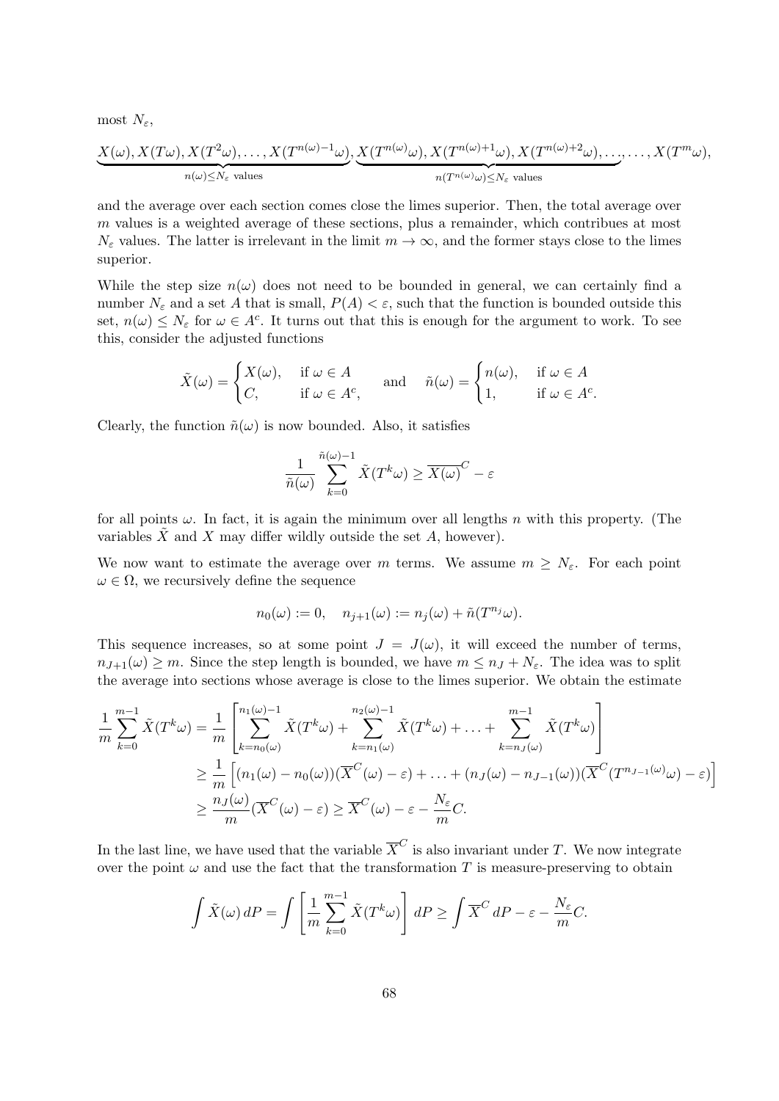most  $N_{\varepsilon}$ ,

$$
\underbrace{X(\omega), X(T\omega), X(T^2\omega), \dots, X(T^{n(\omega)-1}\omega)}_{n(\omega) \leq N_{\varepsilon} \text{ values}}, \underbrace{X(T^{n(\omega)}\omega), X(T^{n(\omega)+1}\omega), X(T^{n(\omega)+2}\omega), \dots, \dots, X(T^m\omega)}_{n(T^{n(\omega)}\omega) \leq N_{\varepsilon} \text{ values}},
$$

and the average over each section comes close the limes superior. Then, the total average over *m* values is a weighted average of these sections, plus a remainder, which contribues at most  $N_{\varepsilon}$  values. The latter is irrelevant in the limit  $m \to \infty$ , and the former stays close to the limes superior.

While the step size  $n(\omega)$  does not need to be bounded in general, we can certainly find a number  $N_{\varepsilon}$  and a set *A* that is small,  $P(A) < \varepsilon$ , such that the function is bounded outside this set,  $n(\omega) \leq N_{\varepsilon}$  for  $\omega \in A^c$ . It turns out that this is enough for the argument to work. To see this, consider the adjusted functions

$$
\tilde{X}(\omega) = \begin{cases} X(\omega), & \text{if } \omega \in A \\ C, & \text{if } \omega \in A^c, \end{cases} \quad \text{and} \quad \tilde{n}(\omega) = \begin{cases} n(\omega), & \text{if } \omega \in A \\ 1, & \text{if } \omega \in A^c. \end{cases}
$$

Clearly, the function  $\tilde{n}(\omega)$  is now bounded. Also, it satisfies

$$
\frac{1}{\tilde{n}(\omega)}\sum_{k=0}^{\tilde{n}(\omega)-1}\tilde{X}(T^k\omega)\geq \overline{X(\omega)}^C-\varepsilon
$$

for all points *ω*. In fact, it is again the minimum over all lengths *n* with this property. (The variables  $\tilde{X}$  and  $X$  may differ wildly outside the set  $A$ , however).

We now want to estimate the average over *m* terms. We assume  $m \geq N_{\varepsilon}$ . For each point  $\omega \in \Omega$ , we recursively define the sequence

$$
n_0(\omega) := 0, \quad n_{j+1}(\omega) := n_j(\omega) + \tilde{n}(T^{n_j}\omega).
$$

This sequence increases, so at some point  $J = J(\omega)$ , it will exceed the number of terms,  $n_{J+1}(\omega) \geq m$ . Since the step length is bounded, we have  $m \leq n_J + N_{\varepsilon}$ . The idea was to split the average into sections whose average is close to the limes superior. We obtain the estimate

$$
\frac{1}{m} \sum_{k=0}^{m-1} \tilde{X}(T^k \omega) = \frac{1}{m} \left[ \sum_{k=n_0(\omega)}^{n_1(\omega)-1} \tilde{X}(T^k \omega) + \sum_{k=n_1(\omega)}^{n_2(\omega)-1} \tilde{X}(T^k \omega) + \dots + \sum_{k=n_J(\omega)}^{m-1} \tilde{X}(T^k \omega) \right]
$$
\n
$$
\geq \frac{1}{m} \left[ (n_1(\omega) - n_0(\omega)) (\overline{X}^C(\omega) - \varepsilon) + \dots + (n_J(\omega) - n_{J-1}(\omega)) (\overline{X}^C(T^{n_{J-1}(\omega)}\omega) - \varepsilon) \right]
$$
\n
$$
\geq \frac{n_J(\omega)}{m} (\overline{X}^C(\omega) - \varepsilon) \geq \overline{X}^C(\omega) - \varepsilon - \frac{N_{\varepsilon}}{m} C.
$$

In the last line, we have used that the variable  $\overline{X}^C$  is also invariant under *T*. We now integrate over the point  $\omega$  and use the fact that the transformation *T* is measure-preserving to obtain

$$
\int \tilde{X}(\omega) dP = \int \left[ \frac{1}{m} \sum_{k=0}^{m-1} \tilde{X}(T^k \omega) \right] dP \ge \int \overline{X}^C dP - \varepsilon - \frac{N_{\varepsilon}}{m} C.
$$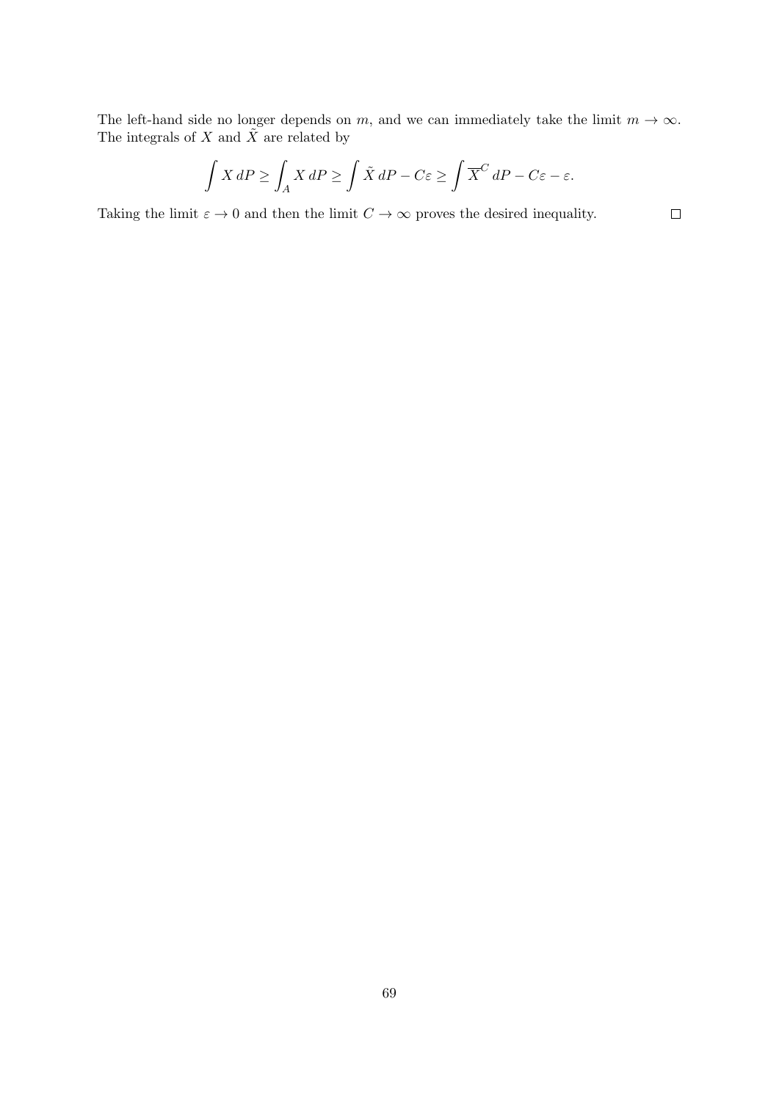The left-hand side no longer depends on *m*, and we can immediately take the limit  $m \to \infty$ . The integrals of  $X$  and  $\tilde{X}$  are related by

$$
\int X dP \ge \int_A X dP \ge \int \tilde{X} dP - C\varepsilon \ge \int \overline{X}^C dP - C\varepsilon - \varepsilon.
$$

Taking the limit  $\varepsilon \to 0$  and then the limit  $C \to \infty$  proves the desired inequality.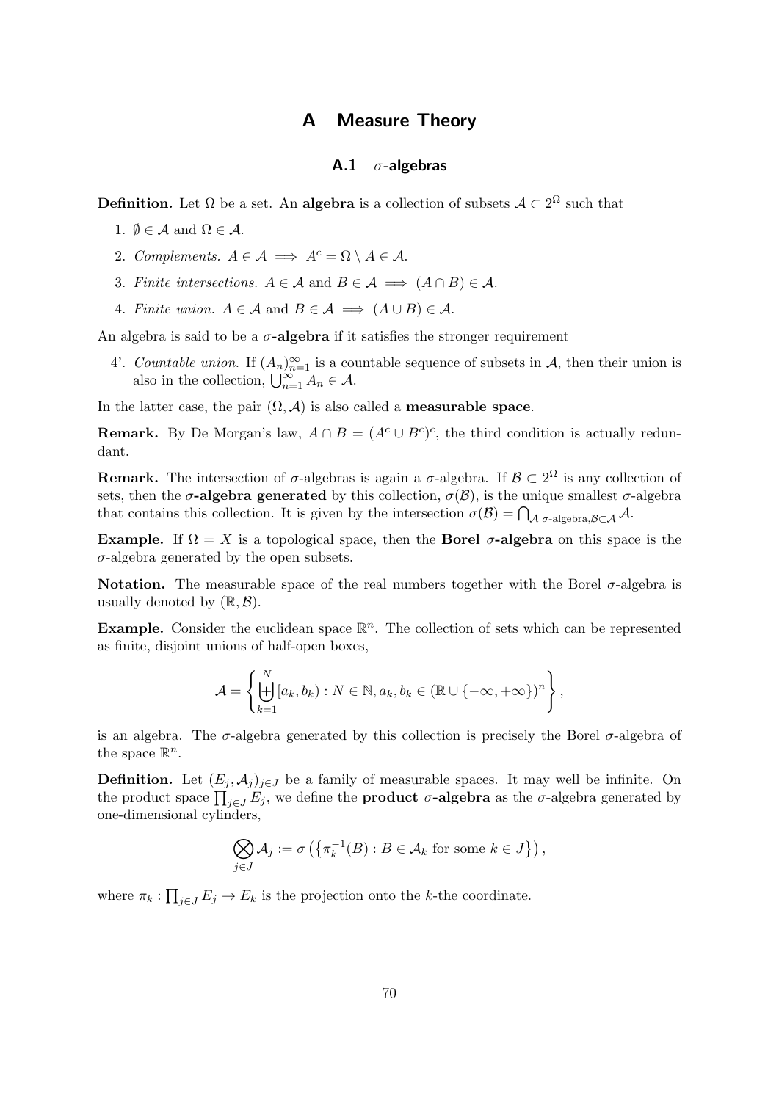# **A Measure Theory**

## **A.1** *σ***-algebras**

<span id="page-69-0"></span>**Definition.** Let  $\Omega$  be a set. An **algebra** is a collection of subsets  $\mathcal{A} \subset 2^{\Omega}$  such that

- 1.  $\emptyset \in \mathcal{A}$  and  $\Omega \in \mathcal{A}$ .
- 2. *Complements.*  $A \in \mathcal{A} \implies A^c = \Omega \setminus A \in \mathcal{A}$ .
- 3. *Finite intersections.*  $A \in \mathcal{A}$  and  $B \in \mathcal{A} \implies (A \cap B) \in \mathcal{A}$ .
- 4. *Finite union.*  $A \in \mathcal{A}$  and  $B \in \mathcal{A} \implies (A \cup B) \in \mathcal{A}$ .

An algebra is said to be a  $\sigma$ **-algebra** if it satisfies the stronger requirement

4'. *Countable union.* If  $(A_n)_{n=1}^{\infty}$  is a countable sequence of subsets in *A*, then their union is also in the collection,  $\bigcup_{n=1}^{\infty} A_n \in \mathcal{A}$ .

In the latter case, the pair  $(\Omega, \mathcal{A})$  is also called a **measurable space**.

**Remark.** By De Morgan's law,  $A \cap B = (A^c \cup B^c)^c$ , the third condition is actually redundant.

**Remark.** The intersection of  $\sigma$ -algebras is again a  $\sigma$ -algebra. If  $\mathcal{B} \subset 2^{\Omega}$  is any collection of sets, then the  $\sigma$ -algebra generated by this collection,  $\sigma(\mathcal{B})$ , is the unique smallest  $\sigma$ -algebra that contains this collection. It is given by the intersection  $\sigma(\mathcal{B}) = \bigcap_{\mathcal{A}} \sigma$ -algebra, $\mathcal{B} \subset \mathcal{A}$  *A*.

**Example.** If  $\Omega = X$  is a topological space, then the **Borel**  $\sigma$ -algebra on this space is the  $\sigma$ -algebra generated by the open subsets.

**Notation.** The measurable space of the real numbers together with the Borel  $\sigma$ -algebra is usually denoted by  $(\mathbb{R}, \mathcal{B})$ .

**Example.** Consider the euclidean space  $\mathbb{R}^n$ . The collection of sets which can be represented as finite, disjoint unions of half-open boxes,

$$
\mathcal{A} = \left\{ \biguplus_{k=1}^{N} [a_k, b_k) : N \in \mathbb{N}, a_k, b_k \in (\mathbb{R} \cup \{-\infty, +\infty\})^n \right\},\
$$

is an algebra. The  $\sigma$ -algebra generated by this collection is precisely the Borel  $\sigma$ -algebra of the space  $\mathbb{R}^n$ .

**Definition.** Let  $(E_j, \mathcal{A}_j)_{j \in J}$  be a family of measurable spaces. It may well be infinite. On the product space  $\prod_{j\in J} E_j$ , we define the **product** *σ***-algebra** as the *σ*-algebra generated by one-dimensional cylinders,

$$
\bigotimes_{j\in J} A_j := \sigma\left(\left\{\pi_k^{-1}(B) : B \in \mathcal{A}_k \text{ for some } k \in J\right\}\right),\
$$

where  $\pi_k: \prod_{j\in J} E_j \to E_k$  is the projection onto the *k*-the coordinate.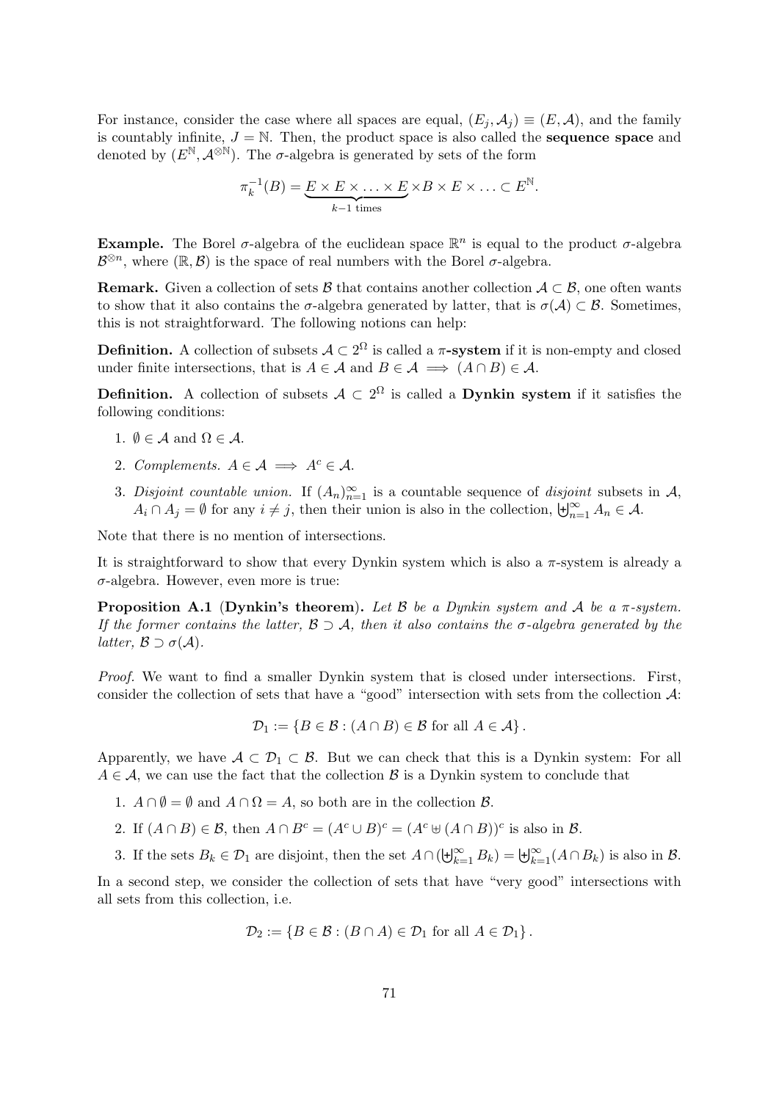For instance, consider the case where all spaces are equal,  $(E_i, \mathcal{A}_i) \equiv (E, \mathcal{A})$ , and the family is countably infinite,  $J = N$ . Then, the product space is also called the **sequence space** and denoted by  $(E^{\mathbb{N}}, \mathcal{A}^{\otimes \mathbb{N}})$ . The *σ*-algebra is generated by sets of the form

$$
\pi_k^{-1}(B) = \underbrace{E \times E \times \ldots \times E}_{k-1 \text{ times}} \times B \times E \times \ldots \subset E^{\mathbb{N}}.
$$

**Example.** The Borel  $\sigma$ -algebra of the euclidean space  $\mathbb{R}^n$  is equal to the product  $\sigma$ -algebra  $\mathcal{B}^{\otimes n}$ , where  $(\mathbb{R}, \mathcal{B})$  is the space of real numbers with the Borel  $\sigma$ -algebra.

**Remark.** Given a collection of sets *B* that contains another collection  $A \subset B$ , one often wants to show that it also contains the *σ*-algebra generated by latter, that is  $\sigma(\mathcal{A}) \subset \mathcal{B}$ . Sometimes, this is not straightforward. The following notions can help:

**Definition.** A collection of subsets  $A \subset 2^{\Omega}$  is called a  $\pi$ -system if it is non-empty and closed under finite intersections, that is  $A \in \mathcal{A}$  and  $B \in \mathcal{A} \implies (A \cap B) \in \mathcal{A}$ .

**Definition.** A collection of subsets  $A \subset 2^{\Omega}$  is called a **Dynkin system** if it satisfies the following conditions:

- 1.  $\emptyset \in \mathcal{A}$  and  $\Omega \in \mathcal{A}$ .
- 2. *Complements.*  $A \in \mathcal{A} \implies A^c \in \mathcal{A}$ .
- 3. *Disjoint countable union.* If  $(A_n)_{n=1}^{\infty}$  is a countable sequence of *disjoint* subsets in A,  $A_i \cap A_j = \emptyset$  for any  $i \neq j$ , then their union is also in the collection,  $\biguplus_{n=1}^{\infty} A_n \in \mathcal{A}$ .

Note that there is no mention of intersections.

It is straightforward to show that every Dynkin system which is also a  $\pi$ -system is already a *σ*-algebra. However, even more is true:

**Proposition A.1** (**Dynkin's theorem**)**.** *Let B be a Dynkin system and A be a π-system. If the former contains the latter, B ⊃ A, then it also contains the σ-algebra generated by the latter,*  $\mathcal{B} \supset \sigma(\mathcal{A})$ *.* 

*Proof.* We want to find a smaller Dynkin system that is closed under intersections. First, consider the collection of sets that have a "good" intersection with sets from the collection *A*:

$$
\mathcal{D}_1 := \{ B \in \mathcal{B} : (A \cap B) \in \mathcal{B} \text{ for all } A \in \mathcal{A} \}.
$$

Apparently, we have  $A \subset \mathcal{D}_1 \subset \mathcal{B}$ . But we can check that this is a Dynkin system: For all  $A \in \mathcal{A}$ , we can use the fact that the collection  $\mathcal{B}$  is a Dynkin system to conclude that

- 1.  $A \cap \emptyset = \emptyset$  and  $A \cap \Omega = A$ , so both are in the collection  $\mathcal{B}$ .
- 2. If  $(A \cap B) \in \mathcal{B}$ , then  $A \cap B^c = (A^c \cup B)^c = (A^c \cup (A \cap B))^c$  is also in  $\mathcal{B}$ .
- 3. If the sets  $B_k \in \mathcal{D}_1$  are disjoint, then the set  $A \cap (\biguplus_{k=1}^{\infty} B_k) = \biguplus_{k=1}^{\infty} (A \cap B_k)$  is also in  $\mathcal{B}$ .

In a second step, we consider the collection of sets that have "very good" intersections with all sets from this collection, i.e.

$$
\mathcal{D}_2 := \{ B \in \mathcal{B} : (B \cap A) \in \mathcal{D}_1 \text{ for all } A \in \mathcal{D}_1 \}.
$$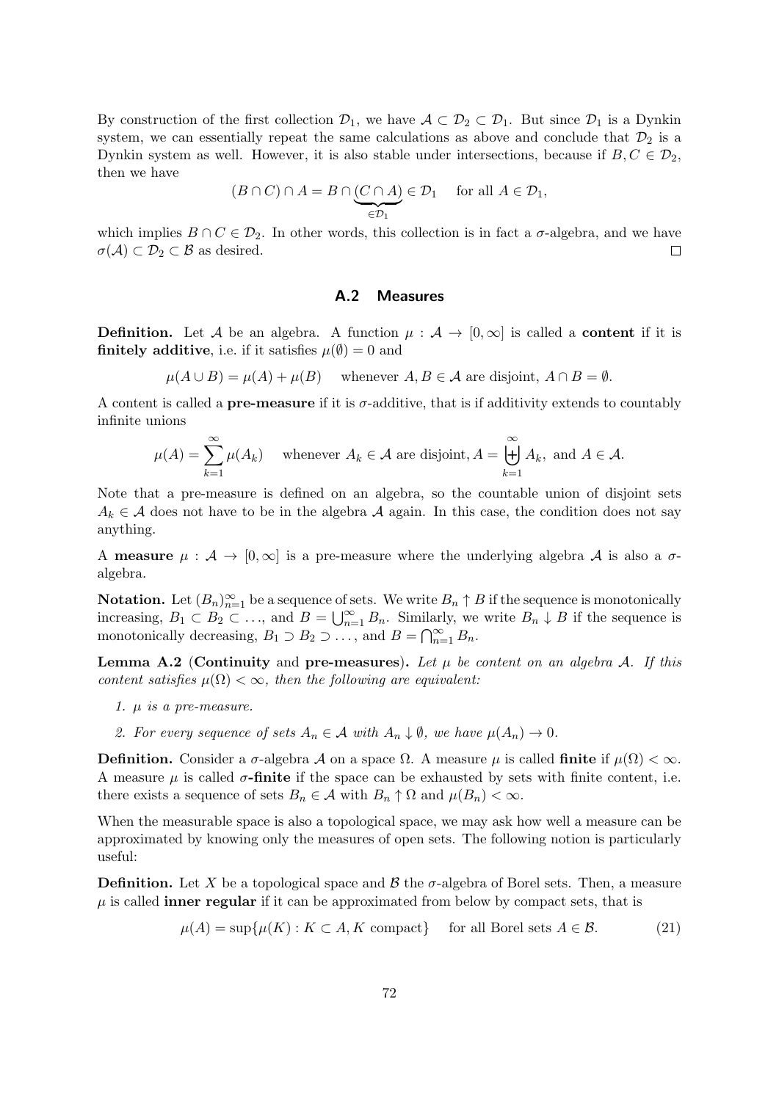By construction of the first collection  $\mathcal{D}_1$ , we have  $\mathcal{A} \subset \mathcal{D}_2 \subset \mathcal{D}_1$ . But since  $\mathcal{D}_1$  is a Dynkin system, we can essentially repeat the same calculations as above and conclude that  $\mathcal{D}_2$  is a Dynkin system as well. However, it is also stable under intersections, because if  $B, C \in \mathcal{D}_2$ , then we have

$$
(B \cap C) \cap A = B \cap \underbrace{(C \cap A)}_{\in \mathcal{D}_1} \in \mathcal{D}_1 \quad \text{ for all } A \in \mathcal{D}_1,
$$

which implies  $B \cap C \in \mathcal{D}_2$ . In other words, this collection is in fact a  $\sigma$ -algebra, and we have  $\sigma(\mathcal{A}) \subset \mathcal{D}_2 \subset \mathcal{B}$  as desired.  $\Box$ 

#### **A.2 Measures**

<span id="page-71-0"></span>**Definition.** Let *A* be an algebra. A function  $\mu : A \to [0, \infty]$  is called a **content** if it is **finitely additive**, i.e. if it satisfies  $\mu(\emptyset) = 0$  and

$$
\mu(A \cup B) = \mu(A) + \mu(B)
$$
 whenever  $A, B \in \mathcal{A}$  are disjoint,  $A \cap B = \emptyset$ .

A content is called a **pre-measure** if it is  $\sigma$ -additive, that is if additivity extends to countably infinite unions

$$
\mu(A) = \sum_{k=1}^{\infty} \mu(A_k) \quad \text{whenever } A_k \in \mathcal{A} \text{ are disjoint, } A = \bigcup_{k=1}^{\infty} A_k, \text{ and } A \in \mathcal{A}.
$$

Note that a pre-measure is defined on an algebra, so the countable union of disjoint sets  $A_k \in \mathcal{A}$  does not have to be in the algebra  $\mathcal{A}$  again. In this case, the condition does not say anything.

A **measure**  $\mu : \mathcal{A} \to [0, \infty]$  is a pre-measure where the underlying algebra  $\mathcal{A}$  is also a  $\sigma$ algebra.

**Notation.** Let  $(B_n)_{n=1}^{\infty}$  be a sequence of sets. We write  $B_n \uparrow B$  if the sequence is monotonically increasing,  $B_1 \subset B_2 \subset \ldots$ , and  $B = \bigcup_{n=1}^{\infty} B_n$ . Similarly, we write  $B_n \downarrow B$  if the sequence is monotonically decreasing,  $B_1 \supset B_2 \supset \ldots$ , and  $B = \bigcap_{n=1}^{\infty} B_n$ .

**Lemma A.2** (**Continuity** and **pre-measures**)**.** *Let µ be content on an algebra A. If this content satisfies*  $\mu(\Omega) < \infty$ *, then the following are equivalent:* 

- *1. µ is a pre-measure.*
- *2. For every sequence of sets*  $A_n \in \mathcal{A}$  *with*  $A_n \downarrow \emptyset$ *, we have*  $\mu(A_n) \to 0$ *.*

**Definition.** Consider a  $\sigma$ -algebra  $\mathcal A$  on a space  $\Omega$ . A measure  $\mu$  is called **finite** if  $\mu(\Omega) < \infty$ . A measure  $\mu$  is called  $\sigma$ -finite if the space can be exhausted by sets with finite content, i.e. there exists a sequence of sets  $B_n \in \mathcal{A}$  with  $B_n \uparrow \Omega$  and  $\mu(B_n) < \infty$ .

When the measurable space is also a topological space, we may ask how well a measure can be approximated by knowing only the measures of open sets. The following notion is particularly useful:

**Definition.** Let X be a topological space and  $\beta$  the  $\sigma$ -algebra of Borel sets. Then, a measure  $\mu$  is called **inner regular** if it can be approximated from below by compact sets, that is

$$
\mu(A) = \sup \{ \mu(K) : K \subset A, K \text{ compact} \} \quad \text{ for all Borel sets } A \in \mathcal{B}. \tag{21}
$$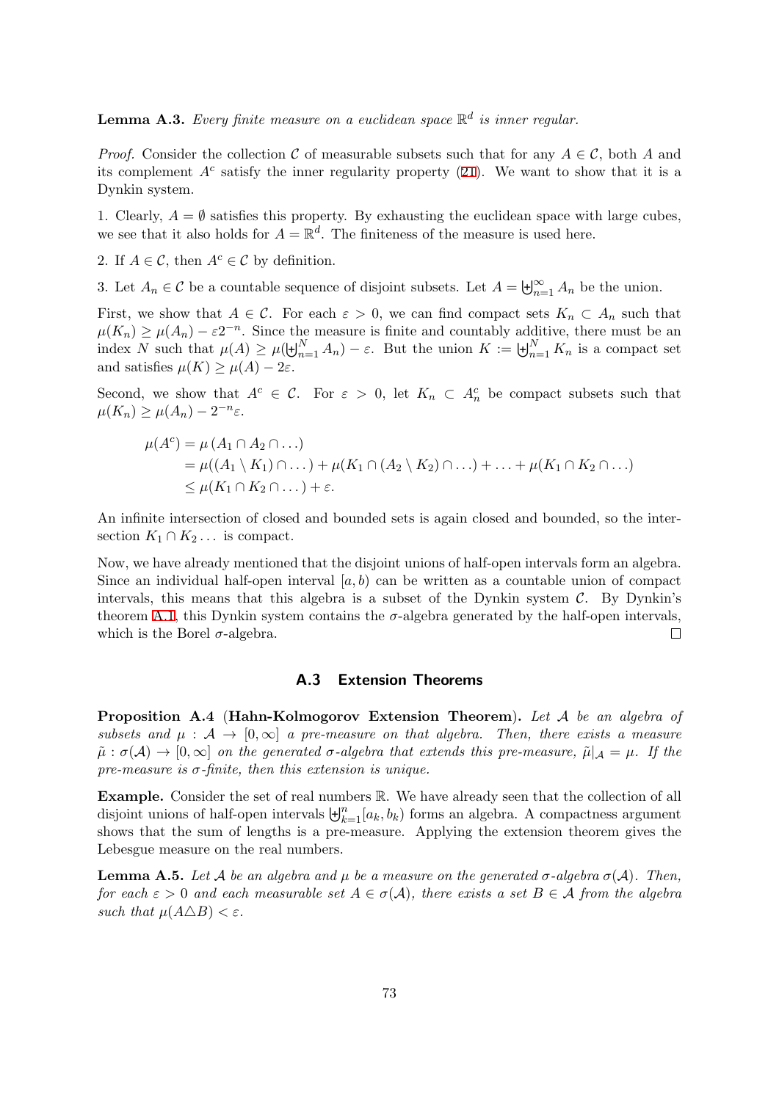**Lemma A.3.** *Every finite measure on a euclidean space*  $\mathbb{R}^d$  *is inner regular.* 

*Proof.* Consider the collection  $C$  of measurable subsets such that for any  $A \in C$ , both *A* and its complement  $A^c$  satisfy the inner regularity property  $(21)$ . We want to show that it is a Dynkin system.

1. Clearly,  $A = \emptyset$  satisfies this property. By exhausting the euclidean space with large cubes, we see that it also holds for  $A = \mathbb{R}^d$ . The finiteness of the [me](#page-71-0)asure is used here.

2. If  $A \in \mathcal{C}$ , then  $A^c \in \mathcal{C}$  by definition.

3. Let  $A_n \in \mathcal{C}$  be a countable sequence of disjoint subsets. Let  $A = \biguplus_{n=1}^{\infty} A_n$  be the union.

First, we show that  $A \in \mathcal{C}$ . For each  $\varepsilon > 0$ , we can find compact sets  $K_n \subset A_n$  such that  $\mu(K_n) \geq \mu(A_n) - \varepsilon 2^{-n}$ . Since the measure is finite and countably additive, there must be an index *N* such that  $\mu(A) \geq \mu(\biguplus_{n=1}^{N} A_n) - \varepsilon$ . But the union  $K := \biguplus_{n=1}^{N} K_n$  is a compact set and satisfies  $\mu(K) \geq \mu(A) - 2\varepsilon$ .

Second, we show that  $A^c \in \mathcal{C}$ . For  $\varepsilon > 0$ , let  $K_n \subset A_n^c$  be compact subsets such that  $\mu(K_n) \geq \mu(A_n) - 2^{-n}\varepsilon.$ 

$$
\mu(A^c) = \mu(A_1 \cap A_2 \cap ...)
$$
  
=  $\mu((A_1 \setminus K_1) \cap ...) + \mu(K_1 \cap (A_2 \setminus K_2) \cap ...) + ... + \mu(K_1 \cap K_2 \cap ...)$   
 $\leq \mu(K_1 \cap K_2 \cap ...) + \varepsilon.$ 

An infinite intersection of closed and bounded sets is again closed and bounded, so the intersection  $K_1 \cap K_2 \ldots$  is compact.

Now, we have already mentioned that the disjoint unions of half-open intervals form an algebra. Since an individual half-open interval  $[a, b]$  can be written as a countable union of compact intervals, this means that this algebra is a subset of the Dynkin system *C*. By Dynkin's theorem A.1, this Dynkin system contains the  $\sigma$ -algebra generated by the half-open intervals, which is the Borel  $\sigma$ -algebra.  $\Box$ 

## **A.3 Extension Theorems**

**Proposition A.4** (**Hahn-Kolmogorov Extension Theorem**)**.** *Let A be an algebra of subsets and*  $\mu : \mathcal{A} \to [0,\infty]$  *a pre-measure on that algebra. Then, there exists a measure*  $\tilde{\mu}: \sigma(\mathcal{A}) \to [0,\infty]$  *on the generated*  $\sigma$ -algebra that extends this pre-measure,  $\tilde{\mu}|_{\mathcal{A}} = \mu$ . If the *pre-measure is σ-finite, then this extension is unique.*

**Example.** Consider the set of real numbers R. We have already seen that the collection of all disjoint unions of half-open intervals  $\biguplus_{k=1}^{n} [a_k, b_k]$  forms an algebra. A compactness argument shows that the sum of lengths is a pre-measure. Applying the extension theorem gives the Lebesgue measure on the real numbers.

**Lemma A.5.** *Let A be an algebra and*  $\mu$  *be a measure on the generated*  $\sigma$ -*algebra*  $\sigma(A)$ *. Then, for each*  $\varepsilon > 0$  *and each measurable set*  $A \in \sigma(\mathcal{A})$ *, there exists a set*  $B \in \mathcal{A}$  *from the algebra such that*  $\mu(A \triangle B) < \varepsilon$ .